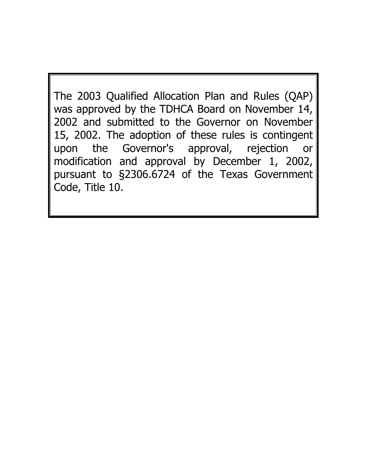The 2003 Qualified Allocation Plan and Rules (QAP) was approved by the TDHCA Board on November 14, 2002 and submitted to the Governor on November 15, 2002. The adoption of these rules is contingent upon the Governor's approval, rejection or modification and approval by December 1, 2002, pursuant to §2306.6724 of the Texas Government Code, Title 10.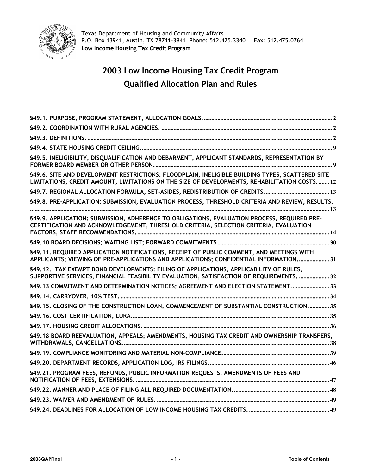

# **2003 Low Income Housing Tax Credit Program Qualified Allocation Plan and Rules**

| §49.5. INELIGIBILITY, DISQUALIFICATION AND DEBARMENT, APPLICANT STANDARDS, REPRESENTATION BY                                                                                                    |  |
|-------------------------------------------------------------------------------------------------------------------------------------------------------------------------------------------------|--|
| §49.6. SITE AND DEVELOPMENT RESTRICTIONS: FLOODPLAIN, INELIGIBLE BUILDING TYPES, SCATTERED SITE<br>LIMITATIONS, CREDIT AMOUNT, LIMITATIONS ON THE SIZE OF DEVELOPMENTS, REHABILITATION COSTS 12 |  |
|                                                                                                                                                                                                 |  |
| §49.8. PRE-APPLICATION: SUBMISSION, EVALUATION PROCESS, THRESHOLD CRITERIA AND REVIEW, RESULTS.                                                                                                 |  |
| §49.9. APPLICATION: SUBMISSION, ADHERENCE TO OBLIGATIONS, EVALUATION PROCESS, REQUIRED PRE-<br>CERTIFICATION AND ACKNOWLEDGEMENT, THRESHOLD CRITERIA, SELECTION CRITERIA, EVALUATION            |  |
|                                                                                                                                                                                                 |  |
| §49.11. REQUIRED APPLICATION NOTIFICATIONS, RECEIPT OF PUBLIC COMMENT, AND MEETINGS WITH<br>APPLICANTS; VIEWING OF PRE-APPLICATIONS AND APPLICATIONS; CONFIDENTIAL INFORMATION 31               |  |
| §49.12. TAX EXEMPT BOND DEVELOPMENTS: FILING OF APPLICATIONS, APPLICABILITY OF RULES,<br>SUPPORTIVE SERVICES, FINANCIAL FEASIBILITY EVALUATION, SATISFACTION OF REQUIREMENTS.  32               |  |
| §49.13 COMMITMENT AND DETERMINATION NOTICES; AGREEMENT AND ELECTION STATEMENT.  33                                                                                                              |  |
|                                                                                                                                                                                                 |  |
| §49.15. CLOSING OF THE CONSTRUCTION LOAN, COMMENCEMENT OF SUBSTANTIAL CONSTRUCTION 35                                                                                                           |  |
|                                                                                                                                                                                                 |  |
|                                                                                                                                                                                                 |  |
| §49.18 BOARD REEVALUATION, APPEALS; AMENDMENTS, HOUSING TAX CREDIT AND OWNERSHIP TRANSFERS,                                                                                                     |  |
|                                                                                                                                                                                                 |  |
|                                                                                                                                                                                                 |  |
| §49.21. PROGRAM FEES, REFUNDS, PUBLIC INFORMATION REQUESTS, AMENDMENTS OF FEES AND                                                                                                              |  |
|                                                                                                                                                                                                 |  |
|                                                                                                                                                                                                 |  |
|                                                                                                                                                                                                 |  |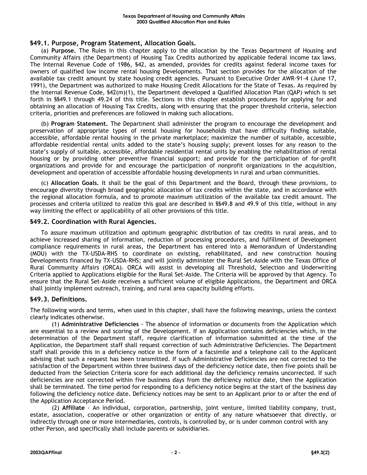# **§49.1. Purpose, Program Statement, Allocation Goals.**

(a) **Purpose.** The Rules in this chapter apply to the allocation by the Texas Department of Housing and Community Affairs (the Department) of Housing Tax Credits authorized by applicable federal income tax laws. The Internal Revenue Code of 1986, §42, as amended, provides for credits against federal income taxes for owners of qualified low income rental housing Developments. That section provides for the allocation of the available tax credit amount by state housing credit agencies. Pursuant to Executive Order AWR-91-4 (June 17, 1991), the Department was authorized to make Housing Credit Allocations for the State of Texas. As required by the Internal Revenue Code, §42(m)(1), the Department developed a Qualified Allocation Plan (QAP) which is set forth in §§49.1 through 49.24 of this title. Sections in this chapter establish procedures for applying for and obtaining an allocation of Housing Tax Credits, along with ensuring that the proper threshold criteria, selection criteria, priorities and preferences are followed in making such allocations.

(b) **Program Statement.** The Department shall administer the program to encourage the development and preservation of appropriate types of rental housing for households that have difficulty finding suitable, accessible, affordable rental housing in the private marketplace; maximize the number of suitable, accessible, affordable residential rental units added to the state's housing supply; prevent losses for any reason to the state's supply of suitable, accessible, affordable residential rental units by enabling the rehabilitation of rental housing or by providing other preventive financial support; and provide for the participation of for-profit organizations and provide for and encourage the participation of nonprofit organizations in the acquisition, development and operation of accessible affordable housing developments in rural and urban communities.

(c) **Allocation Goals.** It shall be the goal of this Department and the Board, through these provisions, to encourage diversity through broad geographic allocation of tax credits within the state, and in accordance with the regional allocation formula, and to promote maximum utilization of the available tax credit amount. The processes and criteria utilized to realize this goal are described in §§49.8 and 49.9 of this title, without in any way limiting the effect or applicability of all other provisions of this title.

# **§49.2. Coordination with Rural Agencies.**

To assure maximum utilization and optimum geographic distribution of tax credits in rural areas, and to achieve increased sharing of information, reduction of processing procedures, and fulfillment of Development compliance requirements in rural areas, the Department has entered into a Memorandum of Understanding (MOU) with the TX-USDA-RHS to coordinate on existing, rehabilitated, and new construction housing Developments financed by TX-USDA-RHS; and will jointly administer the Rural Set-Aside with the Texas Office of Rural Community Affairs (ORCA). ORCA will assist in developing all Threshold, Selection and Underwriting Criteria applied to Applications eligible for the Rural Set-Aside. The Criteria will be approved by that Agency. To ensure that the Rural Set-Aside receives a sufficient volume of eligible Applications, the Department and ORCA shall jointly implement outreach, training, and rural area capacity building efforts.

# **§49.3. Definitions.**

The following words and terms, when used in this chapter, shall have the following meanings, unless the context clearly indicates otherwise.

(1) **Administrative Deficiencies** - The absence of information or documents from the Application which are essential to a review and scoring of the Development. If an Application contains deficiencies which, in the determination of the Department staff, require clarification of information submitted at the time of the Application, the Department staff shall request correction of such Administrative Deficiencies. The Department staff shall provide this in a deficiency notice in the form of a facsimile and a telephone call to the Applicant advising that such a request has been transmitted. If such Administrative Deficiencies are not corrected to the satisfaction of the Department within three business days of the deficiency notice date, then five points shall be deducted from the Selection Criteria score for each additional day the deficiency remains uncorrected. If such deficiencies are not corrected within five business days from the deficiency notice date, then the Application shall be terminated. The time period for responding to a deficiency notice begins at the start of the business day following the deficiency notice date. Deficiency notices may be sent to an Applicant prior to or after the end of the Application Acceptance Period.

(2) **Affiliate** - An individual, corporation, partnership, joint venture, limited liability company, trust, estate, association, cooperative or other organization or entity of any nature whatsoever that directly, or indirectly through one or more intermediaries, controls, is controlled by, or is under common control with any other Person, and specifically shall include parents or subsidiaries.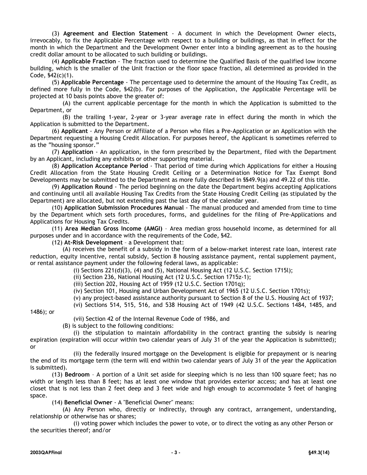(3) **Agreement and Election Statement** - A document in which the Development Owner elects, irrevocably, to fix the Applicable Percentage with respect to a building or buildings, as that in effect for the month in which the Department and the Development Owner enter into a binding agreement as to the housing credit dollar amount to be allocated to such building or buildings.

(4) **Applicable Fraction** - The fraction used to determine the Qualified Basis of the qualified low income building, which is the smaller of the Unit fraction or the floor space fraction, all determined as provided in the Code, §42(c)(1).

(5) **Applicable Percentage** - The percentage used to determine the amount of the Housing Tax Credit, as defined more fully in the Code, §42(b). For purposes of the Application, the Applicable Percentage will be projected at 10 basis points above the greater of:

(A) the current applicable percentage for the month in which the Application is submitted to the Department, or

(B) the trailing 1-year, 2-year or 3-year average rate in effect during the month in which the Application is submitted to the Department.

(6) **Applicant** - Any Person or Affiliate of a Person who files a Pre-Application or an Application with the Department requesting a Housing Credit Allocation. For purposes hereof, the Applicant is sometimes referred to as the "housing sponsor."

(7) **Application** - An application, in the form prescribed by the Department, filed with the Department by an Applicant, including any exhibits or other supporting material.

(8) **Application Acceptance Period** - That period of time during which Applications for either a Housing Credit Allocation from the State Housing Credit Ceiling or a Determination Notice for Tax Exempt Bond Developments may be submitted to the Department as more fully described in §§49.9(a) and 49.22 of this title.

(9) **Application Round** - The period beginning on the date the Department begins accepting Applications and continuing until all available Housing Tax Credits from the State Housing Credit Ceiling (as stipulated by the Department) are allocated, but not extending past the last day of the calendar year.

(10) **Application Submission Procedures Manual** - The manual produced and amended from time to time by the Department which sets forth procedures, forms, and guidelines for the filing of Pre-Applications and Applications for Housing Tax Credits.

(11) **Area Median Gross Income (AMGI)** – Area median gross household income, as determined for all purposes under and in accordance with the requirements of the Code, §42.

(12) **At-Risk Development** – a Development that:

(A) receives the benefit of a subsidy in the form of a below-market interest rate loan, interest rate reduction, equity incentive, rental subsidy, Section 8 housing assistance payment, rental supplement payment, or rental assistance payment under the following federal laws, as applicable:

(i) Sections 221(d)(3), (4) and (5), National Housing Act (12 U.S.C. Section 1715l);

(ii) Section 236, National Housing Act (12 U.S.C. Section 1715z-1);

(iii) Section 202, Housing Act of 1959 (12 U.S.C. Section 1701q);

(iv) Section 101, Housing and Urban Development Act of 1965 (12 U.S.C. Section 1701s);

(v) any project-based assistance authority pursuant to Section 8 of the U.S. Housing Act of 1937;

(vi) Sections 514, 515, 516, and 538 Housing Act of 1949 (42 U.S.C. Sections 1484, 1485, and

1486); or

(vii) Section 42 of the Internal Revenue Code of 1986, and

(B) is subject to the following conditions:

(i) the stipulation to maintain affordability in the contract granting the subsidy is nearing expiration (expiration will occur within two calendar years of July 31 of the year the Application is submitted); or

(ii) the federally insured mortgage on the Development is eligible for prepayment or is nearing the end of its mortgage term (the term will end within two calendar years of July 31 of the year the Application is submitted).

(13) **Bedroom** – A portion of a Unit set aside for sleeping which is no less than 100 square feet; has no width or length less than 8 feet; has at least one window that provides exterior access; and has at least one closet that is not less than 2 feet deep and 3 feet wide and high enough to accommodate 5 feet of hanging space.

(14) **Beneficial Owner** - A "Beneficial Owner" means:

(A) Any Person who, directly or indirectly, through any contract, arrangement, understanding, relationship or otherwise has or shares;

(i) voting power which includes the power to vote, or to direct the voting as any other Person or the securities thereof; and/or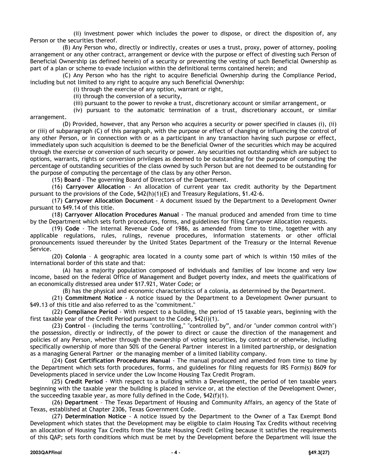(ii) investment power which includes the power to dispose, or direct the disposition of, any Person or the securities thereof.

(B) Any Person who, directly or indirectly, creates or uses a trust, proxy, power of attorney, pooling arrangement or any other contract, arrangement or device with the purpose or effect of divesting such Person of Beneficial Ownership (as defined herein) of a security or preventing the vesting of such Beneficial Ownership as part of a plan or scheme to evade inclusion within the definitional terms contained herein; and

(C) Any Person who has the right to acquire Beneficial Ownership during the Compliance Period, including but not limited to any right to acquire any such Beneficial Ownership:

(i) through the exercise of any option, warrant or right,

(ii) through the conversion of a security,

(iii) pursuant to the power to revoke a trust, discretionary account or similar arrangement, or

(iv) pursuant to the automatic termination of a trust, discretionary account, or similar

arrangement.

(D) Provided, however, that any Person who acquires a security or power specified in clauses (i), (ii) or (iii) of subparagraph (C) of this paragraph, with the purpose or effect of changing or influencing the control of any other Person, or in connection with or as a participant in any transaction having such purpose or effect, immediately upon such acquisition is deemed to be the Beneficial Owner of the securities which may be acquired through the exercise or conversion of such security or power. Any securities not outstanding which are subject to options, warrants, rights or conversion privileges as deemed to be outstanding for the purpose of computing the percentage of outstanding securities of the class owned by such Person but are not deemed to be outstanding for the purpose of computing the percentage of the class by any other Person.

(15) **Board** - The governing Board of Directors of the Department.

(16) **Carryover Allocation** - An allocation of current year tax credit authority by the Department pursuant to the provisions of the Code, §42(h)(1)(E) and Treasury Regulations, §1.42-6.

(17) **Carryover Allocation Document** - A document issued by the Department to a Development Owner pursuant to §49.14 of this title.

(18) **Carryover Allocation Procedures Manual** - The manual produced and amended from time to time by the Department which sets forth procedures, forms, and guidelines for filing Carryover Allocation requests.

(19) **Code** - The Internal Revenue Code of 1986, as amended from time to time, together with any applicable regulations, rules, rulings, revenue procedures, information statements or other official pronouncements issued thereunder by the United States Department of the Treasury or the Internal Revenue Service.

(20) **Colonia** – A geographic area located in a county some part of which is within 150 miles of the international border of this state and that:

(A) has a majority population composed of individuals and families of low income and very low income, based on the federal Office of Management and Budget poverty index, and meets the qualifications of an economically distressed area under §17.921, Water Code; or

(B) has the physical and economic characteristics of a colonia, as determined by the Department.

(21) **Commitment Notice** - A notice issued by the Department to a Development Owner pursuant to §49.13 of this title and also referred to as the "commitment."

(22) **Compliance Period** - With respect to a building, the period of 15 taxable years, beginning with the first taxable year of the Credit Period pursuant to the Code, §42(i)(1).

(23) **Control** - (including the terms "controlling," "controlled by", and/or "under common control with") the possession, directly or indirectly, of the power to direct or cause the direction of the management and policies of any Person, whether through the ownership of voting securities, by contract or otherwise, including specifically ownership of more than 50% of the General Partner interest in a limited partnership, or designation as a managing General Partner or the managing member of a limited liability company.

(24) **Cost Certification Procedures Manual** - The manual produced and amended from time to time by the Department which sets forth procedures, forms, and guidelines for filing requests for IRS Form(s) 8609 for Developments placed in service under the Low Income Housing Tax Credit Program.

(25) **Credit Period** - With respect to a building within a Development, the period of ten taxable years beginning with the taxable year the building is placed in service or, at the election of the Development Owner, the succeeding taxable year, as more fully defined in the Code, §42(f)(1).

(26) **Department** – The Texas Department of Housing and Community Affairs, an agency of the State of Texas, established at Chapter 2306, Texas Government Code.

(27) **Determination Notice** - A notice issued by the Department to the Owner of a Tax Exempt Bond Development which states that the Development may be eligible to claim Housing Tax Credits without receiving an allocation of Housing Tax Credits from the State Housing Credit Ceiling because it satisfies the requirements of this QAP; sets forth conditions which must be met by the Development before the Department will issue the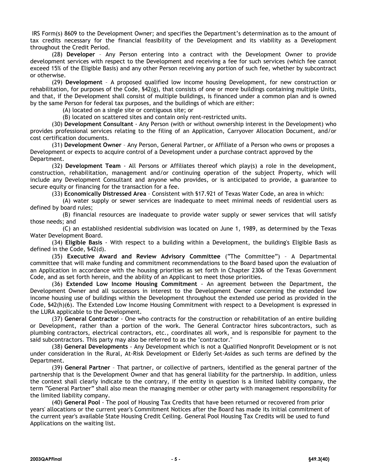IRS Form(s) 8609 to the Development Owner; and specifies the Department's determination as to the amount of tax credits necessary for the financial feasibility of the Development and its viability as a Development throughout the Credit Period.

(28) **Developer** – Any Person entering into a contract with the Development Owner to provide development services with respect to the Development and receiving a fee for such services (which fee cannot exceed 15% of the Eligible Basis) and any other Person receiving any portion of such fee, whether by subcontract or otherwise.

(29) **Development** – A proposed qualified low income housing Development, for new construction or rehabilitation, for purposes of the Code, §42(g), that consists of one or more buildings containing multiple Units, and that, if the Development shall consist of multiple buildings, is financed under a common plan and is owned by the same Person for federal tax purposes, and the buildings of which are either:

(A) located on a single site or contiguous site; or

(B) located on scattered sites and contain only rent-restricted units.

(30) **Development Consultant** - Any Person (with or without ownership interest in the Development) who provides professional services relating to the filing of an Application, Carryover Allocation Document, and/or cost certification documents.

(31) **Development Owner** – Any Person, General Partner, or Affiliate of a Person who owns or proposes a Development or expects to acquire control of a Development under a purchase contract approved by the Department.

(32) **Development Team** - All Persons or Affiliates thereof which play(s) a role in the development, construction, rehabilitation, management and/or continuing operation of the subject Property, which will include any Development Consultant and anyone who provides, or is anticipated to provide, a guarantee to secure equity or financing for the transaction for a fee.

(33) **Economically Distressed Area** – Consistent with §17.921 of Texas Water Code, an area in which:

(A) water supply or sewer services are inadequate to meet minimal needs of residential users as defined by board rules;

(B) financial resources are inadequate to provide water supply or sewer services that will satisfy those needs; and

(C) an established residential subdivision was located on June 1, 1989, as determined by the Texas Water Development Board.

(34) **Eligible Basis** - With respect to a building within a Development, the building's Eligible Basis as defined in the Code, §42(d).

(35) **Executive Award and Review Advisory Committee** ("The Committee") – A Departmental committee that will make funding and commitment recommendations to the Board based upon the evaluation of an Application in accordance with the housing priorities as set forth in Chapter 2306 of the Texas Government Code, and as set forth herein, and the ability of an Applicant to meet those priorities.

(36) **Extended Low Income Housing Commitment** - An agreement between the Department, the Development Owner and all successors in interest to the Development Owner concerning the extended low income housing use of buildings within the Development throughout the extended use period as provided in the Code, §42(h)(6). The Extended Low Income Housing Commitment with respect to a Development is expressed in the LURA applicable to the Development.

(37) **General Contractor** - One who contracts for the construction or rehabilitation of an entire building or Development, rather than a portion of the work. The General Contractor hires subcontractors, such as plumbing contractors, electrical contractors, etc., coordinates all work, and is responsible for payment to the said subcontractors. This party may also be referred to as the "contractor."

(38) **General Developments** - Any Development which is not a Qualified Nonprofit Development or is not under consideration in the Rural, At-Risk Development or Elderly Set-Asides as such terms are defined by the Department.

(39) **General Partner** – That partner, or collective of partners, identified as the general partner of the partnership that is the Development Owner and that has general liability for the partnership. In addition, unless the context shall clearly indicate to the contrary, if the entity in question is a limited liability company, the term "General Partner" shall also mean the managing member or other party with management responsibility for the limited liability company.

(40) **General Pool** - The pool of Housing Tax Credits that have been returned or recovered from prior years' allocations or the current year's Commitment Notices after the Board has made its initial commitment of the current year's available State Housing Credit Ceiling. General Pool Housing Tax Credits will be used to fund Applications on the waiting list.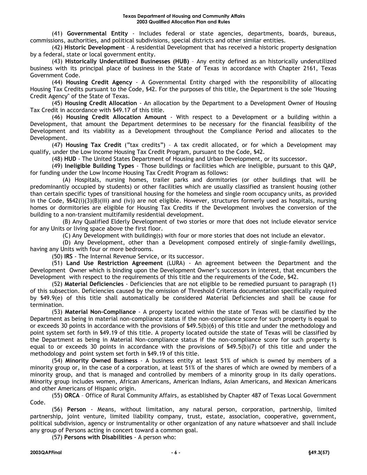(41) **Governmental Entity** - Includes federal or state agencies, departments, boards, bureaus, commissions, authorities, and political subdivisions, special districts and other similar entities.

(42) **Historic Development** – A residential Development that has received a historic property designation by a federal, state or local government entity.

(43) **Historically Underutilized Businesses (HUB)** – Any entity defined as an historically underutilized business with its principal place of business in the State of Texas in accordance with Chapter 2161, Texas Government Code.

(44) **Housing Credit Agency** - A Governmental Entity charged with the responsibility of allocating Housing Tax Credits pursuant to the Code, §42. For the purposes of this title, the Department is the sole "Housing Credit Agency" of the State of Texas.

(45) **Housing Credit Allocation** - An allocation by the Department to a Development Owner of Housing Tax Credit in accordance with §49.17 of this title.

(46) **Housing Credit Allocation Amount** - With respect to a Development or a building within a Development, that amount the Department determines to be necessary for the financial feasibility of the Development and its viability as a Development throughout the Compliance Period and allocates to the Development.

(47) **Housing Tax Credit** ("tax credits") – A tax credit allocated, or for which a Development may qualify, under the Low Income Housing Tax Credit Program, pursuant to the Code, §42.

(48) **HUD** - The United States Department of Housing and Urban Development, or its successor.

(49) **Ineligible Building Types** - Those buildings or facilities which are ineligible, pursuant to this QAP, for funding under the Low Income Housing Tax Credit Program as follows:

(A) Hospitals, nursing homes, trailer parks and dormitories (or other buildings that will be predominantly occupied by students) or other facilities which are usually classified as transient housing (other than certain specific types of transitional housing for the homeless and single room occupancy units, as provided in the Code, §§42(i)(3)(B)(iii) and (iv)) are not eligible. However, structures formerly used as hospitals, nursing homes or dormitories are eligible for Housing Tax Credits if the Development involves the conversion of the building to a non-transient multifamily residential development.

(B) Any Qualified Elderly Development of two stories or more that does not include elevator service for any Units or living space above the first floor.

(C) Any Development with building(s) with four or more stories that does not include an elevator.

(D) Any Development, other than a Development composed entirely of single-family dwellings, having any Units with four or more bedrooms.

(50) **IRS** - The Internal Revenue Service, or its successor.

(51) **Land Use Restriction Agreement** (LURA) - An agreement between the Department and the Development Owner which is binding upon the Development Owner's successors in interest, that encumbers the Development with respect to the requirements of this title and the requirements of the Code, §42.

(52) **Material Deficiencies** - Deficiencies that are not eligible to be remedied pursuant to paragraph (1) of this subsection. Deficiencies caused by the omission of Threshold Criteria documentation specifically required by §49.9(e) of this title shall automatically be considered Material Deficiencies and shall be cause for termination.

(53) **Material Non-Compliance** - A property located within the state of Texas will be classified by the Department as being in material non-compliance status if the non-compliance score for such property is equal to or exceeds 30 points in accordance with the provisions of §49.5(b)(6) of this title and under the methodology and point system set forth in §49.19 of this title. A property located outside the state of Texas will be classified by the Department as being in Material Non-compliance status if the non-compliance score for such property is equal to or exceeds 30 points in accordance with the provisions of §49.5(b)(7) of this title and under the methodology and point system set forth in §49.19 of this title.

(54) **Minority Owned Business** - A business entity at least 51% of which is owned by members of a minority group or, in the case of a corporation, at least 51% of the shares of which are owned by members of a minority group, and that is managed and controlled by members of a minority group in its daily operations. Minority group includes women, African Americans, American Indians, Asian Americans, and Mexican Americans and other Americans of Hispanic origin.

(55) **ORCA** – Office of Rural Community Affairs, as established by Chapter 487 of Texas Local Government Code.

(56) **Person** - Means, without limitation, any natural person, corporation, partnership, limited partnership, joint venture, limited liability company, trust, estate, association, cooperative, government, political subdivision, agency or instrumentality or other organization of any nature whatsoever and shall include any group of Persons acting in concert toward a common goal.

(57) **Persons with Disabilities** - A person who: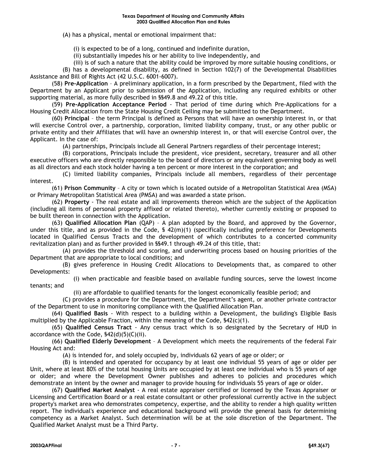#### **Texas Department of Housing and Community Affairs 2003 Qualified Allocation Plan and Rules**

(A) has a physical, mental or emotional impairment that:

(i) is expected to be of a long, continued and indefinite duration,

(ii) substantially impedes his or her ability to live independently, and

(iii) is of such a nature that the ability could be improved by more suitable housing conditions, or (B) has a developmental disability, as defined in Section 102(7) of the Developmental Disabilities

Assistance and Bill of Rights Act (42 U.S.C. 6001-6007). (58) **Pre-Application** – A preliminary application, in a form prescribed by the Department, filed with the Department by an Applicant prior to submission of the Application, including any required exhibits or other supporting material, as more fully described in §§49.8 and 49.22 of this title.

(59) **Pre-Application Acceptance Period** - That period of time during which Pre-Applications for a Housing Credit Allocation from the State Housing Credit Ceiling may be submitted to the Department.

(60) **Principal** – the term Principal is defined as Persons that will have an ownership interest in, or that will exercise Control over, a partnership, corporation, limited liability company, trust, or any other public or private entity and their Affiliates that will have an ownership interest in, or that will exercise Control over, the Applicant. In the case of:

(A) partnerships, Principals include all General Partners regardless of their percentage interest;

(B) corporations, Principals include the president, vice president, secretary, treasurer and all other executive officers who are directly responsible to the board of directors or any equivalent governing body as well as all directors and each stock holder having a ten percent or more interest in the corporation; and

(C) limited liability companies, Principals include all members, regardless of their percentage interest.

(61) **Prison Community** – A city or town which is located outside of a Metropolitan Statistical Area (MSA) or Primary Metropolitan Statistical Area (PMSA) and was awarded a state prison.

(62) **Property** - The real estate and all improvements thereon which are the subject of the Application (including all items of personal property affixed or related thereto), whether currently existing or proposed to be built thereon in connection with the Application.

(63) **Qualified Allocation Plan** (QAP) – A plan adopted by the Board, and approved by the Governor, under this title, and as provided in the Code, § 42(m)(1) (specifically including preference for Developments located in Qualified Census Tracts and the development of which contributes to a concerted community revitalization plan) and as further provided in §§49.1 through 49.24 of this title, that:

(A) provides the threshold and scoring, and underwriting process based on housing priorities of the Department that are appropriate to local conditions; and

(B) gives preference in Housing Credit Allocations to Developments that, as compared to other Developments:

(i) when practicable and feasible based on available funding sources, serve the lowest income tenants; and

(ii) are affordable to qualified tenants for the longest economically feasible period; and

(C) provides a procedure for the Department, the Department's agent, or another private contractor of the Department to use in monitoring compliance with the Qualified Allocation Plan.

(64) **Qualified Basis** - With respect to a building within a Development, the building's Eligible Basis multiplied by the Applicable Fraction, within the meaning of the Code,  $\frac{542(c)(1)}{2}$ .

(65) **Qualified Census Tract** - Any census tract which is so designated by the Secretary of HUD in accordance with the Code, §42(d)(5)(C)(ii).

(66) **Qualified Elderly Development** – A Development which meets the requirements of the federal Fair Housing Act and:

(A) is intended for, and solely occupied by, individuals 62 years of age or older; or

(B) is intended and operated for occupancy by at least one individual 55 years of age or older per Unit, where at least 80% of the total housing Units are occupied by at least one individual who is 55 years of age or older; and where the Development Owner publishes and adheres to policies and procedures which demonstrate an intent by the owner and manager to provide housing for individuals 55 years of age or older.

(67) **Qualified Market Analyst** - A real estate appraiser certified or licensed by the Texas Appraiser or Licensing and Certification Board or a real estate consultant or other professional currently active in the subject property's market area who demonstrates competency, expertise, and the ability to render a high quality written report. The individual's experience and educational background will provide the general basis for determining competency as a Market Analyst. Such determination will be at the sole discretion of the Department. The Qualified Market Analyst must be a Third Party.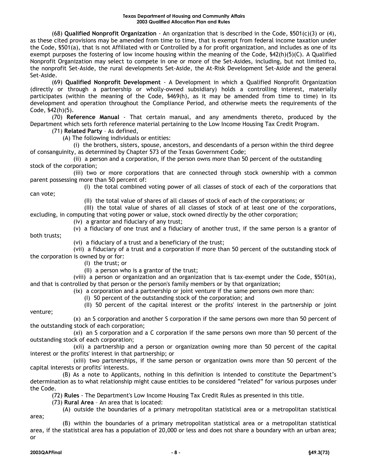(68) **Qualified Nonprofit Organization** - An organization that is described in the Code, §501(c)(3) or (4), as these cited provisions may be amended from time to time, that is exempt from federal income taxation under the Code, §501(a), that is not Affiliated with or Controlled by a for profit organization, and includes as one of its exempt purposes the fostering of low income housing within the meaning of the Code, §42(h)(5)(C). A Qualified Nonprofit Organization may select to compete in one or more of the Set-Asides, including, but not limited to, the nonprofit Set-Aside, the rural developments Set-Aside, the At-Risk Development Set-Aside and the general Set-Aside.

(69) **Qualified Nonprofit Development** - A Development in which a Qualified Nonprofit Organization (directly or through a partnership or wholly-owned subsidiary) holds a controlling interest, materially participates (within the meaning of the Code, §469(h), as it may be amended from time to time) in its development and operation throughout the Compliance Period, and otherwise meets the requirements of the Code, §42(h)(5).

(70) **Reference Manual** - That certain manual, and any amendments thereto, produced by the Department which sets forth reference material pertaining to the Low Income Housing Tax Credit Program.

(71) **Related Party** – As defined,

(A) The following individuals or entities:

(i) the brothers, sisters, spouse, ancestors, and descendants of a person within the third degree of consanguinity, as determined by Chapter 573 of the Texas Government Code;

(ii) a person and a corporation, if the person owns more than 50 percent of the outstanding stock of the corporation;

(iii) two or more corporations that are connected through stock ownership with a common parent possessing more than 50 percent of:

(I) the total combined voting power of all classes of stock of each of the corporations that can vote;

(II) the total value of shares of all classes of stock of each of the corporations; or

(III) the total value of shares of all classes of stock of at least one of the corporations,

excluding, in computing that voting power or value, stock owned directly by the other corporation;

(iv) a grantor and fiduciary of any trust;

(v) a fiduciary of one trust and a fiduciary of another trust, if the same person is a grantor of both trusts;

(vi) a fiduciary of a trust and a beneficiary of the trust;

(vii) a fiduciary of a trust and a corporation if more than 50 percent of the outstanding stock of the corporation is owned by or for:

(I) the trust; or

(II) a person who is a grantor of the trust;

(viii) a person or organization and an organization that is tax-exempt under the Code, §501(a), and that is controlled by that person or the person's family members or by that organization;

(ix) a corporation and a partnership or joint venture if the same persons own more than:

(I) 50 percent of the outstanding stock of the corporation; and

(II) 50 percent of the capital interest or the profits' interest in the partnership or joint venture;

(x) an S corporation and another S corporation if the same persons own more than 50 percent of the outstanding stock of each corporation;

(xi) an S corporation and a C corporation if the same persons own more than 50 percent of the outstanding stock of each corporation;

(xii) a partnership and a person or organization owning more than 50 percent of the capital interest or the profits' interest in that partnership; or

(xiii) two partnerships, if the same person or organization owns more than 50 percent of the capital interests or profits' interests.

(B) As a note to Applicants, nothing in this definition is intended to constitute the Department's determination as to what relationship might cause entities to be considered "related" for various purposes under the Code.

(72) **Rules** - The Department's Low Income Housing Tax Credit Rules as presented in this title.

(73) **Rural Area** – An area that is located:

(A) outside the boundaries of a primary metropolitan statistical area or a metropolitan statistical

(B) within the boundaries of a primary metropolitan statistical area or a metropolitan statistical area, if the statistical area has a population of 20,000 or less and does not share a boundary with an urban area; or

area;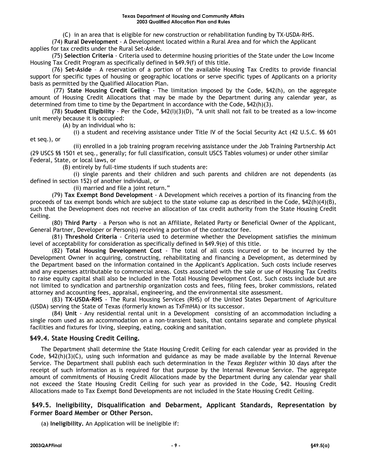(C) in an area that is eligible for new construction or rehabilitation funding by TX-USDA-RHS.

(74) **Rural Development** - A Development located within a Rural Area and for which the Applicant applies for tax credits under the Rural Set-Aside.

(75) **Selection Criteria** - Criteria used to determine housing priorities of the State under the Low Income Housing Tax Credit Program as specifically defined in §49.9(f) of this title.

(76) **Set-Aside** – A reservation of a portion of the available Housing Tax Credits to provide financial support for specific types of housing or geographic locations or serve specific types of Applicants on a priority basis as permitted by the Qualified Allocation Plan.

(77) **State Housing Credit Ceiling** - The limitation imposed by the Code, §42(h), on the aggregate amount of Housing Credit Allocations that may be made by the Department during any calendar year, as determined from time to time by the Department in accordance with the Code, §42(h)(3).

(78) **Student Eligibility** - Per the Code, §42(I)(3)(D), "A unit shall not fail to be treated as a low-income unit merely because it is occupied:

(A) by an individual who is:

(i) a student and receiving assistance under Title IV of the Social Security Act (42 U.S.C. §§ 601 et seq.), or

(ii) enrolled in a job training program receiving assistance under the Job Training Partnership Act (29 USCS §§ 1501 et seq., generally; for full classification, consult USCS Tables volumes) or under other similar Federal, State, or local laws, or

(B) entirely by full-time students if such students are:

(i) single parents and their children and such parents and children are not dependents (as defined in section 152) of another individual, or

(ii) married and file a joint return."

(79) **Tax Exempt Bond Development** - A Development which receives a portion of its financing from the proceeds of tax exempt bonds which are subject to the state volume cap as described in the Code, §42(h)(4)(B), such that the Development does not receive an allocation of tax credit authority from the State Housing Credit Ceiling.

(80) **Third Party** – a Person who is not an Affiliate, Related Party or Beneficial Owner of the Applicant, General Partner, Developer or Person(s) receiving a portion of the contractor fee.

(81) **Threshold Criteria** - Criteria used to determine whether the Development satisfies the minimum level of acceptability for consideration as specifically defined in §49.9(e) of this title.

(82) **Total Housing Development Cost** - The total of all costs incurred or to be incurred by the Development Owner in acquiring, constructing, rehabilitating and financing a Development, as determined by the Department based on the information contained in the Applicant's Application. Such costs include reserves and any expenses attributable to commercial areas. Costs associated with the sale or use of Housing Tax Credits to raise equity capital shall also be included in the Total Housing Development Cost. Such costs include but are not limited to syndication and partnership organization costs and fees, filing fees, broker commissions, related attorney and accounting fees, appraisal, engineering, and the environmental site assessment.

(83) **TX-USDA-RHS** - The Rural Housing Services (RHS) of the United States Department of Agriculture (USDA) serving the State of Texas (formerly known as TxFmHA) or its successor.

(84) **Unit** - Any residential rental unit in a Development consisting of an accommodation including a single room used as an accommodation on a non-transient basis, that contains separate and complete physical facilities and fixtures for living, sleeping, eating, cooking and sanitation.

# **§49.4. State Housing Credit Ceiling.**

The Department shall determine the State Housing Credit Ceiling for each calendar year as provided in the Code, §42(h)(3)(C), using such information and guidance as may be made available by the Internal Revenue Service. The Department shall publish each such determination in the *Texas Register* within 30 days after the receipt of such information as is required for that purpose by the Internal Revenue Service. The aggregate amount of commitments of Housing Credit Allocations made by the Department during any calendar year shall not exceed the State Housing Credit Ceiling for such year as provided in the Code, §42. Housing Credit Allocations made to Tax Exempt Bond Developments are not included in the State Housing Credit Ceiling.

# **§49.5. Ineligibility, Disqualification and Debarment, Applicant Standards, Representation by Former Board Member or Other Person.**

(a) **Ineligibility.** An Application will be ineligible if: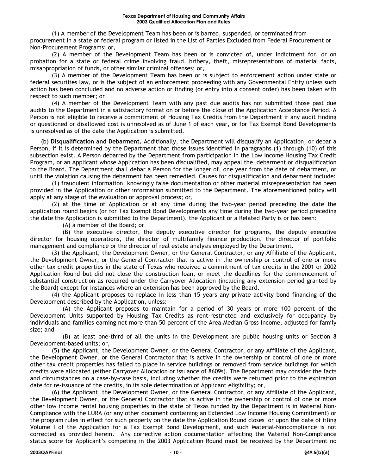(1) A member of the Development Team has been or is barred, suspended, or terminated from procurement in a state or federal program or listed in the List of Parties Excluded from Federal Procurement or Non-Procurement Programs; or,

(2) A member of the Development Team has been or is convicted of, under indictment for, or on probation for a state or federal crime involving fraud, bribery, theft, misrepresentations of material facts, misappropriation of funds, or other similar criminal offenses; or,

(3) A member of the Development Team has been or is subject to enforcement action under state or federal securities law, or is the subject of an enforcement proceeding with any Governmental Entity unless such action has been concluded and no adverse action or finding (or entry into a consent order) has been taken with respect to such member; or

(4) A member of the Development Team with any past due audits has not submitted those past due audits to the Department in a satisfactory format on or before the close of the Application Acceptance Period. A Person is not eligible to receive a commitment of Housing Tax Credits from the Department if any audit finding or questioned or disallowed cost is unresolved as of June 1 of each year, or for Tax Exempt Bond Developments is unresolved as of the date the Application is submitted.

(b) **Disqualification and Debarment.** Additionally, the Department will disqualify an Application, or debar a Person, if it is determined by the Department that those issues identified in paragraphs (1) through (10) of this subsection exist. A Person debarred by the Department from participation in the Low Income Housing Tax Credit Program, or an Applicant whose Application has been disqualified, may appeal the debarment or disqualification to the Board. The Department shall debar a Person for the longer of, one year from the date of debarment, or until the violation causing the debarment has been remedied. Causes for disqualification and debarment include:

(1) fraudulent information, knowingly false documentation or other material misrepresentation has been provided in the Application or other information submitted to the Department. The aforementioned policy will apply at any stage of the evaluation or approval process; or,

(2) at the time of Application or at any time during the two-year period preceding the date the application round begins (or for Tax Exempt Bond Developments any time during the two-year period preceding the date the Application is submitted to the Department), the Applicant or a Related Party is or has been:

(A) a member of the Board; or

(B) the executive director, the deputy executive director for programs, the deputy executive director for housing operations, the director of multifamily finance production, the director of portfolio management and compliance or the director of real estate analysis employed by the Department.

(3) the Applicant, the Development Owner, or the General Contractor, or any Affiliate of the Applicant, the Development Owner, or the General Contractor that is active in the ownership or control of one or more other tax credit properties in the state of Texas who received a commitment of tax credits in the 2001 or 2002 Application Round but did not close the construction loan, or meet the deadlines for the commencement of substantial construction as required under the Carryover Allocation (including any extension period granted by the Board) except for instances where an extension has been approved by the Board.

(4) the Applicant proposes to replace in less than 15 years any private activity bond financing of the Development described by the Application, unless:

(A) the Applicant proposes to maintain for a period of 30 years or more 100 percent of the Development Units supported by Housing Tax Credits as rent-restricted and exclusively for occupancy by individuals and families earning not more than 50 percent of the Area Median Gross Income, adjusted for family size; and

(B) at least one-third of all the units in the Development are public housing units or Section 8 Development-based units; or,

(5) the Applicant, the Development Owner, or the General Contractor, or any Affiliate of the Applicant, the Development Owner, or the General Contractor that is active in the ownership or control of one or more other tax credit properties has failed to place in service buildings or removed from service buildings for which credits were allocated (either Carryover Allocation or issuance of 8609s). The Department may consider the facts and circumstances on a case-by-case basis, including whether the credits were returned prior to the expiration date for re-issuance of the credits, in its sole determination of Applicant eligibility; or,

(6) the Applicant, the Development Owner, or the General Contractor, or any Affiliate of the Applicant, the Development Owner, or the General Contractor that is active in the ownership or control of one or more other low income rental housing properties in the state of Texas funded by the Department is in Material Non-Compliance with the LURA (or any other document containing an Extended Low Income Housing Commitment) or the program rules in effect for such property on the date the Application Round closes or upon the date of filing Volume I of the Application for a Tax Exempt Bond Development, and such Material-Noncompliance is not corrected as provided herein. Any corrective action documentation affecting the Material Non-Compliance status score for Applicant's competing in the 2003 Application Round must be received by the Department no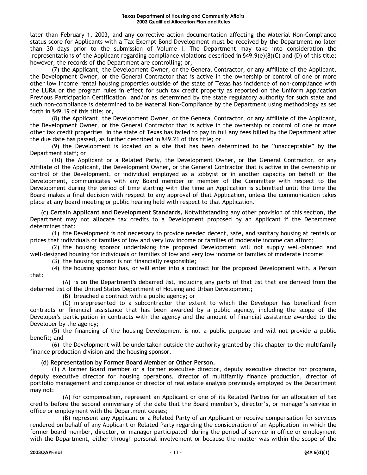later than February 1, 2003, and any corrective action documentation affecting the Material Non-Compliance status score for Applicants with a Tax Exempt Bond Development must be received by the Department no later than 30 days prior to the submission of Volume I. The Department may take into consideration the representations of the Applicant regarding compliance violations described in §49.9(e)(8)(C) and (D) of this title; however, the records of the Department are controlling; or,

(7) the Applicant, the Development Owner, or the General Contractor, or any Affiliate of the Applicant, the Development Owner, or the General Contractor that is active in the ownership or control of one or more other low income rental housing properties outside of the state of Texas has incidence of non-compliance with the LURA or the program rules in effect for such tax credit property as reported on the Uniform Application Previous Participation Certification and/or as determined by the state regulatory authority for such state and such non-compliance is determined to be Material Non-Compliance by the Department using methodology as set forth in §49.19 of this title; or,

(8) the Applicant, the Development Owner, or the General Contractor, or any Affiliate of the Applicant, the Development Owner, or the General Contractor that is active in the ownership or control of one or more other tax credit properties in the state of Texas has failed to pay in full any fees billed by the Department after the due date has passed, as further described in §49.21 of this title; or

(9) the Development is located on a site that has been determined to be "unacceptable" by the Department staff; or

(10) the Applicant or a Related Party, the Development Owner, or the General Contractor, or any Affiliate of the Applicant, the Development Owner, or the General Contractor that is active in the ownership or control of the Development, or individual employed as a lobbyist or in another capacity on behalf of the Development, communicates with any Board member or member of the Committee with respect to the Development during the period of time starting with the time an Application is submitted until the time the Board makes a final decision with respect to any approval of that Application, unless the communication takes place at any board meeting or public hearing held with respect to that Application.

(c) **Certain Applicant and Development Standards.** Notwithstanding any other provision of this section, the Department may not allocate tax credits to a Development proposed by an Applicant if the Department determines that:

(1) the Development is not necessary to provide needed decent, safe, and sanitary housing at rentals or prices that individuals or families of low and very low income or families of moderate income can afford;

(2) the housing sponsor undertaking the proposed Development will not supply well-planned and well-designed housing for individuals or families of low and very low income or families of moderate income;

(3) the housing sponsor is not financially responsible;

(4) the housing sponsor has, or will enter into a contract for the proposed Development with, a Person that:

(A) is on the Department's debarred list, including any parts of that list that are derived from the debarred list of the United States Department of Housing and Urban Development;

(B) breached a contract with a public agency; or

(C) misrepresented to a subcontractor the extent to which the Developer has benefited from contracts or financial assistance that has been awarded by a public agency, including the scope of the Developer's participation in contracts with the agency and the amount of financial assistance awarded to the Developer by the agency;

(5) the financing of the housing Development is not a public purpose and will not provide a public benefit; and

(6) the Development will be undertaken outside the authority granted by this chapter to the multifamily finance production division and the housing sponsor.

#### (d) **Representation by Former Board Member or Other Person.**

(1) A former Board member or a former executive director, deputy executive director for programs, deputy executive director for housing operations, director of multifamily finance production, director of portfolio management and compliance or director of real estate analysis previously employed by the Department may not:

(A) for compensation, represent an Applicant or one of its Related Parties for an allocation of tax credits before the second anniversary of the date that the Board member's, director's, or manager's service in office or employment with the Department ceases;

(B) represent any Applicant or a Related Party of an Applicant or receive compensation for services rendered on behalf of any Applicant or Related Party regarding the consideration of an Application in which the former board member, director, or manager participated during the period of service in office or employment with the Department, either through personal involvement or because the matter was within the scope of the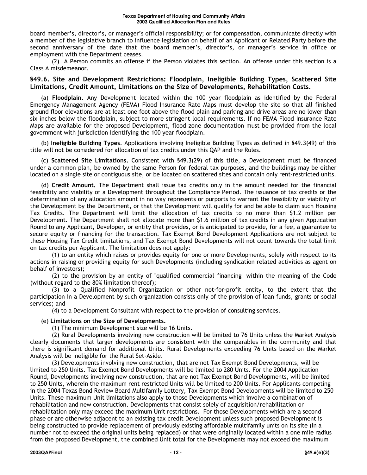board member's, director's, or manager's official responsibility; or for compensation, communicate directly with a member of the legislative branch to influence legislation on behalf of an Applicant or Related Party before the second anniversary of the date that the board member's, director's, or manager's service in office or employment with the Department ceases.

(2) A Person commits an offense if the Person violates this section. An offense under this section is a Class A misdemeanor.

#### **§49.6. Site and Development Restrictions: Floodplain, Ineligible Building Types, Scattered Site Limitations, Credit Amount, Limitations on the Size of Developments, Rehabilitation Costs.**

(a) **Floodplain.** Any Development located within the 100 year floodplain as identified by the Federal Emergency Management Agency (FEMA) Flood Insurance Rate Maps must develop the site so that all finished ground floor elevations are at least one foot above the flood plain and parking and drive areas are no lower than six inches below the floodplain, subject to more stringent local requirements. If no FEMA Flood Insurance Rate Maps are available for the proposed Development, flood zone documentation must be provided from the local government with jurisdiction identifying the 100 year floodplain.

(b) **Ineligible Building Types**. Applications involving Ineligible Building Types as defined in §49.3(49) of this title will not be considered for allocation of tax credits under this QAP and the Rules.

(c) **Scattered Site Limitations.** Consistent with §49.3(29) of this title, a Development must be financed under a common plan, be owned by the same Person for federal tax purposes, and the buildings may be either located on a single site or contiguous site, or be located on scattered sites and contain only rent-restricted units.

(d) **Credit Amount.** The Department shall issue tax credits only in the amount needed for the financial feasibility and viability of a Development throughout the Compliance Period. The issuance of tax credits or the determination of any allocation amount in no way represents or purports to warrant the feasibility or viability of the Development by the Department, or that the Development will qualify for and be able to claim such Housing Tax Credits. The Department will limit the allocation of tax credits to no more than \$1.2 million per Development. The Department shall not allocate more than \$1.6 million of tax credits in any given Application Round to any Applicant, Developer, or entity that provides, or is anticipated to provide, for a fee, a guarantee to secure equity or financing for the transaction. Tax Exempt Bond Development Applications are not subject to these Housing Tax Credit limitations, and Tax Exempt Bond Developments will not count towards the total limit on tax credits per Applicant. The limitation does not apply:

(1) to an entity which raises or provides equity for one or more Developments, solely with respect to its actions in raising or providing equity for such Developments (including syndication related activities as agent on behalf of investors);

(2) to the provision by an entity of "qualified commercial financing" within the meaning of the Code (without regard to the 80% limitation thereof);

(3) to a Qualified Nonprofit Organization or other not-for-profit entity, to the extent that the participation in a Development by such organization consists only of the provision of loan funds, grants or social services; and

(4) to a Development Consultant with respect to the provision of consulting services.

#### (e) **Limitations on the Size of Developments.**

(1) The minimum Development size will be 16 Units.

(2) Rural Developments involving new construction will be limited to 76 Units unless the Market Analysis clearly documents that larger developments are consistent with the comparables in the community and that there is significant demand for additional Units. Rural Developments exceeding 76 Units based on the Market Analysis will be ineligible for the Rural Set-Aside.

(3) Developments involving new construction, that are not Tax Exempt Bond Developments, will be limited to 250 Units. Tax Exempt Bond Developments will be limited to 280 Units. For the 2004 Application Round, Developments involving new construction, that are not Tax Exempt Bond Developments, will be limited to 250 Units, wherein the maximum rent restricted Units will be limited to 200 Units. For Applicants competing in the 2004 Texas Bond Review Board Multifamily Lottery, Tax Exempt Bond Developments will be limited to 250 Units. These maximum Unit limitations also apply to those Developments which involve a combination of rehabilitation and new construction. Developments that consist solely of acquisition/rehabilitation or rehabilitation only may exceed the maximum Unit restrictions. For those Developments which are a second phase or are otherwise adjacent to an existing tax credit Development unless such proposed Development is being constructed to provide replacement of previously existing affordable multifamily units on its site (in a number not to exceed the original units being replaced) or that were originally located within a one mile radius from the proposed Development, the combined Unit total for the Developments may not exceed the maximum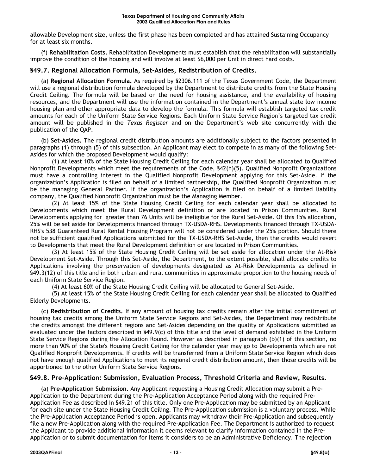allowable Development size, unless the first phase has been completed and has attained Sustaining Occupancy for at least six months.

(f) **Rehabilitation Costs.** Rehabilitation Developments must establish that the rehabilitation will substantially improve the condition of the housing and will involve at least \$6,000 per Unit in direct hard costs.

# **§49.7. Regional Allocation Formula, Set-Asides, Redistribution of Credits.**

(a) **Regional Allocation Formula.** As required by §2306.111 of the Texas Government Code, the Department will use a regional distribution formula developed by the Department to distribute credits from the State Housing Credit Ceiling. The formula will be based on the need for housing assistance, and the availability of housing resources, and the Department will use the information contained in the Department's annual state low income housing plan and other appropriate data to develop the formula. This formula will establish targeted tax credit amounts for each of the Uniform State Service Regions. Each Uniform State Service Region's targeted tax credit amount will be published in the *Texas Register* and on the Department's web site concurrently with the publication of the QAP.

(b) **Set-Asides.** The regional credit distribution amounts are additionally subject to the factors presented in paragraphs (1) through (5) of this subsection. An Applicant may elect to compete in as many of the following Set-Asides for which the proposed Development would qualify:

(1) At least 10% of the State Housing Credit Ceiling for each calendar year shall be allocated to Qualified Nonprofit Developments which meet the requirements of the Code, §42(h)(5). Qualified Nonprofit Organizations must have a controlling interest in the Qualified Nonprofit Development applying for this Set-Aside. If the organization's Application is filed on behalf of a limited partnership, the Qualified Nonprofit Organization must be the managing General Partner. If the organization's Application is filed on behalf of a limited liability company, the Qualified Nonprofit Organization must be the Managing Member.

(2) At least 15% of the State Housing Credit Ceiling for each calendar year shall be allocated to Developments which meet the Rural Development definition or are located in Prison Communities. Rural Developments applying for greater than 76 Units will be ineligible for the Rural Set-Aside. Of this 15% allocation, 25% will be set aside for Developments financed through TX-USDA-RHS. Developments financed through TX-USDA-RHS's 538 Guaranteed Rural Rental Housing Program will not be considered under the 25% portion. Should there not be sufficient qualified Applications submitted for the TX-USDA-RHS Set-Aside, then the credits would revert to Developments that meet the Rural Development definition or are located in Prison Communities.

(3) At least 15% of the State Housing Credit Ceiling will be set aside for allocation under the At-Risk Development Set-Aside. Through this Set-Aside, the Department, to the extent possible, shall allocate credits to Applications involving the preservation of developments designated as At-Risk Developments as defined in §49.3(12) of this title and in both urban and rural communities in approximate proportion to the housing needs of each Uniform State Service Region.

(4) At least 60% of the State Housing Credit Ceiling will be allocated to General Set-Aside.

(5) At least 15% of the State Housing Credit Ceiling for each calendar year shall be allocated to Qualified Elderly Developments.

(c) **Redistribution of Credits.** If any amount of housing tax credits remain after the initial commitment of housing tax credits among the Uniform State Service Regions and Set-Asides, the Department may redistribute the credits amongst the different regions and Set-Asides depending on the quality of Applications submitted as evaluated under the factors described in §49.9(c) of this title and the level of demand exhibited in the Uniform State Service Regions during the Allocation Round. However as described in paragraph (b)(1) of this section, no more than 90% of the State's Housing Credit Ceiling for the calendar year may go to Developments which are not Qualified Nonprofit Developments. If credits will be transferred from a Uniform State Service Region which does not have enough qualified Applications to meet its regional credit distribution amount, then those credits will be apportioned to the other Uniform State Service Regions.

# **§49.8. Pre-Application: Submission, Evaluation Process, Threshold Criteria and Review, Results.**

(a) **Pre-Application Submission**. Any Applicant requesting a Housing Credit Allocation may submit a Pre-Application to the Department during the Pre-Application Acceptance Period along with the required Pre-Application Fee as described in §49.21 of this title. Only one Pre-Application may be submitted by an Applicant for each site under the State Housing Credit Ceiling. The Pre-Application submission is a voluntary process. While the Pre-Application Acceptance Period is open, Applicants may withdraw their Pre-Application and subsequently file a new Pre-Application along with the required Pre-Application Fee. The Department is authorized to request the Applicant to provide additional information it deems relevant to clarify information contained in the Pre-Application or to submit documentation for items it considers to be an Administrative Deficiency. The rejection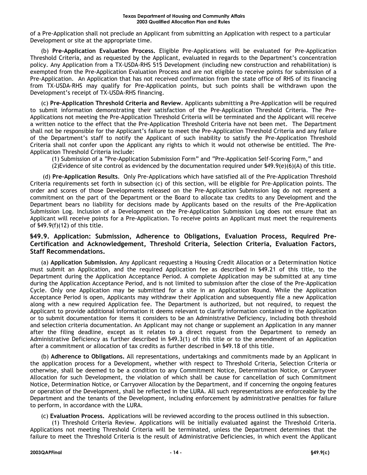of a Pre-Application shall not preclude an Applicant from submitting an Application with respect to a particular Development or site at the appropriate time.

(b) **Pre-Application Evaluation Process.** Eligible Pre-Applications will be evaluated for Pre-Application Threshold Criteria, and as requested by the Applicant, evaluated in regards to the Department's concentration policy. Any Application from a TX-USDA-RHS 515 Development (including new construction and rehabilitation) is exempted from the Pre-Application Evaluation Process and are not eligible to receive points for submission of a Pre-Application. An Application that has not received confirmation from the state office of RHS of its financing from TX-USDA-RHS may qualify for Pre-Application points, but such points shall be withdrawn upon the Development's receipt of TX-USDA-RHS financing.

(c) **Pre-Application Threshold Criteria and Review**. Applicants submitting a Pre-Application will be required to submit information demonstrating their satisfaction of the Pre-Application Threshold Criteria. The Pre-Applications not meeting the Pre-Application Threshold Criteria will be terminated and the Applicant will receive a written notice to the effect that the Pre-Application Threshold Criteria have not been met. The Department shall not be responsible for the Applicant's failure to meet the Pre-Application Threshold Criteria and any failure of the Department's staff to notify the Applicant of such inability to satisfy the Pre-Application Threshold Criteria shall not confer upon the Applicant any rights to which it would not otherwise be entitled. The Pre-Application Threshold Criteria include:

(1) Submission of a "Pre-Application Submission Form" and "Pre-Application Self-Scoring Form," and (2)Evidence of site control as evidenced by the documentation required under  $\frac{649.9(e)(6)(A)}{6}$  of this title.

(d) **Pre-Application Results**. Only Pre-Applications which have satisfied all of the Pre-Application Threshold Criteria requirements set forth in subsection (c) of this section, will be eligible for Pre-Application points. The order and scores of those Developments released on the Pre-Application Submission log do not represent a commitment on the part of the Department or the Board to allocate tax credits to any Development and the Department bears no liability for decisions made by Applicants based on the results of the Pre-Application Submission Log. Inclusion of a Development on the Pre-Application Submission Log does not ensure that an Applicant will receive points for a Pre-Application. To receive points an Applicant must meet the requirements of §49.9(f)(12) of this title.

# **§49.9. Application: Submission, Adherence to Obligations, Evaluation Process, Required Pre-Certification and Acknowledgement, Threshold Criteria, Selection Criteria, Evaluation Factors, Staff Recommendations.**

(a) **Application Submission.** Any Applicant requesting a Housing Credit Allocation or a Determination Notice must submit an Application, and the required Application fee as described in §49.21 of this title, to the Department during the Application Acceptance Period. A complete Application may be submitted at any time during the Application Acceptance Period, and is not limited to submission after the close of the Pre-Application Cycle. Only one Application may be submitted for a site in an Application Round. While the Application Acceptance Period is open, Applicants may withdraw their Application and subsequently file a new Application along with a new required Application fee. The Department is authorized, but not required, to request the Applicant to provide additional information it deems relevant to clarify information contained in the Application or to submit documentation for items it considers to be an Administrative Deficiency, including both threshold and selection criteria documentation. An Applicant may not change or supplement an Application in any manner after the filing deadline, except as it relates to a direct request from the Department to remedy an Administrative Deficiency as further described in §49.3(1) of this title or to the amendment of an Application after a commitment or allocation of tax credits as further described in §49.18 of this title.

(b) **Adherence to Obligations.** All representations, undertakings and commitments made by an Applicant in the application process for a Development, whether with respect to Threshold Criteria, Selection Criteria or otherwise, shall be deemed to be a condition to any Commitment Notice, Determination Notice, or Carryover Allocation for such Development, the violation of which shall be cause for cancellation of such Commitment Notice, Determination Notice, or Carryover Allocation by the Department, and if concerning the ongoing features or operation of the Development, shall be reflected in the LURA. All such representations are enforceable by the Department and the tenants of the Development, including enforcement by administrative penalties for failure to perform, in accordance with the LURA.

(c) **Evaluation Process.** Applications will be reviewed according to the process outlined in this subsection.

(1) Threshold Criteria Review. Applications will be initially evaluated against the Threshold Criteria. Applications not meeting Threshold Criteria will be terminated, unless the Department determines that the failure to meet the Threshold Criteria is the result of Administrative Deficiencies, in which event the Applicant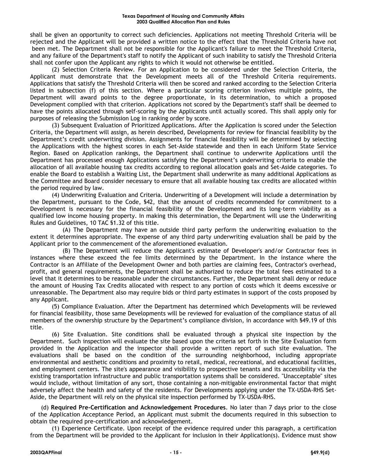shall be given an opportunity to correct such deficiencies. Applications not meeting Threshold Criteria will be rejected and the Applicant will be provided a written notice to the effect that the Threshold Criteria have not been met. The Department shall not be responsible for the Applicant's failure to meet the Threshold Criteria, and any failure of the Department's staff to notify the Applicant of such inability to satisfy the Threshold Criteria shall not confer upon the Applicant any rights to which it would not otherwise be entitled.

(2) Selection Criteria Review. For an Application to be considered under the Selection Criteria, the Applicant must demonstrate that the Development meets all of the Threshold Criteria requirements. Applications that satisfy the Threshold Criteria will then be scored and ranked according to the Selection Criteria listed in subsection (f) of this section. Where a particular scoring criterion involves multiple points, the Department will award points to the degree proportionate, in its determination, to which a proposed Development complied with that criterion. Applications not scored by the Department's staff shall be deemed to have the points allocated through self-scoring by the Applicants until actually scored. This shall apply only for purposes of releasing the Submission Log in ranking order by score.

(3) Subsequent Evaluation of Prioritized Applications. After the Application is scored under the Selection Criteria, the Department will assign, as herein described, Developments for review for financial feasibility by the Department's credit underwriting division. Assignments for financial feasibility will be determined by selecting the Applications with the highest scores in each Set-Aside statewide and then in each Uniform State Service Region. Based on Application rankings, the Department shall continue to underwrite Applications until the Department has processed enough Applications satisfying the Department's underwriting criteria to enable the allocation of all available housing tax credits according to regional allocation goals and Set-Aside categories. To enable the Board to establish a Waiting List, the Department shall underwrite as many additional Applications as the Committee and Board consider necessary to ensure that all available housing tax credits are allocated within the period required by law.

(4) Underwriting Evaluation and Criteria. Underwriting of a Development will include a determination by the Department, pursuant to the Code, §42, that the amount of credits recommended for commitment to a Development is necessary for the financial feasibility of the Development and its long-term viability as a qualified low income housing property. In making this determination, the Department will use the Underwriting Rules and Guidelines, 10 TAC §1.32 of this title.

(A) The Department may have an outside third party perform the underwriting evaluation to the extent it determines appropriate. The expense of any third party underwriting evaluation shall be paid by the Applicant prior to the commencement of the aforementioned evaluation.

(B) The Department will reduce the Applicant's estimate of Developer's and/or Contractor fees in instances where these exceed the fee limits determined by the Department. In the instance where the Contractor is an Affiliate of the Development Owner and both parties are claiming fees, Contractor's overhead, profit, and general requirements, the Department shall be authorized to reduce the total fees estimated to a level that it determines to be reasonable under the circumstances. Further, the Department shall deny or reduce the amount of Housing Tax Credits allocated with respect to any portion of costs which it deems excessive or unreasonable. The Department also may require bids or third party estimates in support of the costs proposed by any Applicant.

(5) Compliance Evaluation. After the Department has determined which Developments will be reviewed for financial feasibility, those same Developments will be reviewed for evaluation of the compliance status of all members of the ownership structure by the Department's compliance division, in accordance with §49.19 of this title.

(6) Site Evaluation. Site conditions shall be evaluated through a physical site inspection by the Department. Such inspection will evaluate the site based upon the criteria set forth in the Site Evaluation form provided in the Application and the inspector shall provide a written report of such site evaluation. The evaluations shall be based on the condition of the surrounding neighborhood, including appropriate environmental and aesthetic conditions and proximity to retail, medical, recreational, and educational facilities, and employment centers. The site's appearance and visibility to prospective tenants and its accessibility via the existing transportation infrastructure and public transportation systems shall be considered. "Unacceptable" sites would include, without limitation of any sort, those containing a non-mitigable environmental factor that might adversely affect the health and safety of the residents. For Developments applying under the TX-USDA-RHS Set-Aside, the Department will rely on the physical site inspection performed by TX-USDA-RHS.

(d) **Required Pre-Certification and Acknowledgement Procedures**. No later than 7 days prior to the close of the Application Acceptance Period, an Applicant must submit the documents required in this subsection to obtain the required pre-certification and acknowledgement.

(1) Experience Certificate. Upon receipt of the evidence required under this paragraph, a certification from the Department will be provided to the Applicant for inclusion in their Application(s). Evidence must show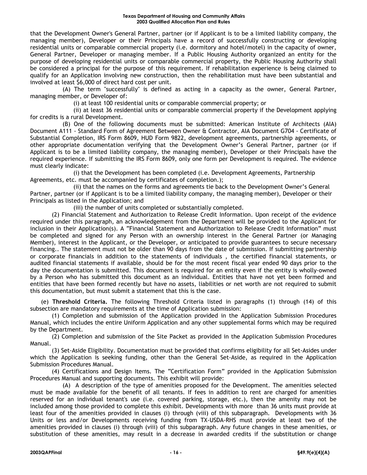that the Development Owner's General Partner, partner (or if Applicant is to be a limited liability company, the managing member), Developer or their Principals have a record of successfully constructing or developing residential units or comparable commercial property (i.e. dormitory and hotel/motel) in the capacity of owner, General Partner, Developer or managing member. If a Public Housing Authority organized an entity for the purpose of developing residential units or comparable commercial property, the Public Housing Authority shall be considered a principal for the purpose of this requirement. If rehabilitation experience is being claimed to qualify for an Application involving new construction, then the rehabilitation must have been substantial and involved at least \$6,000 of direct hard cost per unit.

(A) The term "successfully" is defined as acting in a capacity as the owner, General Partner, managing member, or Developer of:

(i) at least 100 residential units or comparable commercial property; or

(ii) at least 36 residential units or comparable commercial property if the Development applying for credits is a rural Development.

(B) One of the following documents must be submitted: American Institute of Architects (AIA) Document A111 - Standard Form of Agreement Between Owner & Contractor, AIA Document G704 - Certificate of Substantial Completion, IRS Form 8609, HUD Form 9822, development agreements, partnership agreements, or other appropriate documentation verifying that the Development Owner's General Partner, partner (or if Applicant is to be a limited liability company, the managing member), Developer or their Principals have the required experience. If submitting the IRS Form 8609, only one form per Development is required. The evidence must clearly indicate:

(i) that the Development has been completed (i.e. Development Agreements, Partnership Agreements, etc. must be accompanied by certificates of completion.);

(ii) that the names on the forms and agreements tie back to the Development Owner's General Partner, partner (or if Applicant is to be a limited liability company, the managing member), Developer or their Principals as listed in the Application; and

(iii) the number of units completed or substantially completed.

(2) Financial Statement and Authorization to Release Credit Information. Upon receipt of the evidence required under this paragraph, an acknowledgement from the Department will be provided to the Applicant for inclusion in their Application(s). A "Financial Statement and Authorization to Release Credit Information" must be completed and signed for any Person with an ownership interest in the General Partner (or Managing Member), interest in the Applicant, or the Developer, or anticipated to provide guarantees to secure necessary financing.. The statement must not be older than 90 days from the date of submission. If submitting partnership or corporate financials in addition to the statements of individuals , the certified financial statements, or audited financial statements if available, should be for the most recent fiscal year ended 90 days prior to the day the documentation is submitted. This document is required for an entity even if the entity is wholly-owned by a Person who has submitted this document as an individual. Entities that have not yet been formed and entities that have been formed recently but have no assets, liabilities or net worth are not required to submit this documentation, but must submit a statement that this is the case.

(e) **Threshold Criteria.** The following Threshold Criteria listed in paragraphs (1) through (14) of this subsection are mandatory requirements at the time of Application submission:

(1) Completion and submission of the Application provided in the Application Submission Procedures Manual, which includes the entire Uniform Application and any other supplemental forms which may be required by the Department.

(2) Completion and submission of the Site Packet as provided in the Application Submission Procedures Manual.

(3) Set-Aside Eligibility. Documentation must be provided that confirms eligibility for all Set-Asides under which the Application is seeking funding, other than the General Set-Aside, as required in the Application Submission Procedures Manual.

(4) Certifications and Design Items. The "Certification Form" provided in the Application Submission Procedures Manual and supporting documents. This exhibit will provide:

(A) A description of the type of amenities proposed for the Development. The amenities selected must be made available for the benefit of all tenants. If fees in addition to rent are charged for amenities reserved for an individual tenant's use (i.e. covered parking, storage, etc.), then the amenity may not be included among those provided to complete this exhibit. Developments with more than 36 units must provide at least four of the amenities provided in clauses (i) through (viii) of this subparagraph. Developments with 36 Units or less and/or Developments receiving funding from TX-USDA-RHS must provide at least two of the amenities provided in clauses (i) through (viii) of this subparagraph. Any future changes in these amenities, or substitution of these amenities, may result in a decrease in awarded credits if the substitution or change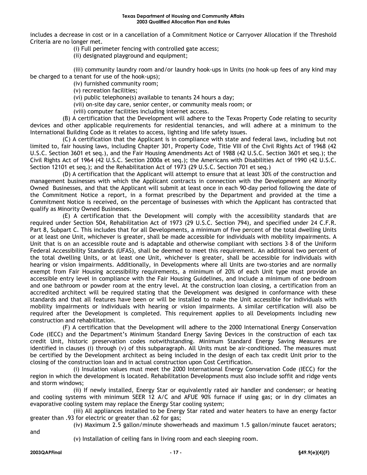includes a decrease in cost or in a cancellation of a Commitment Notice or Carryover Allocation if the Threshold Criteria are no longer met.

(i) Full perimeter fencing with controlled gate access;

(ii) designated playground and equipment;

(iii) community laundry room and/or laundry hook-ups in Units (no hook-up fees of any kind may be charged to a tenant for use of the hook-ups);

(iv) furnished community room;

(v) recreation facilities;

(vi) public telephone(s) available to tenants 24 hours a day;

(vii) on-site day care, senior center, or community meals room; or

(viii) computer facilities including internet access.

(B) A certification that the Development will adhere to the Texas Property Code relating to security devices and other applicable requirements for residential tenancies, and will adhere at a minimum to the International Building Code as it relates to access, lighting and life safety issues.

(C) A certification that the Applicant is in compliance with state and federal laws, including but not limited to, fair housing laws, including Chapter 301, Property Code, Title VIII of the Civil Rights Act of 1968 (42 U.S.C. Section 3601 et seq.), and the Fair Housing Amendments Act of 1988 (42 U.S.C. Section 3601 et seq.); the Civil Rights Act of 1964 (42 U.S.C. Section 2000a et seq.); the Americans with Disabilities Act of 1990 (42 U.S.C. Section 12101 et seq.); and the Rehabilitation Act of 1973 (29 U.S.C. Section 701 et seq.)

(D) A certification that the Applicant will attempt to ensure that at least 30% of the construction and management businesses with which the Applicant contracts in connection with the Development are Minority Owned Businesses, and that the Applicant will submit at least once in each 90-day period following the date of the Commitment Notice a report, in a format prescribed by the Department and provided at the time a Commitment Notice is received, on the percentage of businesses with which the Applicant has contracted that qualify as Minority Owned Businesses.

(E) A certification that the Development will comply with the accessibility standards that are required under Section 504, Rehabilitation Act of 1973 (29 U.S.C. Section 794), and specified under 24 C.F.R. Part 8, Subpart C. This includes that for all Developments, a minimum of five percent of the total dwelling Units or at least one Unit, whichever is greater, shall be made accessible for individuals with mobility impairments. A Unit that is on an accessible route and is adaptable and otherwise compliant with sections 3–8 of the Uniform Federal Accessibility Standards (UFAS), shall be deemed to meet this requirement. An additional two percent of the total dwelling Units, or at least one Unit, whichever is greater, shall be accessible for individuals with hearing or vision impairments. Additionally, in Developments where all Units are two-stories and are normally exempt from Fair Housing accessibility requirements, a minimum of 20% of each Unit type must provide an accessible entry level in compliance with the Fair Housing Guidelines, and include a minimum of one bedroom and one bathroom or powder room at the entry level. At the construction loan closing, a certification from an accredited architect will be required stating that the Development was designed in conformance with these standards and that all features have been or will be installed to make the Unit accessible for individuals with mobility impairments or individuals with hearing or vision impairments. A similar certification will also be required after the Development is completed. This requirement applies to all Developments including new construction and rehabilitation.

(F) A certification that the Development will adhere to the 2000 International Energy Conservation Code (IECC) and the Department's Minimum Standard Energy Saving Devices in the construction of each tax credit Unit, historic preservation codes notwithstanding. Minimum Standard Energy Saving Measures are identified in clauses (i) through (v) of this subparagraph. All Units must be air-conditioned. The measures must be certified by the Development architect as being included in the design of each tax credit Unit prior to the closing of the construction loan and in actual construction upon Cost Certification.

(i) Insulation values must meet the 2000 International Energy Conservation Code (IECC) for the region in which the development is located. Rehabilitation Developments must also include soffit and ridge vents and storm windows;

(ii) If newly installed, Energy Star or equivalently rated air handler and condenser; or heating and cooling systems with minimum SEER 12 A/C and AFUE 90% furnace if using gas; or in dry climates an evaporative cooling system may replace the Energy Star cooling system;

(iii) All appliances installed to be Energy Star rated and water heaters to have an energy factor greater than .93 for electric or greater than .62 for gas;

(iv) Maximum 2.5 gallon/minute showerheads and maximum 1.5 gallon/minute faucet aerators;

and

(v) Installation of ceiling fans in living room and each sleeping room.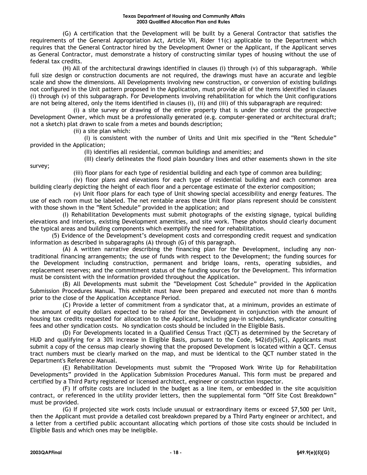(G) A certification that the Development will be built by a General Contractor that satisfies the requirements of the General Appropriation Act, Article VII, Rider 11(c) applicable to the Department which requires that the General Contractor hired by the Development Owner or the Applicant, if the Applicant serves as General Contractor, must demonstrate a history of constructing similar types of housing without the use of federal tax credits.

(H) All of the architectural drawings identified in clauses (i) through (v) of this subparagraph. While full size design or construction documents are not required, the drawings must have an accurate and legible scale and show the dimensions. All Developments involving new construction, or conversion of existing buildings not configured in the Unit pattern proposed in the Application, must provide all of the items identified in clauses (i) through (v) of this subparagraph. For Developments involving rehabilitation for which the Unit configurations are not being altered, only the items identified in clauses (i), (ii) and (iii) of this subparagraph are required:

(i) a site survey or drawing of the entire property that is under the control the prospective Development Owner, which must be a professionally generated (e.g. computer-generated or architectural draft; not a sketch) plat drawn to scale from a metes and bounds description;

(ii) a site plan which:

(I) is consistent with the number of Units and Unit mix specified in the "Rent Schedule" provided in the Application;

(II) identifies all residential, common buildings and amenities; and

survey;

(iii) floor plans for each type of residential building and each type of common area building;

(III) clearly delineates the flood plain boundary lines and other easements shown in the site

(iv) floor plans and elevations for each type of residential building and each common area building clearly depicting the height of each floor and a percentage estimate of the exterior composition;

(v) Unit floor plans for each type of Unit showing special accessibility and energy features. The use of each room must be labeled. The net rentable areas these Unit floor plans represent should be consistent with those shown in the "Rent Schedule" provided in the application; and

(I) Rehabilitation Developments must submit photographs of the existing signage, typical building elevations and interiors, existing Development amenities, and site work. These photos should clearly document the typical areas and building components which exemplify the need for rehabilitation.

(5) Evidence of the Development's development costs and corresponding credit request and syndication information as described in subparagraphs (A) through (G) of this paragraph.

(A) A written narrative describing the financing plan for the Development, including any nontraditional financing arrangements; the use of funds with respect to the Development; the funding sources for the Development including construction, permanent and bridge loans, rents, operating subsidies, and replacement reserves; and the commitment status of the funding sources for the Development. This information must be consistent with the information provided throughout the Application.

(B) All Developments must submit the "Development Cost Schedule" provided in the Application Submission Procedures Manual. This exhibit must have been prepared and executed not more than 6 months prior to the close of the Application Acceptance Period.

(C) Provide a letter of commitment from a syndicator that, at a minimum, provides an estimate of the amount of equity dollars expected to be raised for the Development in conjunction with the amount of housing tax credits requested for allocation to the Applicant, including pay-in schedules, syndicator consulting fees and other syndication costs. No syndication costs should be included in the Eligible Basis.

(D) For Developments located in a Qualified Census Tract (QCT) as determined by the Secretary of HUD and qualifying for a 30% increase in Eligible Basis, pursuant to the Code, \$42(d)(5)(C), Applicants must submit a copy of the census map clearly showing that the proposed Development is located within a QCT. Census tract numbers must be clearly marked on the map, and must be identical to the QCT number stated in the Department's Reference Manual.

(E) Rehabilitation Developments must submit the "Proposed Work Write Up for Rehabilitation Developments" provided in the Application Submission Procedures Manual. This form must be prepared and certified by a Third Party registered or licensed architect, engineer or construction inspector.

(F) If offsite costs are included in the budget as a line item, or embedded in the site acquisition contract, or referenced in the utility provider letters, then the supplemental form "Off Site Cost Breakdown" must be provided.

(G) If projected site work costs include unusual or extraordinary items or exceed \$7,500 per Unit, then the Applicant must provide a detailed cost breakdown prepared by a Third Party engineer or architect, and a letter from a certified public accountant allocating which portions of those site costs should be included in Eligible Basis and which ones may be ineligible.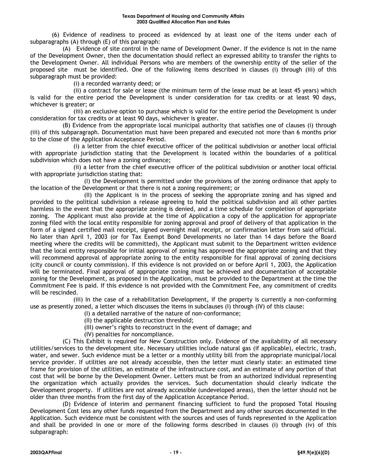(6) Evidence of readiness to proceed as evidenced by at least one of the items under each of subparagraphs (A) through (E) of this paragraph:

(A) Evidence of site control in the name of Development Owner. If the evidence is not in the name of the Development Owner, then the documentation should reflect an expressed ability to transfer the rights to the Development Owner. All individual Persons who are members of the ownership entity of the seller of the proposed site must be identified. One of the following items described in clauses (i) through (iii) of this subparagraph must be provided:

(i) a recorded warranty deed; or

(ii) a contract for sale or lease (the minimum term of the lease must be at least 45 years) which is valid for the entire period the Development is under consideration for tax credits or at least 90 days, whichever is greater; or

(iii) an exclusive option to purchase which is valid for the entire period the Development is under consideration for tax credits or at least 90 days, whichever is greater.

(B) Evidence from the appropriate local municipal authority that satisfies one of clauses (i) through (iii) of this subparagraph. Documentation must have been prepared and executed not more than 6 months prior to the close of the Application Acceptance Period.

(i) a letter from the chief executive officer of the political subdivision or another local official with appropriate jurisdiction stating that the Development is located within the boundaries of a political subdivision which does not have a zoning ordinance;

(ii) a letter from the chief executive officer of the political subdivision or another local official with appropriate jurisdiction stating that:

(I) the Development is permitted under the provisions of the zoning ordinance that apply to the location of the Development or that there is not a zoning requirement; or

(II) the Applicant is in the process of seeking the appropriate zoning and has signed and provided to the political subdivision a release agreeing to hold the political subdivision and all other parties harmless in the event that the appropriate zoning is denied, and a time schedule for completion of appropriate zoning. The Applicant must also provide at the time of Application a copy of the application for appropriate zoning filed with the local entity responsible for zoning approval and proof of delivery of that application in the form of a signed certified mail receipt, signed overnight mail receipt, or confirmation letter from said official. No later than April 1, 2003 (or for Tax Exempt Bond Developments no later than 14 days before the Board meeting where the credits will be committed), the Applicant must submit to the Department written evidence that the local entity responsible for initial approval of zoning has approved the appropriate zoning and that they will recommend approval of appropriate zoning to the entity responsible for final approval of zoning decisions (city council or county commission). If this evidence is not provided on or before April 1, 2003, the Application will be terminated. Final approval of appropriate zoning must be achieved and documentation of acceptable zoning for the Development, as proposed in the Application, must be provided to the Department at the time the Commitment Fee is paid. If this evidence is not provided with the Commitment Fee, any commitment of credits will be rescinded.

(iii) In the case of a rehabilitation Development, if the property is currently a non-conforming use as presently zoned, a letter which discusses the items in subclauses (I) through (IV) of this clause:

(I) a detailed narrative of the nature of non-conformance;

- (II) the applicable destruction threshold;
- (III) owner's rights to reconstruct in the event of damage; and
- (IV) penalties for noncompliance.

(C) This Exhibit is required for New Construction only. Evidence of the availability of all necessary utilities/services to the development site. Necessary utilities include natural gas (if applicable), electric, trash, water, and sewer. Such evidence must be a letter or a monthly utility bill from the appropriate municipal/local service provider. If utilities are not already accessible, then the letter must clearly state: an estimated time frame for provision of the utilities, an estimate of the infrastructure cost, and an estimate of any portion of that cost that will be borne by the Development Owner. Letters must be from an authorized individual representing the organization which actually provides the services. Such documentation should clearly indicate the Development property. If utilities are not already accessible (undeveloped areas), then the letter should not be older than three months from the first day of the Application Acceptance Period.

(D) Evidence of interim and permanent financing sufficient to fund the proposed Total Housing Development Cost less any other funds requested from the Department and any other sources documented in the Application. Such evidence must be consistent with the sources and uses of funds represented in the Application and shall be provided in one or more of the following forms described in clauses (i) through (iv) of this subparagraph: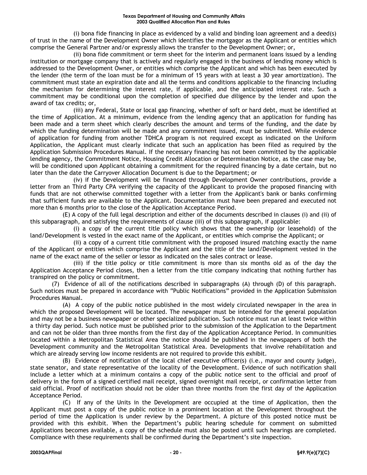(i) bona fide financing in place as evidenced by a valid and binding loan agreement and a deed(s) of trust in the name of the Development Owner which identifies the mortgagor as the Applicant or entities which comprise the General Partner and/or expressly allows the transfer to the Development Owner; or,

(ii) bona fide commitment or term sheet for the interim and permanent loans issued by a lending institution or mortgage company that is actively and regularly engaged in the business of lending money which is addressed to the Development Owner, or entities which comprise the Applicant and which has been executed by the lender (the term of the loan must be for a minimum of 15 years with at least a 30 year amortization). The commitment must state an expiration date and all the terms and conditions applicable to the financing including the mechanism for determining the interest rate, if applicable, and the anticipated interest rate. Such a commitment may be conditional upon the completion of specified due diligence by the lender and upon the award of tax credits; or,

(iii) any Federal, State or local gap financing, whether of soft or hard debt, must be identified at the time of Application. At a minimum, evidence from the lending agency that an application for funding has been made and a term sheet which clearly describes the amount and terms of the funding, and the date by which the funding determination will be made and any commitment issued, must be submitted. While evidence of application for funding from another TDHCA program is not required except as indicated on the Uniform Application, the Applicant must clearly indicate that such an application has been filed as required by the Application Submission Procedures Manual. If the necessary financing has not been committed by the applicable lending agency, the Commitment Notice, Housing Credit Allocation or Determination Notice, as the case may be, will be conditioned upon Applicant obtaining a commitment for the required financing by a date certain, but no later than the date the Carryover Allocation Document is due to the Department; or

(iv) if the Development will be financed through Development Owner contributions, provide a letter from an Third Party CPA verifying the capacity of the Applicant to provide the proposed financing with funds that are not otherwise committed together with a letter from the Applicant's bank or banks confirming that sufficient funds are available to the Applicant. Documentation must have been prepared and executed not more than 6 months prior to the close of the Application Acceptance Period.

(E) A copy of the full legal description and either of the documents described in clauses (i) and (ii) of this subparagraph, and satisfying the requirements of clause (iii) of this subparagraph, if applicable:

(i) a copy of the current title policy which shows that the ownership (or leasehold) of the land/Development is vested in the exact name of the Applicant, or entities which comprise the Applicant; or

(ii) a copy of a current title commitment with the proposed insured matching exactly the name of the Applicant or entities which comprise the Applicant and the title of the land/Development vested in the name of the exact name of the seller or lessor as indicated on the sales contract or lease.

(iii) if the title policy or title commitment is more than six months old as of the day the Application Acceptance Period closes, then a letter from the title company indicating that nothing further has transpired on the policy or commitment.

(7) Evidence of all of the notifications described in subparagraphs (A) through (D) of this paragraph. Such notices must be prepared in accordance with "Public Notifications" provided in the Application Submission Procedures Manual.

(A) A copy of the public notice published in the most widely circulated newspaper in the area in which the proposed Development will be located. The newspaper must be intended for the general population and may not be a business newspaper or other specialized publication. Such notice must run at least twice within a thirty day period. Such notice must be published prior to the submission of the Application to the Department and can not be older than three months from the first day of the Application Acceptance Period. In communities located within a Metropolitan Statistical Area the notice should be published in the newspapers of both the Development community and the Metropolitan Statistical Area. Developments that involve rehabilitation and which are already serving low income residents are not required to provide this exhibit.

(B) Evidence of notification of the local chief executive officer(s) (i.e., mayor and county judge), state senator, and state representative of the locality of the Development. Evidence of such notification shall include a letter which at a minimum contains a copy of the public notice sent to the official and proof of delivery in the form of a signed certified mail receipt, signed overnight mail receipt, or confirmation letter from said official. Proof of notification should not be older than three months from the first day of the Application Acceptance Period.

(C) If any of the Units in the Development are occupied at the time of Application, then the Applicant must post a copy of the public notice in a prominent location at the Development throughout the period of time the Application is under review by the Department. A picture of this posted notice must be provided with this exhibit. When the Department's public hearing schedule for comment on submitted Applications becomes available, a copy of the schedule must also be posted until such hearings are completed. Compliance with these requirements shall be confirmed during the Department's site inspection.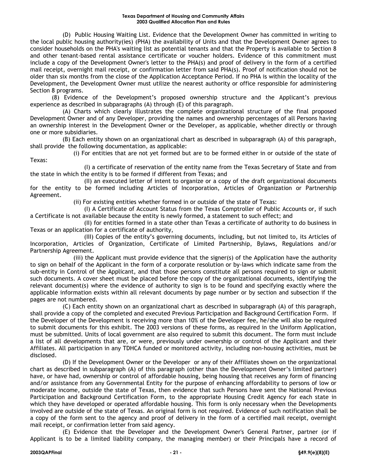(D) Public Housing Waiting List. Evidence that the Development Owner has committed in writing to the local public housing authority(ies) (PHA) the availability of Units and that the Development Owner agrees to consider households on the PHA's waiting list as potential tenants and that the Property is available to Section 8 and other tenant-based rental assistance certificate or voucher holders. Evidence of this commitment must include a copy of the Development Owner's letter to the PHA(s) and proof of delivery in the form of a certified mail receipt, overnight mail receipt, or confirmation letter from said PHA(s). Proof of notification should not be older than six months from the close of the Application Acceptance Period. If no PHA is within the locality of the Development, the Development Owner must utilize the nearest authority or office responsible for administering Section 8 programs.

(8) Evidence of the Development's proposed ownership structure and the Applicant's previous experience as described in subparagraphs (A) through (E) of this paragraph.

(A) Charts which clearly illustrates the complete organizational structure of the final proposed Development Owner and of any Developer, providing the names and ownership percentages of all Persons having an ownership interest in the Development Owner or the Developer, as applicable, whether directly or through one or more subsidiaries.

(B) Each entity shown on an organizational chart as described in subparagraph (A) of this paragraph, shall provide the following documentation, as applicable:

(i) For entities that are not yet formed but are to be formed either in or outside of the state of Texas:

(I) a certificate of reservation of the entity name from the Texas Secretary of State and from the state in which the entity is to be formed if different from Texas; and

(II) an executed letter of intent to organize or a copy of the draft organizational documents for the entity to be formed including Articles of Incorporation, Articles of Organization or Partnership Agreement.

(ii) For existing entities whether formed in or outside of the state of Texas:

(I) A Certificate of Account Status from the Texas Comptroller of Public Accounts or, if such a Certificate is not available because the entity is newly formed, a statement to such effect; and

(II) for entities formed in a state other than Texas a certificate of authority to do business in Texas or an application for a certificate of authority,

(III) Copies of the entity's governing documents, including, but not limited to, its Articles of Incorporation, Articles of Organization, Certificate of Limited Partnership, Bylaws, Regulations and/or Partnership Agreement.

(iii) the Applicant must provide evidence that the signer(s) of the Application have the authority to sign on behalf of the Applicant in the form of a corporate resolution or by-laws which indicate same from the sub-entity in Control of the Applicant, and that those persons constitute all persons required to sign or submit such documents. A cover sheet must be placed before the copy of the organizational documents, identifying the relevant document(s) where the evidence of authority to sign is to be found and specifying exactly where the applicable information exists within all relevant documents by page number or by section and subsection if the pages are not numbered.

(C) Each entity shown on an organizational chart as described in subparagraph (A) of this paragraph, shall provide a copy of the completed and executed Previous Participation and Background Certification Form. If the Developer of the Development is receiving more than 10% of the Developer fee, he/she will also be required to submit documents for this exhibit. The 2003 versions of these forms, as required in the Uniform Application, must be submitted. Units of local government are also required to submit this document. The form must include a list of all developments that are, or were, previously under ownership or control of the Applicant and their Affiliates. All participation in any TDHCA funded or monitored activity, including non-housing activities, must be disclosed.

(D) If the Development Owner or the Developer or any of their Affiliates shown on the organizational chart as described in subparagraph (A) of this paragraph (other than the Development Owner's limited partner) have, or have had, ownership or control of affordable housing, being housing that receives any form of financing and/or assistance from any Governmental Entity for the purpose of enhancing affordability to persons of low or moderate income, outside the state of Texas, then evidence that such Persons have sent the National Previous Participation and Background Certification Form, to the appropriate Housing Credit Agency for each state in which they have developed or operated affordable housing. This form is only necessary when the Developments involved are outside of the state of Texas. An original form is not required. Evidence of such notification shall be a copy of the form sent to the agency and proof of delivery in the form of a certified mail receipt, overnight mail receipt, or confirmation letter from said agency.

(E) Evidence that the Developer and the Development Owner's General Partner, partner (or if Applicant is to be a limited liability company, the managing member) or their Principals have a record of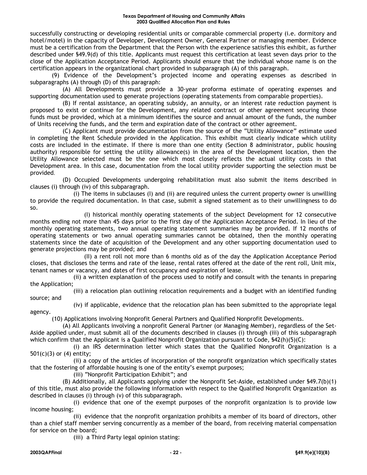#### **Texas Department of Housing and Community Affairs 2003 Qualified Allocation Plan and Rules**

successfully constructing or developing residential units or comparable commercial property (i.e. dormitory and hotel/motel) in the capacity of Developer, Development Owner, General Partner or managing member. Evidence must be a certification from the Department that the Person with the experience satisfies this exhibit, as further described under §49.9(d) of this title. Applicants must request this certification at least seven days prior to the close of the Application Acceptance Period. Applicants should ensure that the individual whose name is on the certification appears in the organizational chart provided in subparagraph (A) of this paragraph.

(9) Evidence of the Development's projected income and operating expenses as described in subparagraphs (A) through (D) of this paragraph:

(A) All Developments must provide a 30-year proforma estimate of operating expenses and supporting documentation used to generate projections (operating statements from comparable properties).

(B) If rental assistance, an operating subsidy, an annuity, or an interest rate reduction payment is proposed to exist or continue for the Development, any related contract or other agreement securing those funds must be provided, which at a minimum identifies the source and annual amount of the funds, the number of Units receiving the funds, and the term and expiration date of the contract or other agreement.

(C) Applicant must provide documentation from the source of the "Utility Allowance" estimate used in completing the Rent Schedule provided in the Application. This exhibit must clearly indicate which utility costs are included in the estimate. If there is more than one entity (Section 8 administrator, public housing authority) responsible for setting the utility allowance(s) in the area of the Development location, then the Utility Allowance selected must be the one which most closely reflects the actual utility costs in that Development area. In this case, documentation from the local utility provider supporting the selection must be provided.

(D) Occupied Developments undergoing rehabilitation must also submit the items described in clauses (i) through (iv) of this subparagraph.

(i) The items in subclauses (I) and (ii) are required unless the current property owner is unwilling to provide the required documentation. In that case, submit a signed statement as to their unwillingness to do so.

(I) historical monthly operating statements of the subject Development for 12 consecutive months ending not more than 45 days prior to the first day of the Application Acceptance Period. In lieu of the monthly operating statements, two annual operating statement summaries may be provided. If 12 months of operating statements or two annual operating summaries cannot be obtained, then the monthly operating statements since the date of acquisition of the Development and any other supporting documentation used to generate projections may be provided; and

(II) a rent roll not more than 6 months old as of the day the Application Acceptance Period closes, that discloses the terms and rate of the lease, rental rates offered at the date of the rent roll, Unit mix, tenant names or vacancy, and dates of first occupancy and expiration of lease.

(ii) a written explanation of the process used to notify and consult with the tenants in preparing the Application;

(iii) a relocation plan outlining relocation requirements and a budget with an identified funding source; and

agency.

(iv) if applicable, evidence that the relocation plan has been submitted to the appropriate legal

(10) Applications involving Nonprofit General Partners and Qualified Nonprofit Developments.

(A) All Applicants involving a nonprofit General Partner (or Managing Member), regardless of the Set-Aside applied under, must submit all of the documents described in clauses (i) through (iii) of this subparagraph which confirm that the Applicant is a Qualified Nonprofit Organization pursuant to Code,  $\frac{542(h)(5)(C)}{2}$ :

(i) an IRS determination letter which states that the Qualified Nonprofit Organization is a 501(c)(3) or (4) entity;

(ii) a copy of the articles of incorporation of the nonprofit organization which specifically states that the fostering of affordable housing is one of the entity's exempt purposes;

(iii) "Nonprofit Participation Exhibit"; and

(B) Additionally, all Applicants applying under the Nonprofit Set-Aside, established under §49.7(b)(1) of this title, must also provide the following information with respect to the Qualified Nonprofit Organization as described in clauses (i) through (v) of this subparagraph.

(i) evidence that one of the exempt purposes of the nonprofit organization is to provide low income housing;

(ii) evidence that the nonprofit organization prohibits a member of its board of directors, other than a chief staff member serving concurrently as a member of the board, from receiving material compensation for service on the board;

(iii) a Third Party legal opinion stating: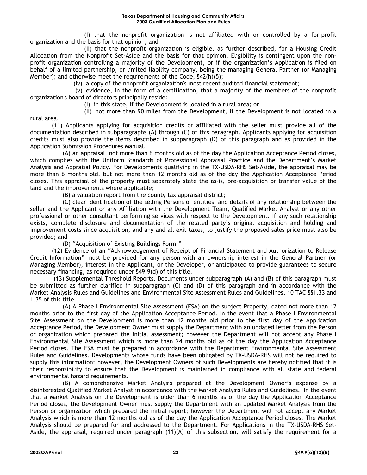(I) that the nonprofit organization is not affiliated with or controlled by a for-profit organization and the basis for that opinion, and

(II) that the nonprofit organization is eligible, as further described, for a Housing Credit Allocation from the Nonprofit Set-Aside and the basis for that opinion. Eligibility is contingent upon the nonprofit organization controlling a majority of the Development, or if the organization's Application is filed on behalf of a limited partnership, or limited liability company, being the managing General Partner (or Managing Member); and otherwise meet the requirements of the Code, §42(h)(5);

(iv) a copy of the nonprofit organization's most recent audited financial statement;

(v) evidence, in the form of a certification, that a majority of the members of the nonprofit organization's board of directors principally reside:

(I) in this state, if the Development is located in a rural area; or

(II) not more than 90 miles from the Development, if the Development is not located in a

rural area.

(11) Applicants applying for acquisition credits or affiliated with the seller must provide all of the documentation described in subparagraphs (A) through (C) of this paragraph. Applicants applying for acquisition credits must also provide the items described in subparagraph (D) of this paragraph and as provided in the Application Submission Procedures Manual.

(A) an appraisal, not more than 6 months old as of the day the Application Acceptance Period closes, which complies with the Uniform Standards of Professional Appraisal Practice and the Department's Market Analysis and Appraisal Policy. For Developments qualifying in the TX-USDA-RHS Set-Aside, the appraisal may be more than 6 months old, but not more than 12 months old as of the day the Application Acceptance Period closes. This appraisal of the property must separately state the as-is, pre-acquisition or transfer value of the land and the improvements where applicable;

(B) a valuation report from the county tax appraisal district;

(C) clear identification of the selling Persons or entities, and details of any relationship between the seller and the Applicant or any Affiliation with the Development Team, Qualified Market Analyst or any other professional or other consultant performing services with respect to the Development. If any such relationship exists, complete disclosure and documentation of the related party's original acquisition and holding and improvement costs since acquisition, and any and all exit taxes, to justify the proposed sales price must also be provided; and

(D) "Acquisition of Existing Buildings Form."

(12) Evidence of an "Acknowledgement of Receipt of Financial Statement and Authorization to Release Credit Information" must be provided for any person with an ownership interest in the General Partner (or Managing Member), interest in the Applicant, or the Developer, or anticipated to provide guarantees to secure necessary financing, as required under §49.9(d) of this title.

(13) Supplemental Threshold Reports. Documents under subparagraph (A) and (B) of this paragraph must be submitted as further clarified in subparagraph (C) and (D) of this paragraph and in accordance with the Market Analysis Rules and Guidelines and Environmental Site Assessment Rules and Guidelines, 10 TAC §§1.33 and 1.35 of this title.

(A) A Phase I Environmental Site Assessment (ESA) on the subject Property, dated not more than 12 months prior to the first day of the Application Acceptance Period. In the event that a Phase I Environmental Site Assessment on the Development is more than 12 months old prior to the first day of the Application Acceptance Period, the Development Owner must supply the Department with an updated letter from the Person or organization which prepared the initial assessment; however the Department will not accept any Phase I Environmental Site Assessment which is more than 24 months old as of the day the Application Acceptance Period closes. The ESA must be prepared in accordance with the Department Environmental Site Assessment Rules and Guidelines. Developments whose funds have been obligated by TX-USDA-RHS will not be required to supply this information; however, the Development Owners of such Developments are hereby notified that it is their responsibility to ensure that the Development is maintained in compliance with all state and federal environmental hazard requirements.

(B) A comprehensive Market Analysis prepared at the Development Owner's expense by a disinterested Qualified Market Analyst in accordance with the Market Analysis Rules and Guidelines. In the event that a Market Analysis on the Development is older than 6 months as of the day the Application Acceptance Period closes, the Development Owner must supply the Department with an updated Market Analysis from the Person or organization which prepared the initial report; however the Department will not accept any Market Analysis which is more than 12 months old as of the day the Application Acceptance Period closes. The Market Analysis should be prepared for and addressed to the Department. For Applications in the TX-USDA-RHS Set-Aside, the appraisal, required under paragraph (11)(A) of this subsection, will satisfy the requirement for a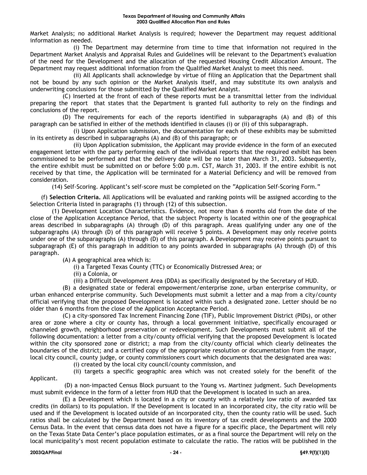Market Analysis; no additional Market Analysis is required; however the Department may request additional information as needed.

(i) The Department may determine from time to time that information not required in the Department Market Analysis and Appraisal Rules and Guidelines will be relevant to the Department's evaluation of the need for the Development and the allocation of the requested Housing Credit Allocation Amount. The Department may request additional information from the Qualified Market Analyst to meet this need.

(ii) All Applicants shall acknowledge by virtue of filing an Application that the Department shall not be bound by any such opinion or the Market Analysis itself, and may substitute its own analysis and underwriting conclusions for those submitted by the Qualified Market Analyst.

(C) Inserted at the front of each of these reports must be a transmittal letter from the individual preparing the report that states that the Department is granted full authority to rely on the findings and conclusions of the report.

(D) The requirements for each of the reports identified in subparagraphs (A) and (B) of this paragraph can be satisfied in either of the methods identified in clauses (i) or (ii) of this subparagraph.

(i) Upon Application submission, the documentation for each of these exhibits may be submitted in its entirety as described in subparagraphs (A) and (B) of this paragraph; or

(ii) Upon Application submission, the Applicant may provide evidence in the form of an executed engagement letter with the party performing each of the individual reports that the required exhibit has been commissioned to be performed and that the delivery date will be no later than March 31, 2003. Subsequently, the entire exhibit must be submitted on or before 5:00 p.m. CST, March 31, 2003. If the entire exhibit is not received by that time, the Application will be terminated for a Material Deficiency and will be removed from consideration.

(14) Self-Scoring. Applicant's self-score must be completed on the "Application Self-Scoring Form."

(f) **Selection Criteria.** All Applications will be evaluated and ranking points will be assigned according to the Selection Criteria listed in paragraphs (1) through (12) of this subsection.

(1) Development Location Characteristics. Evidence, not more than 6 months old from the date of the close of the Application Acceptance Period, that the subject Property is located within one of the geographical areas described in subparagraphs (A) through (D) of this paragraph. Areas qualifying under any one of the subparagraphs (A) through (D) of this paragraph will receive 5 points. A Development may only receive points under one of the subparagraphs (A) through (D) of this paragraph. A Development may receive points pursuant to subparagraph (E) of this paragraph in addition to any points awarded in subparagraphs (A) through (D) of this paragraph.

(A) A geographical area which is:

(i) a Targeted Texas County (TTC) or Economically Distressed Area; or

(ii) a Colonia, or

(iii) a Difficult Development Area (DDA) as specifically designated by the Secretary of HUD.

(B) a designated state or federal empowerment/enterprise zone, urban enterprise community, or urban enhanced enterprise community. Such Developments must submit a letter and a map from a city/county official verifying that the proposed Development is located within such a designated zone. Letter should be no older than 6 months from the close of the Application Acceptance Period.

(C) a city-sponsored Tax Increment Financing Zone (TIF), Public Improvement District (PIDs), or other area or zone where a city or county has, through a local government initiative, specifically encouraged or channeled growth, neighborhood preservation or redevelopment. Such Developments must submit all of the following documentation: a letter from a city/county official verifying that the proposed Development is located within the city sponsored zone or district; a map from the city/county official which clearly delineates the boundaries of the district; and a certified copy of the appropriate resolution or documentation from the mayor, local city council, county judge, or county commissioners court which documents that the designated area was:

(i) created by the local city council/county commission, and

(ii) targets a specific geographic area which was not created solely for the benefit of the Applicant.

(D) a non-impacted Census Block pursuant to the Young vs. Martinez judgment. Such Developments must submit evidence in the form of a letter from HUD that the Development is located in such an area.

(E) a Development which is located in a city or county with a relatively low ratio of awarded tax credits (in dollars) to its population. If the Development is located in an incorporated city, the city ratio will be used and if the Development is located outside of an incorporated city, then the county ratio will be used. Such ratios shall be calculated by the Department based on its inventory of tax credit developments and the 2000 Census Data. In the event that census data does not have a figure for a specific place, the Department will rely on the Texas State Data Center's place population estimates, or as a final source the Department will rely on the local municipality's most recent population estimate to calculate the ratio. The ratios will be published in the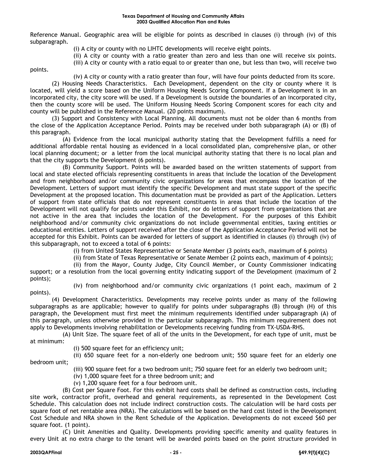Reference Manual. Geographic area will be eligible for points as described in clauses (i) through (iv) of this subparagraph.

(i) A city or county with no LIHTC developments will receive eight points.

(ii) A city or county with a ratio greater than zero and less than one will receive six points.

(iii) A city or county with a ratio equal to or greater than one, but less than two, will receive two

points.

(iv) A city or county with a ratio greater than four, will have four points deducted from its score.

(2) Housing Needs Characteristics. Each Development, dependent on the city or county where it is located, will yield a score based on the Uniform Housing Needs Scoring Component. If a Development is in an incorporated city, the city score will be used. If a Development is outside the boundaries of an incorporated city, then the county score will be used. The Uniform Housing Needs Scoring Component scores for each city and county will be published in the Reference Manual. (20 points maximum).

(3) Support and Consistency with Local Planning. All documents must not be older than 6 months from the close of the Application Acceptance Period. Points may be received under both subparagraph (A) or (B) of this paragraph.

(A) Evidence from the local municipal authority stating that the Development fulfills a need for additional affordable rental housing as evidenced in a local consolidated plan, comprehensive plan, or other local planning document; or a letter from the local municipal authority stating that there is no local plan and that the city supports the Development (6 points).

(B) Community Support. Points will be awarded based on the written statements of support from local and state elected officials representing constituents in areas that include the location of the Development and from neighborhood and/or community civic organizations for areas that encompass the location of the Development. Letters of support must identify the specific Development and must state support of the specific Development at the proposed location. This documentation must be provided as part of the Application. Letters of support from state officials that do not represent constituents in areas that include the location of the Development will not qualify for points under this Exhibit, nor do letters of support from organizations that are not active in the area that includes the location of the Development. For the purposes of this Exhibit neighborhood and/or community civic organizations do not include governmental entities, taxing entities or educational entities. Letters of support received after the close of the Application Acceptance Period will not be accepted for this Exhibit. Points can be awarded for letters of support as identified in clauses (i) through (iv) of this subparagraph, not to exceed a total of 6 points:

(i) from United States Representative or Senate Member (3 points each, maximum of 6 points)

(ii) from State of Texas Representative or Senate Member (2 points each, maximum of 4 points);

(ii) from the Mayor, County Judge, City Council Member, or County Commissioner indicating

support; or a resolution from the local governing entity indicating support of the Development (maximum of 2 points);

points).

(iv) from neighborhood and/or community civic organizations (1 point each, maximum of 2

(4) Development Characteristics. Developments may receive points under as many of the following subparagraphs as are applicable; however to qualify for points under subparagraphs (B) through (H) of this paragraph, the Development must first meet the minimum requirements identified under subparagraph (A) of this paragraph, unless otherwise provided in the particular subparagraph. This minimum requirement does not apply to Developments involving rehabilitation or Developments receiving funding from TX-USDA-RHS.

(A) Unit Size. The square feet of all of the units in the Development, for each type of unit, must be at minimum:

(i) 500 square feet for an efficiency unit;

(ii) 650 square feet for a non-elderly one bedroom unit; 550 square feet for an elderly one bedroom unit;

(iii) 900 square feet for a two bedroom unit; 750 square feet for an elderly two bedroom unit;

- (iv) 1,000 square feet for a three bedroom unit; and
- (v) 1,200 square feet for a four bedroom unit.

(B) Cost per Square Foot. For this exhibit hard costs shall be defined as construction costs, including site work, contractor profit, overhead and general requirements, as represented in the Development Cost Schedule. This calculation does not include indirect construction costs. The calculation will be hard costs per square foot of net rentable area (NRA). The calculations will be based on the hard cost listed in the Development Cost Schedule and NRA shown in the Rent Schedule of the Application. Developments do not exceed \$60 per square foot. (1 point).

(C) Unit Amenities and Quality. Developments providing specific amenity and quality features in every Unit at no extra charge to the tenant will be awarded points based on the point structure provided in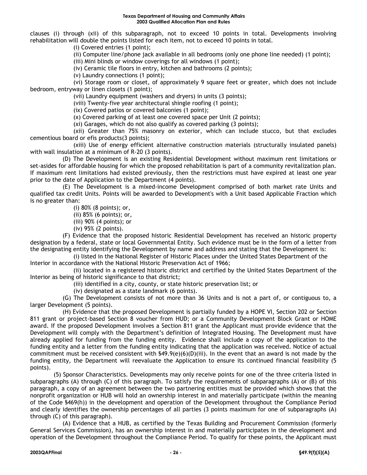clauses (i) through (xii) of this subparagraph, not to exceed 10 points in total. Developments involving rehabilitation will double the points listed for each item, not to exceed 10 points in total.

(i) Covered entries (1 point);

(ii) Computer line/phone jack available in all bedrooms (only one phone line needed) (1 point);

(iii) Mini blinds or window coverings for all windows (1 point);

(iv) Ceramic tile floors in entry, kitchen and bathrooms (2 points);

(v) Laundry connections (1 point);

(vi) Storage room or closet, of approximately 9 square feet or greater, which does not include bedroom, entryway or linen closets (1 point);

(vii) Laundry equipment (washers and dryers) in units (3 points);

(viii) Twenty-five year architectural shingle roofing (1 point);

(ix) Covered patios or covered balconies (1 point);

(x) Covered parking of at least one covered space per Unit (2 points);

(xi) Garages, which do not also qualify as covered parking (3 points);

(xii) Greater than 75% masonry on exterior, which can include stucco, but that excludes cementious board or efis products(3 points);

(xiii) Use of energy efficient alternative construction materials (structurally insulated panels) with wall insulation at a minimum of R-20 (3 points).

(D) The Development is an existing Residential Development without maximum rent limitations or set-asides for affordable housing for which the proposed rehabilitation is part of a community revitalization plan. If maximum rent limitations had existed previously, then the restrictions must have expired at least one year prior to the date of Application to the Department (4 points).

(E) The Development is a mixed-income Development comprised of both market rate Units and qualified tax credit Units. Points will be awarded to Development's with a Unit based Applicable Fraction which is no greater than:

(i) 80% (8 points); or,

(ii) 85% (6 points); or,

(iii) 90% (4 points); or

(iv) 95% (2 points).

(F) Evidence that the proposed historic Residential Development has received an historic property designation by a federal, state or local Governmental Entity. Such evidence must be in the form of a letter from the designating entity identifying the Development by name and address and stating that the Development is:

(i) listed in the National Register of Historic Places under the United States Department of the Interior in accordance with the National Historic Preservation Act of 1966;

(ii) located in a registered historic district and certified by the United States Department of the Interior as being of historic significance to that district;

(iii) identified in a city, county, or state historic preservation list; or

(iv) designated as a state landmark (6 points).

(G) The Development consists of not more than 36 Units and is not a part of, or contiguous to, a larger Development (5 points).

(H) Evidence that the proposed Development is partially funded by a HOPE VI, Section 202 or Section 811 grant or project-based Section 8 voucher from HUD; or a Community Development Block Grant or HOME award. If the proposed Development involves a Section 811 grant the Applicant must provide evidence that the Development will comply with the Department's definition of Integrated Housing. The Development must have already applied for funding from the funding entity. Evidence shall include a copy of the application to the funding entity and a letter from the funding entity indicating that the application was received. Notice of actual commitment must be received consistent with  $\frac{649.9(e)(6)(D)(iii)}{2}$ . In the event that an award is not made by the funding entity, the Department will reevaluate the Application to ensure its continued financial feasibility (5 points).

(5) Sponsor Characteristics. Developments may only receive points for one of the three criteria listed in subparagraphs (A) through (C) of this paragraph. To satisfy the requirements of subparagraphs (A) or (B) of this paragraph, a copy of an agreement between the two partnering entities must be provided which shows that the nonprofit organization or HUB will hold an ownership interest in and materially participate (within the meaning of the Code §469(h)) in the development and operation of the Development throughout the Compliance Period and clearly identifies the ownership percentages of all parties (3 points maximum for one of subparagraphs (A) through (C) of this paragraph).

(A) Evidence that a HUB, as certified by the Texas Building and Procurement Commission (formerly General Services Commission), has an ownership interest in and materially participates in the development and operation of the Development throughout the Compliance Period. To qualify for these points, the Applicant must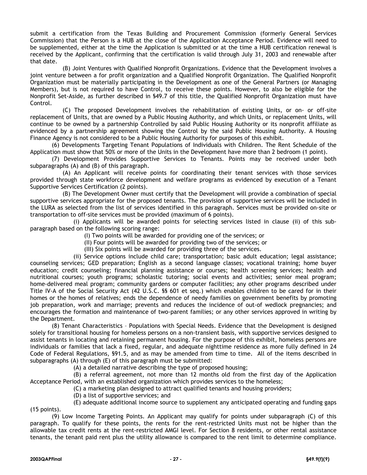submit a certification from the Texas Building and Procurement Commission (formerly General Services Commission) that the Person is a HUB at the close of the Application Acceptance Period. Evidence will need to be supplemented, either at the time the Application is submitted or at the time a HUB certification renewal is received by the Applicant, confirming that the certification is valid through July 31, 2003 and renewable after that date.

(B) Joint Ventures with Qualified Nonprofit Organizations. Evidence that the Development involves a joint venture between a for profit organization and a Qualified Nonprofit Organization. The Qualified Nonprofit Organization must be materially participating in the Development as one of the General Partners (or Managing Members), but is not required to have Control, to receive these points. However, to also be eligible for the Nonprofit Set-Aside, as further described in §49.7 of this title, the Qualified Nonprofit Organization must have Control.

(C) The proposed Development involves the rehabilitation of existing Units, or on- or off-site replacement of Units, that are owned by a Public Housing Authority, and which Units, or replacement Units, will continue to be owned by a partnership Controlled by said Public Housing Authority or its nonprofit affiliate as evidenced by a partnership agreement showing the Control by the said Public Housing Authority. A Housing Finance Agency is not considered to be a Public Housing Authority for purposes of this exhibit.

(6) Developments Targeting Tenant Populations of Individuals with Children. The Rent Schedule of the Application must show that 50% or more of the Units in the Development have more than 2 bedroom (1 point).

(7) Development Provides Supportive Services to Tenants. Points may be received under both subparagraphs (A) and (B) of this paragraph.

(A) An Applicant will receive points for coordinating their tenant services with those services provided through state workforce development and welfare programs as evidenced by execution of a Tenant Supportive Services Certification (2 points).

(B) The Development Owner must certify that the Development will provide a combination of special supportive services appropriate for the proposed tenants. The provision of supportive services will be included in the LURA as selected from the list of services identified in this paragraph. Services must be provided on-site or transportation to off-site services must be provided (maximum of 6 points).

(i) Applicants will be awarded points for selecting services listed in clause (ii) of this subparagraph based on the following scoring range:

(I) Two points will be awarded for providing one of the services; or

(II) Four points will be awarded for providing two of the services; or

(III) Six points will be awarded for providing three of the services.

(ii) Service options include child care; transportation; basic adult education; legal assistance; counseling services; GED preparation; English as a second language classes; vocational training; home buyer education; credit counseling; financial planning assistance or courses; health screening services; health and nutritional courses; youth programs; scholastic tutoring; social events and activities; senior meal program; home-delivered meal program; community gardens or computer facilities; any other programs described under Title IV-A of the Social Security Act (42 U.S.C. §§ 601 et seq.) which enables children to be cared for in their homes or the homes of relatives; ends the dependence of needy families on government benefits by promoting job preparation, work and marriage; prevents and reduces the incidence of out-of wedlock pregnancies; and encourages the formation and maintenance of two-parent families; or any other services approved in writing by the Department.

(8) Tenant Characteristics – Populations with Special Needs. Evidence that the Development is designed solely for transitional housing for homeless persons on a non-transient basis, with supportive services designed to assist tenants in locating and retaining permanent housing. For the purpose of this exhibit, homeless persons are individuals or families that lack a fixed, regular, and adequate nighttime residence as more fully defined in 24 Code of Federal Regulations, §91.5, and as may be amended from time to time. All of the items described in subparagraphs (A) through (E) of this paragraph must be submitted:

(A) a detailed narrative describing the type of proposed housing;

(B) a referral agreement, not more than 12 months old from the first day of the Application Acceptance Period, with an established organization which provides services to the homeless;

(C) a marketing plan designed to attract qualified tenants and housing providers;

(D) a list of supportive services; and

(E) adequate additional income source to supplement any anticipated operating and funding gaps (15 points).

(9) Low Income Targeting Points. An Applicant may qualify for points under subparagraph (C) of this paragraph. To qualify for these points, the rents for the rent-restricted Units must not be higher than the allowable tax credit rents at the rent-restricted AMGI level. For Section 8 residents, or other rental assistance tenants, the tenant paid rent plus the utility allowance is compared to the rent limit to determine compliance.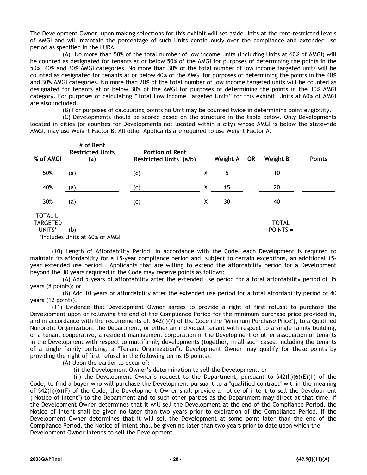The Development Owner, upon making selections for this exhibit will set aside Units at the rent-restricted levels of AMGI and will maintain the percentage of such Units continuously over the compliance and extended use period as specified in the LURA.

(A) No more than 50% of the total number of low income units (including Units at 60% of AMGI) will be counted as designated for tenants at or below 50% of the AMGI for purposes of determining the points in the 50%, 40% and 30% AMGI categories. No more than 30% of the total number of low income targeted units will be counted as designated for tenants at or below 40% of the AMGI for purposes of determining the points in the 40% and 30% AMGI categories. No more than 20% of the total number of low income targeted units will be counted as designated for tenants at or below 30% of the AMGI for purposes of determining the points in the 30% AMGI category. For purposes of calculating "Total Low Income Targeted Units" for this exhibit, Units at 60% of AMGI are also included.

(B) For purposes of calculating points no Unit may be counted twice in determining point eligibility.

(C) Developments should be scored based on the structure in the table below. Only Developments located in cities (or counties for Developments not located within a city) whose AMGI is below the statewide AMGI, may use Weight Factor B. All other Applicants are required to use Weight Factor A.

|                                              | # of Rent<br><b>Restricted Units</b>  | <b>Portion of Rent</b> |       |          |           |                            |               |
|----------------------------------------------|---------------------------------------|------------------------|-------|----------|-----------|----------------------------|---------------|
| % of AMGI                                    | (a)                                   | Restricted Units (a/b) |       | Weight A | <b>OR</b> | <b>Weight B</b>            | <b>Points</b> |
| 50%                                          | (a)                                   | (c)                    | $X -$ | 5.       |           | 10                         |               |
| 40%                                          | (a)                                   | (c)                    | Χ     | 15       |           | 20                         |               |
| 30%                                          | (a)                                   | (c)                    | X     | 30       |           | 40                         |               |
| <b>TOTAL LI</b><br><b>TARGETED</b><br>UNITS* | (b)<br>*Includes Units at 60% of AMGI |                        |       |          |           | <b>TOTAL</b><br>$POINTS =$ |               |

(10) Length of Affordability Period. In accordance with the Code, each Development is required to maintain its affordability for a 15-year compliance period and, subject to certain exceptions, an additional 15 year extended use period. Applicants that are willing to extend the affordability period for a Development beyond the 30 years required in the Code may receive points as follows:

(A) Add 5 years of affordability after the extended use period for a total affordability period of 35 years (8 points); or

(B) Add 10 years of affordability after the extended use period for a total affordability period of 40 years (12 points).

(11) Evidence that Development Owner agrees to provide a right of first refusal to purchase the Development upon or following the end of the Compliance Period for the minimum purchase price provided in, and in accordance with the requirements of, §42(i)(7) of the Code (the "Minimum Purchase Price"), to a Qualified Nonprofit Organization, the Department, or either an individual tenant with respect to a single family building, or a tenant cooperative, a resident management corporation in the Development or other association of tenants in the Development with respect to multifamily developments (together, in all such cases, including the tenants of a single family building, a "Tenant Organization"). Development Owner may qualify for these points by providing the right of first refusal in the following terms (5 points).

(A) Upon the earlier to occur of:

(i) the Development Owner's determination to sell the Development, or

(ii) the Development Owner's request to the Department, pursuant to  $$42(h)(6)(E)(II)$  of the Code, to find a buyer who will purchase the Development pursuant to a "qualified contract" within the meaning of §42(h)(6)(F) of the Code, the Development Owner shall provide a notice of intent to sell the Development ("Notice of Intent") to the Department and to such other parties as the Department may direct at that time. If the Development Owner determines that it will sell the Development at the end of the Compliance Period, the Notice of Intent shall be given no later than two years prior to expiration of the Compliance Period. If the Development Owner determines that it will sell the Development at some point later than the end of the Compliance Period, the Notice of Intent shall be given no later than two years prior to date upon which the Development Owner intends to sell the Development.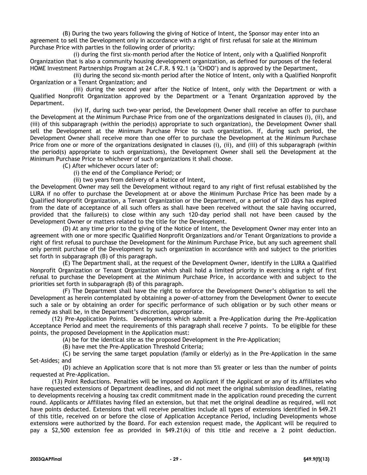(B) During the two years following the giving of Notice of Intent, the Sponsor may enter into an agreement to sell the Development only in accordance with a right of first refusal for sale at the Minimum Purchase Price with parties in the following order of priority:

(i) during the first six-month period after the Notice of Intent, only with a Qualified Nonprofit Organization that is also a community housing development organization, as defined for purposes of the federal HOME Investment Partnerships Program at 24 C.F.R. § 92.1 (a "CHDO") and is approved by the Department,

(ii) during the second six-month period after the Notice of Intent, only with a Qualified Nonprofit Organization or a Tenant Organization; and

(iii) during the second year after the Notice of Intent, only with the Department or with a Qualified Nonprofit Organization approved by the Department or a Tenant Organization approved by the Department.

(iv) If, during such two-year period, the Development Owner shall receive an offer to purchase the Development at the Minimum Purchase Price from one of the organizations designated in clauses (i), (ii), and (iii) of this subparagraph (within the period(s) appropriate to such organization), the Development Owner shall sell the Development at the Minimum Purchase Price to such organization. If, during such period, the Development Owner shall receive more than one offer to purchase the Development at the Minimum Purchase Price from one or more of the organizations designated in clauses (i), (ii), and (iii) of this subparagraph (within the period(s) appropriate to such organizations), the Development Owner shall sell the Development at the Minimum Purchase Price to whichever of such organizations it shall choose.

(C) After whichever occurs later of:

(i) the end of the Compliance Period; or

(ii) two years from delivery of a Notice of Intent,

the Development Owner may sell the Development without regard to any right of first refusal established by the LURA if no offer to purchase the Development at or above the Minimum Purchase Price has been made by a Qualified Nonprofit Organization, a Tenant Organization or the Department, or a period of 120 days has expired from the date of acceptance of all such offers as shall have been received without the sale having occurred, provided that the failure(s) to close within any such 120-day period shall not have been caused by the Development Owner or matters related to the title for the Development.

(D) At any time prior to the giving of the Notice of Intent, the Development Owner may enter into an agreement with one or more specific Qualified Nonprofit Organizations and/or Tenant Organizations to provide a right of first refusal to purchase the Development for the Minimum Purchase Price, but any such agreement shall only permit purchase of the Development by such organization in accordance with and subject to the priorities set forth in subparagraph (B) of this paragraph.

(E) The Department shall, at the request of the Development Owner, identify in the LURA a Qualified Nonprofit Organization or Tenant Organization which shall hold a limited priority in exercising a right of first refusal to purchase the Development at the Minimum Purchase Price, in accordance with and subject to the priorities set forth in subparagraph (B) of this paragraph.

(F) The Department shall have the right to enforce the Development Owner's obligation to sell the Development as herein contemplated by obtaining a power-of-attorney from the Development Owner to execute such a sale or by obtaining an order for specific performance of such obligation or by such other means or remedy as shall be, in the Department's discretion, appropriate.

(12) Pre-Application Points. Developments which submit a Pre-Application during the Pre-Application Acceptance Period and meet the requirements of this paragraph shall receive 7 points. To be eligible for these points, the proposed Development in the Application must:

(A) be for the identical site as the proposed Development in the Pre-Application;

(B) have met the Pre-Application Threshold Criteria;

(C) be serving the same target population (family or elderly) as in the Pre-Application in the same Set-Asides; and

(D) achieve an Application score that is not more than 5% greater or less than the number of points requested at Pre-Application.

(13) Point Reductions. Penalties will be imposed on Applicant if the Applicant or any of its Affiliates who have requested extensions of Department deadlines, and did not meet the original submission deadlines, relating to developments receiving a housing tax credit commitment made in the application round preceding the current round. Applicants or Affiliates having filed an extension, but that met the original deadline as required, will not have points deducted. Extensions that will receive penalties include all types of extensions identified in §49.21 of this title, received on or before the close of Application Acceptance Period, including Developments whose extensions were authorized by the Board. For each extension request made, the Applicant will be required to pay a \$2,500 extension fee as provided in §49.21(k) of this title and receive a 2 point deduction.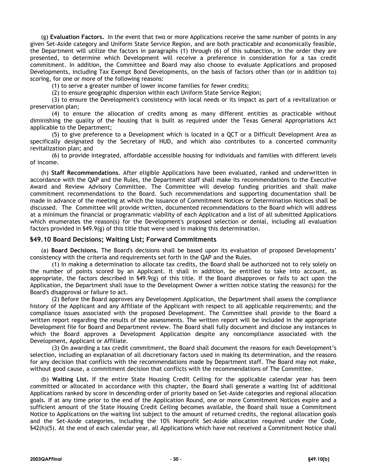(g) **Evaluation Factors.** In the event that two or more Applications receive the same number of points in any given Set-Aside category and Uniform State Service Region, and are both practicable and economically feasible, the Department will utilize the factors in paragraphs (1) through (6) of this subsection, in the order they are presented, to determine which Development will receive a preference in consideration for a tax credit commitment. In addition, the Committee and Board may also choose to evaluate Applications and proposed Developments, including Tax Exempt Bond Developments, on the basis of factors other than (or in addition to) scoring, for one or more of the following reasons:

(1) to serve a greater number of lower income families for fewer credits;

(2) to ensure geographic dispersion within each Uniform State Service Region;

(3) to ensure the Development's consistency with local needs or its impact as part of a revitalization or preservation plan;

(4) to ensure the allocation of credits among as many different entities as practicable without diminishing the quality of the housing that is built as required under the Texas General Appropriations Act applicable to the Department;

(5) to give preference to a Development which is located in a QCT or a Difficult Development Area as specifically designated by the Secretary of HUD, and which also contributes to a concerted community revitalization plan; and

(6) to provide integrated, affordable accessible housing for individuals and families with different levels of income.

(h) **Staff Recommendations**. After eligible Applications have been evaluated, ranked and underwritten in accordance with the QAP and the Rules, the Department staff shall make its recommendations to the Executive Award and Review Advisory Committee. The Committee will develop funding priorities and shall make commitment recommendations to the Board. Such recommendations and supporting documentation shall be made in advance of the meeting at which the issuance of Commitment Notices or Determination Notices shall be discussed. The Committee will provide written, documented recommendations to the Board which will address at a minimum the financial or programmatic viability of each Application and a list of all submitted Applications which enumerates the reason(s) for the Development's proposed selection or denial, including all evaluation factors provided in §49.9(g) of this title that were used in making this determination.

#### **§49.10 Board Decisions; Waiting List; Forward Commitments**

(a) **Board Decisions.** The Board's decisions shall be based upon its evaluation of proposed Developments' consistency with the criteria and requirements set forth in the QAP and the Rules.

(1) In making a determination to allocate tax credits, the Board shall be authorized not to rely solely on the number of points scored by an Applicant. It shall in addition, be entitled to take into account, as appropriate, the factors described in §49.9(g) of this title. If the Board disapproves or fails to act upon the Application, the Department shall issue to the Development Owner a written notice stating the reason(s) for the Board's disapproval or failure to act.

(2) Before the Board approves any Development Application, the Department shall assess the compliance history of the Applicant and any Affiliate of the Applicant with respect to all applicable requirements; and the compliance issues associated with the proposed Development. The Committee shall provide to the Board a written report regarding the results of the assessments. The written report will be included in the appropriate Development file for Board and Department review. The Board shall fully document and disclose any instances in which the Board approves a Development Application despite any noncompliance associated with the Development, Applicant or Affiliate.

(3) On awarding a tax credit commitment, the Board shall document the reasons for each Development's selection, including an explanation of all discretionary factors used in making its determination, and the reasons for any decision that conflicts with the recommendations made by Department staff. The Board may not make, without good cause, a commitment decision that conflicts with the recommendations of The Committee.

(b) **Waiting List.** If the entire State Housing Credit Ceiling for the applicable calendar year has been committed or allocated in accordance with this chapter, the Board shall generate a waiting list of additional Applications ranked by score in descending order of priority based on Set-Aside categories and regional allocation goals. If at any time prior to the end of the Application Round, one or more Commitment Notices expire and a sufficient amount of the State Housing Credit Ceiling becomes available, the Board shall issue a Commitment Notice to Applications on the waiting list subject to the amount of returned credits, the regional allocation goals and the Set-Aside categories, including the 10% Nonprofit Set-Aside allocation required under the Code, §42(h)(5). At the end of each calendar year, all Applications which have not received a Commitment Notice shall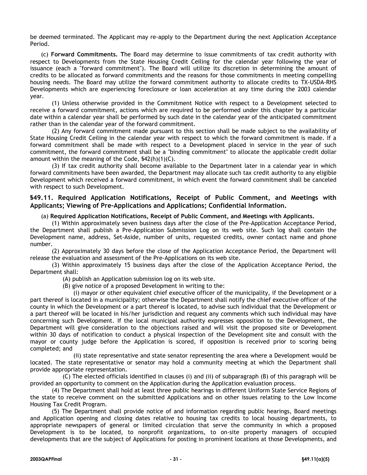be deemed terminated. The Applicant may re-apply to the Department during the next Application Acceptance Period.

(c) **Forward Commitments. T**he Board may determine to issue commitments of tax credit authority with respect to Developments from the State Housing Credit Ceiling for the calendar year following the year of issuance (each a "forward commitment"). The Board will utilize its discretion in determining the amount of credits to be allocated as forward commitments and the reasons for those commitments in meeting compelling housing needs. The Board may utilize the forward commitment authority to allocate credits to TX-USDA-RHS Developments which are experiencing foreclosure or loan acceleration at any time during the 2003 calendar year.

(1) Unless otherwise provided in the Commitment Notice with respect to a Development selected to receive a forward commitment, actions which are required to be performed under this chapter by a particular date within a calendar year shall be performed by such date in the calendar year of the anticipated commitment rather than in the calendar year of the forward commitment.

(2) Any forward commitment made pursuant to this section shall be made subject to the availability of State Housing Credit Ceiling in the calendar year with respect to which the forward commitment is made. If a forward commitment shall be made with respect to a Development placed in service in the year of such commitment, the forward commitment shall be a "binding commitment" to allocate the applicable credit dollar amount within the meaning of the Code, §42(h)(1)(C).

(3) If tax credit authority shall become available to the Department later in a calendar year in which forward commitments have been awarded, the Department may allocate such tax credit authority to any eligible Development which received a forward commitment, in which event the forward commitment shall be canceled with respect to such Development.

# **§49.11. Required Application Notifications, Receipt of Public Comment, and Meetings with Applicants; Viewing of Pre-Applications and Applications; Confidential Information.**

#### (a) **Required Application Notifications, Receipt of Public Comment, and Meetings with Applicants.**

(1) Within approximately seven business days after the close of the Pre-Application Acceptance Period, the Department shall publish a Pre-Application Submission Log on its web site. Such log shall contain the Development name, address, Set-Aside, number of units, requested credits, owner contact name and phone number.

(2) Approximately 30 days before the close of the Application Acceptance Period, the Department will release the evaluation and assessment of the Pre-Applications on its web site.

(3) Within approximately 15 business days after the close of the Application Acceptance Period, the Department shall:

(A) publish an Application submission log on its web site.

(B) give notice of a proposed Development in writing to the:

(i) mayor or other equivalent chief executive officer of the municipality, if the Development or a part thereof is located in a municipality; otherwise the Department shall notify the chief executive officer of the county in which the Development or a part thereof is located, to advise such individual that the Development or a part thereof will be located in his/her jurisdiction and request any comments which such individual may have concerning such Development. If the local municipal authority expresses opposition to the Development, the Department will give consideration to the objections raised and will visit the proposed site or Development within 30 days of notification to conduct a physical inspection of the Development site and consult with the mayor or county judge before the Application is scored, if opposition is received prior to scoring being completed; and

(ii) state representative and state senator representing the area where a Development would be located. The state representative or senator may hold a community meeting at which the Department shall provide appropriate representation.

(C) The elected officials identified in clauses (i) and (ii) of subparagraph (B) of this paragraph will be provided an opportunity to comment on the Application during the Application evaluation process.

(4) The Department shall hold at least three public hearings in different Uniform State Service Regions of the state to receive comment on the submitted Applications and on other issues relating to the Low Income Housing Tax Credit Program.

(5) The Department shall provide notice of and information regarding public hearings, Board meetings and Application opening and closing dates relative to housing tax credits to local housing departments, to appropriate newspapers of general or limited circulation that serve the community in which a proposed Development is to be located, to nonprofit organizations, to on-site property managers of occupied developments that are the subject of Applications for posting in prominent locations at those Developments, and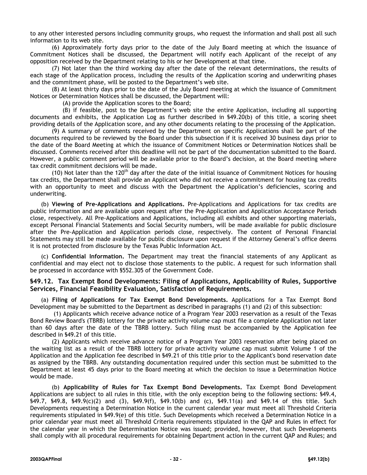to any other interested persons including community groups, who request the information and shall post all such information to its web site.

(6) Approximately forty days prior to the date of the July Board meeting at which the issuance of Commitment Notices shall be discussed, the Department will notify each Applicant of the receipt of any opposition received by the Department relating to his or her Development at that time.

(7) Not later than the third working day after the date of the relevant determinations, the results of each stage of the Application process, including the results of the Application scoring and underwriting phases and the commitment phase, will be posted to the Department's web site.

(8) At least thirty days prior to the date of the July Board meeting at which the issuance of Commitment Notices or Determination Notices shall be discussed, the Department will:

(A) provide the Application scores to the Board;

(B) if feasible, post to the Department's web site the entire Application, including all supporting documents and exhibits, the Application Log as further described in §49.20(b) of this title, a scoring sheet providing details of the Application score, and any other documents relating to the processing of the Application.

(9) A summary of comments received by the Department on specific Applications shall be part of the documents required to be reviewed by the Board under this subsection if it is received 30 business days prior to the date of the Board Meeting at which the issuance of Commitment Notices or Determination Notices shall be discussed. Comments received after this deadline will not be part of the documentation submitted to the Board. However, a public comment period will be available prior to the Board's decision, at the Board meeting where tax credit commitment decisions will be made.

(10) Not later than the 120<sup>th</sup> day after the date of the initial issuance of Commitment Notices for housing tax credits, the Department shall provide an Applicant who did not receive a commitment for housing tax credits with an opportunity to meet and discuss with the Department the Application's deficiencies, scoring and underwriting.

(b) **Viewing of Pre-Applications and Applications.** Pre-Applications and Applications for tax credits are public information and are available upon request after the Pre-Application and Application Acceptance Periods close, respectively. All Pre-Applications and Applications, including all exhibits and other supporting materials, except Personal Financial Statements and Social Security numbers, will be made available for public disclosure after the Pre-Application and Application periods close, respectively. The content of Personal Financial Statements may still be made available for public disclosure upon request if the Attorney General's office deems it is not protected from disclosure by the Texas Public Information Act*.* 

(c) **Confidential Information.** The Department may treat the financial statements of any Applicant as confidential and may elect not to disclose those statements to the public. A request for such information shall be processed in accordance with §552.305 of the Government Code.

# **§49.12. Tax Exempt Bond Developments: Filing of Applications, Applicability of Rules, Supportive Services, Financial Feasibility Evaluation, Satisfaction of Requirements.**

(a) **Filing of Applications for Tax Exempt Bond Developments.** Applications for a Tax Exempt Bond Development may be submitted to the Department as described in paragraphs (1) and (2) of this subsection:

(1) Applicants which receive advance notice of a Program Year 2003 reservation as a result of the Texas Bond Review Board's (TBRB) lottery for the private activity volume cap must file a complete Application not later than 60 days after the date of the TBRB lottery. Such filing must be accompanied by the Application fee described in §49.21 of this title.

(2) Applicants which receive advance notice of a Program Year 2003 reservation after being placed on the waiting list as a result of the TBRB lottery for private activity volume cap must submit Volume 1 of the Application and the Application fee described in §49.21 of this title prior to the Applicant's bond reservation date as assigned by the TBRB. Any outstanding documentation required under this section must be submitted to the Department at least 45 days prior to the Board meeting at which the decision to issue a Determination Notice would be made.

(b) **Applicability of Rules for Tax Exempt Bond Developments.** Tax Exempt Bond Development Applications are subject to all rules in this title, with the only exception being to the following sections: §49.4, §49.7, §49.8, §49.9(c)(2) and (3), §49.9(f), §49.10(b) and (c), §49.11(a) and §49.14 of this title. Such Developments requesting a Determination Notice in the current calendar year must meet all Threshold Criteria requirements stipulated in §49.9(e) of this title. Such Developments which received a Determination Notice in a prior calendar year must meet all Threshold Criteria requirements stipulated in the QAP and Rules in effect for the calendar year in which the Determination Notice was issued; provided, however, that such Developments shall comply with all procedural requirements for obtaining Department action in the current QAP and Rules; and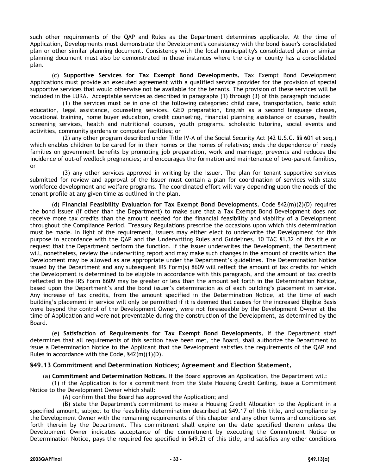such other requirements of the QAP and Rules as the Department determines applicable. At the time of Application, Developments must demonstrate the Development's consistency with the bond issuer's consolidated plan or other similar planning document. Consistency with the local municipality's consolidated plan or similar planning document must also be demonstrated in those instances where the city or county has a consolidated plan.

(c) **Supportive Services for Tax Exempt Bond Developments.** Tax Exempt Bond Development Applications must provide an executed agreement with a qualified service provider for the provision of special supportive services that would otherwise not be available for the tenants. The provision of these services will be included in the LURA. Acceptable services as described in paragraphs (1) through (3) of this paragraph include:

(1) the services must be in one of the following categories: child care, transportation, basic adult education, legal assistance, counseling services, GED preparation, English as a second language classes, vocational training, home buyer education, credit counseling, financial planning assistance or courses, health screening services, health and nutritional courses, youth programs, scholastic tutoring, social events and activities, community gardens or computer facilities; or

(2) any other program described under Title IV-A of the Social Security Act (42 U.S.C. §§ 601 et seq.) which enables children to be cared for in their homes or the homes of relatives; ends the dependence of needy families on government benefits by promoting job preparation, work and marriage; prevents and reduces the incidence of out-of wedlock pregnancies; and encourages the formation and maintenance of two-parent families, or

(3) any other services approved in writing by the Issuer. The plan for tenant supportive services submitted for review and approval of the Issuer must contain a plan for coordination of services with state workforce development and welfare programs. The coordinated effort will vary depending upon the needs of the tenant profile at any given time as outlined in the plan.

(d) **Financial Feasibility Evaluation for Tax Exempt Bond Developments.** Code §42(m)(2)(D) requires the bond issuer (if other than the Department) to make sure that a Tax Exempt Bond Development does not receive more tax credits than the amount needed for the financial feasibility and viability of a Development throughout the Compliance Period. Treasury Regulations prescribe the occasions upon which this determination must be made. In light of the requirement, issuers may either elect to underwrite the Development for this purpose in accordance with the QAP and the Underwriting Rules and Guidelines, 10 TAC §1.32 of this title or request that the Department perform the function. If the issuer underwrites the Development, the Department will, nonetheless, review the underwriting report and may make such changes in the amount of credits which the Development may be allowed as are appropriate under the Department's guidelines. The Determination Notice issued by the Department and any subsequent IRS Form(s) 8609 will reflect the amount of tax credits for which the Development is determined to be eligible in accordance with this paragraph, and the amount of tax credits reflected in the IRS Form 8609 may be greater or less than the amount set forth in the Determination Notice, based upon the Department's and the bond issuer's determination as of each building's placement in service. Any increase of tax credits, from the amount specified in the Determination Notice, at the time of each building's placement in service will only be permitted if it is deemed that causes for the increased Eligible Basis were beyond the control of the Development Owner, were not foreseeable by the Development Owner at the time of Application and were not preventable during the construction of the Development, as determined by the Board.

(e) **Satisfaction of Requirements for Tax Exempt Bond Developments.** If the Department staff determines that all requirements of this section have been met, the Board, shall authorize the Department to issue a Determination Notice to the Applicant that the Development satisfies the requirements of the QAP and Rules in accordance with the Code, §42(m)(1)(D).

# **§49.13 Commitment and Determination Notices; Agreement and Election Statement.**

(a) **Commitment and Determination Notices.** If the Board approves an Application, the Department will:

(1) if the Application is for a commitment from the State Housing Credit Ceiling, issue a Commitment Notice to the Development Owner which shall:

(A) confirm that the Board has approved the Application; and

(B) state the Department's commitment to make a Housing Credit Allocation to the Applicant in a specified amount, subject to the feasibility determination described at §49.17 of this title, and compliance by the Development Owner with the remaining requirements of this chapter and any other terms and conditions set forth therein by the Department. This commitment shall expire on the date specified therein unless the Development Owner indicates acceptance of the commitment by executing the Commitment Notice or Determination Notice, pays the required fee specified in §49.21 of this title, and satisfies any other conditions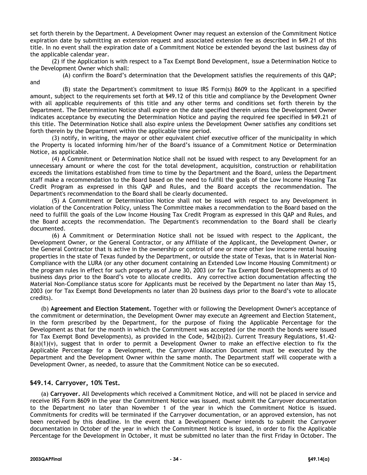set forth therein by the Department. A Development Owner may request an extension of the Commitment Notice expiration date by submitting an extension request and associated extension fee as described in §49.21 of this title. In no event shall the expiration date of a Commitment Notice be extended beyond the last business day of the applicable calendar year.

(2) if the Application is with respect to a Tax Exempt Bond Development, issue a Determination Notice to the Development Owner which shall:

(A) confirm the Board's determination that the Development satisfies the requirements of this QAP; and

(B) state the Department's commitment to issue IRS Form(s) 8609 to the Applicant in a specified amount, subject to the requirements set forth at §49.12 of this title and compliance by the Development Owner with all applicable requirements of this title and any other terms and conditions set forth therein by the Department. The Determination Notice shall expire on the date specified therein unless the Development Owner indicates acceptance by executing the Determination Notice and paying the required fee specified in §49.21 of this title. The Determination Notice shall also expire unless the Development Owner satisfies any conditions set forth therein by the Department within the applicable time period.

(3) notify, in writing, the mayor or other equivalent chief executive officer of the municipality in which the Property is located informing him/her of the Board's issuance of a Commitment Notice or Determination Notice, as applicable.

(4) A Commitment or Determination Notice shall not be issued with respect to any Development for an unnecessary amount or where the cost for the total development, acquisition, construction or rehabilitation exceeds the limitations established from time to time by the Department and the Board, unless the Department staff make a recommendation to the Board based on the need to fulfill the goals of the Low Income Housing Tax Credit Program as expressed in this QAP and Rules, and the Board accepts the recommendation. The Department's recommendation to the Board shall be clearly documented.

(5) A Commitment or Determination Notice shall not be issued with respect to any Development in violation of the Concentration Policy, unless The Committee makes a recommendation to the Board based on the need to fulfill the goals of the Low Income Housing Tax Credit Program as expressed in this QAP and Rules, and the Board accepts the recommendation. The Department's recommendation to the Board shall be clearly documented.

(6) A Commitment or Determination Notice shall not be issued with respect to the Applicant, the Development Owner, or the General Contractor, or any Affiliate of the Applicant, the Development Owner, or the General Contractor that is active in the ownership or control of one or more other low income rental housing properties in the state of Texas funded by the Department, or outside the state of Texas, that is in Material Non-Compliance with the LURA (or any other document containing an Extended Low Income Housing Commitment) or the program rules in effect for such property as of June 30, 2003 (or for Tax Exempt Bond Developments as of 10 business days prior to the Board's vote to allocate credits. Any corrective action documentation affecting the Material Non-Compliance status score for Applicants must be received by the Department no later than May 15, 2003 (or for Tax Exempt Bond Developments no later than 20 business days prior to the Board's vote to allocate credits).

(b) **Agreement and Election Statement.** Together with or following the Development Owner's acceptance of the commitment or determination, the Development Owner may execute an Agreement and Election Statement, in the form prescribed by the Department, for the purpose of fixing the Applicable Percentage for the Development as that for the month in which the Commitment was accepted (or the month the bonds were issued for Tax Exempt Bond Developments), as provided in the Code, §42(b)(2). Current Treasury Regulations, §1.42-  $8(a)(1)(v)$ , suggest that in order to permit a Development Owner to make an effective election to fix the Applicable Percentage for a Development, the Carryover Allocation Document must be executed by the Department and the Development Owner within the same month. The Department staff will cooperate with a Development Owner, as needed, to assure that the Commitment Notice can be so executed.

# **§49.14. Carryover, 10% Test.**

(a) **Carryover.** All Developments which received a Commitment Notice, and will not be placed in service and receive IRS Form 8609 in the year the Commitment Notice was issued, must submit the Carryover documentation to the Department no later than November 1 of the year in which the Commitment Notice is issued. Commitments for credits will be terminated if the Carryover documentation, or an approved extension, has not been received by this deadline. In the event that a Development Owner intends to submit the Carryover documentation in October of the year in which the Commitment Notice is issued, in order to fix the Applicable Percentage for the Development in October, it must be submitted no later than the first Friday in October. The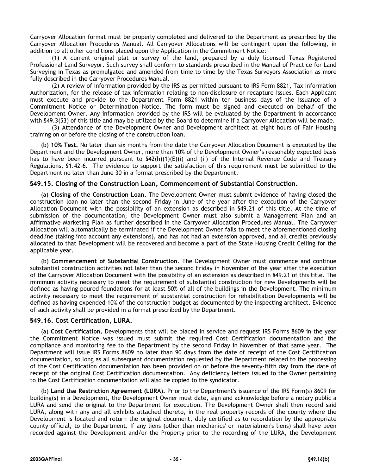Carryover Allocation format must be properly completed and delivered to the Department as prescribed by the Carryover Allocation Procedures Manual. All Carryover Allocations will be contingent upon the following, in addition to all other conditions placed upon the Application in the Commitment Notice:

(1) A current original plat or survey of the land, prepared by a duly licensed Texas Registered Professional Land Surveyor. Such survey shall conform to standards prescribed in the Manual of Practice for Land Surveying in Texas as promulgated and amended from time to time by the Texas Surveyors Association as more fully described in the Carryover Procedures Manual.

(2) A review of information provided by the IRS as permitted pursuant to IRS Form 8821, Tax Information Authorization, for the release of tax information relating to non-disclosure or recapture issues. Each Applicant must execute and provide to the Department Form 8821 within ten business days of the issuance of a Commitment Notice or Determination Notice. The form must be signed and executed on behalf of the Development Owner. Any information provided by the IRS will be evaluated by the Department in accordance with §49.3(53) of this title and may be utilized by the Board to determine if a Carryover Allocation will be made.

(3) Attendance of the Development Owner and Development architect at eight hours of Fair Housing training on or before the closing of the construction loan.

(b) **10% Test.** No later than six months from the date the Carryover Allocation Document is executed by the Department and the Development Owner, more than 10% of the Development Owner's reasonably expected basis has to have been incurred pursuant to  $\frac{542(h)(1)(E)(i)}{h}$  and (ii) of the Internal Revenue Code and Treasury Regulations, §1.42-6. The evidence to support the satisfaction of this requirement must be submitted to the Department no later than June 30 in a format prescribed by the Department.

#### **§49.15. Closing of the Construction Loan, Commencement of Substantial Construction.**

(a) **Closing of the Construction Loan.** The Development Owner must submit evidence of having closed the construction loan no later than the second Friday in June of the year after the execution of the Carryover Allocation Document with the possibility of an extension as described in §49.21 of this title. At the time of submission of the documentation, the Development Owner must also submit a Management Plan and an Affirmative Marketing Plan as further described in the Carryover Allocation Procedures Manual. The Carryover Allocation will automatically be terminated if the Development Owner fails to meet the aforementioned closing deadline (taking into account any extensions), and has not had an extension approved, and all credits previously allocated to that Development will be recovered and become a part of the State Housing Credit Ceiling for the applicable year.

(b) **Commencement of Substantial Construction**. The Development Owner must commence and continue substantial construction activities not later than the second Friday in November of the year after the execution of the Carryover Allocation Document with the possibility of an extension as described in §49.21 of this title. The minimum activity necessary to meet the requirement of substantial construction for new Developments will be defined as having poured foundations for at least 50% of all of the buildings in the Development. The minimum activity necessary to meet the requirement of substantial construction for rehabilitation Developments will be defined as having expended 10% of the construction budget as documented by the inspecting architect. Evidence of such activity shall be provided in a format prescribed by the Department.

#### **§49.16. Cost Certification, LURA.**

(a) **Cost Certification.** Developments that will be placed in service and request IRS Forms 8609 in the year the Commitment Notice was issued must submit the required Cost Certification documentation and the compliance and monitoring fee to the Department by the second Friday in November of that same year. The Department will issue IRS Forms 8609 no later than 90 days from the date of receipt of the Cost Certification documentation, so long as all subsequent documentation requested by the Department related to the processing of the Cost Certification documentation has been provided on or before the seventy-fifth day from the date of receipt of the original Cost Certification documentation. Any deficiency letters issued to the Owner pertaining to the Cost Certification documentation will also be copied to the syndicator.

(b) **Land Use Restriction Agreement (LURA).** Prior to the Department's issuance of the IRS Form(s) 8609 for building(s) in a Development, the Development Owner must date, sign and acknowledge before a notary public a LURA and send the original to the Department for execution. The Development Owner shall then record said LURA, along with any and all exhibits attached thereto, in the real property records of the county where the Development is located and return the original document, duly certified as to recordation by the appropriate county official, to the Department. If any liens (other than mechanics' or materialmen's liens) shall have been recorded against the Development and/or the Property prior to the recording of the LURA, the Development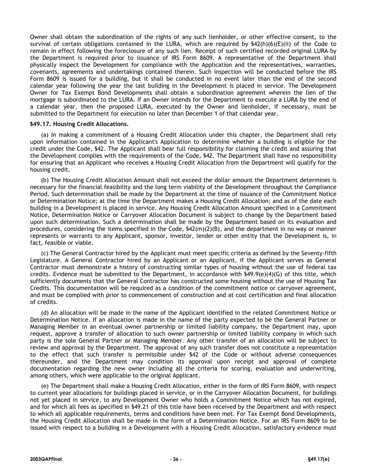Owner shall obtain the subordination of the rights of any such lienholder, or other effective consent, to the survival of certain obligations contained in the LURA, which are required by  $$42(h)(6)(E)(ii)$  of the Code to remain in effect following the foreclosure of any such lien. Receipt of such certified recorded original LURA by the Department is required prior to issuance of IRS Form 8609. A representative of the Department shall physically inspect the Development for compliance with the Application and the representatives, warranties, covenants, agreements and undertakings contained therein. Such inspection will be conducted before the IRS Form 8609 is issued for a building, but it shall be conducted in no event later than the end of the second calendar year following the year the last building in the Development is placed in service. The Development Owner for Tax Exempt Bond Developments shall obtain a subordination agreement wherein the lien of the mortgage is subordinated to the LURA. If an Owner intends for the Department to execute a LURA by the end of a calendar year, then the proposed LURA, executed by the Owner and lienholder, if necessary, must be submitted to the Department for execution no later than December 1 of that calendar year.

#### **§49.17. Housing Credit Allocations.**

(a) In making a commitment of a Housing Credit Allocation under this chapter, the Department shall rely upon information contained in the Applicant's Application to determine whether a building is eligible for the credit under the Code, §42. The Applicant shall bear full responsibility for claiming the credit and assuring that the Development complies with the requirements of the Code, §42. The Department shall have no responsibility for ensuring that an Applicant who receives a Housing Credit Allocation from the Department will qualify for the housing credit.

(b) The Housing Credit Allocation Amount shall not exceed the dollar amount the Department determines is necessary for the financial feasibility and the long term viability of the Development throughout the Compliance Period. Such determination shall be made by the Department at the time of issuance of the Commitment Notice or Determination Notice; at the time the Department makes a Housing Credit Allocation; and as of the date each building in a Development is placed in service. Any Housing Credit Allocation Amount specified in a Commitment Notice, Determination Notice or Carryover Allocation Document is subject to change by the Department based upon such determination. Such a determination shall be made by the Department based on its evaluation and procedures, considering the items specified in the Code, §42(m)(2)(B), and the department in no way or manner represents or warrants to any Applicant, sponsor, investor, lender or other entity that the Development is, in fact, feasible or viable.

(c) The General Contractor hired by the Applicant must meet specific criteria as defined by the Seventy-fifth Legislature. A General Contractor hired by an Applicant or an Applicant, if the Applicant serves as General Contractor must demonstrate a history of constructing similar types of housing without the use of federal tax credits. Evidence must be submitted to the Department, in accordance with §49.9(e)(4)(G) of this title, which sufficiently documents that the General Contractor has constructed some housing without the use of Housing Tax Credits. This documentation will be required as a condition of the commitment notice or carryover agreement, and must be complied with prior to commencement of construction and at cost certification and final allocation of credits.

(d) An allocation will be made in the name of the Applicant identified in the related Commitment Notice or Determination Notice. If an allocation is made in the name of the party expected to be the General Partner or Managing Member in an eventual owner partnership or limited liability company, the Department may, upon request, approve a transfer of allocation to such owner partnership or limited liability company in which such party is the sole General Partner or Managing Member. Any other transfer of an allocation will be subject to review and approval by the Department. The approval of any such transfer does not constitute a representation to the effect that such transfer is permissible under §42 of the Code or without adverse consequences thereunder, and the Department may condition its approval upon receipt and approval of complete documentation regarding the new owner including all the criteria for scoring, evaluation and underwriting, among others, which were applicable to the original Applicant.

(e) The Department shall make a Housing Credit Allocation, either in the form of IRS Form 8609, with respect to current year allocations for buildings placed in service, or in the Carryover Allocation Document, for buildings not yet placed in service, to any Development Owner who holds a Commitment Notice which has not expired, and for which all fees as specified in §49.21 of this title have been received by the Department and with respect to which all applicable requirements, terms and conditions have been met. For Tax Exempt Bond Developments, the Housing Credit Allocation shall be made in the form of a Determination Notice. For an IRS Form 8609 to be issued with respect to a building in a Development with a Housing Credit Allocation, satisfactory evidence must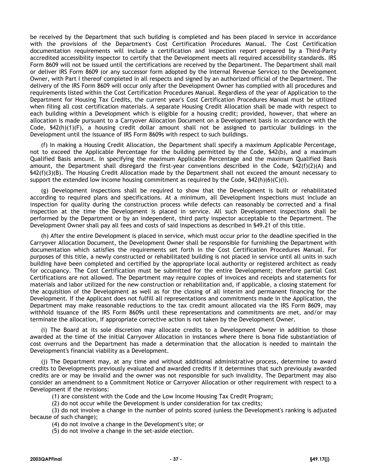be received by the Department that such building is completed and has been placed in service in accordance with the provisions of the Department's Cost Certification Procedures Manual. The Cost Certification documentation requirements will include a certification and inspection report prepared by a Third-Party accredited accessibility inspector to certify that the Development meets all required accessibility standards. IRS Form 8609 will not be issued until the certifications are received by the Department. The Department shall mail or deliver IRS Form 8609 (or any successor form adopted by the Internal Revenue Service) to the Development Owner, with Part I thereof completed in all respects and signed by an authorized official of the Department. The delivery of the IRS Form 8609 will occur only after the Development Owner has complied with all procedures and requirements listed within the Cost Certification Procedures Manual. Regardless of the year of Application to the Department for Housing Tax Credits, the current year's Cost Certification Procedures Manual must be utilized when filing all cost certification materials. A separate Housing Credit Allocation shall be made with respect to each building within a Development which is eligible for a housing credit; provided, however, that where an allocation is made pursuant to a Carryover Allocation Document on a Development basis in accordance with the Code, §42(h)(1)(F), a housing credit dollar amount shall not be assigned to particular buildings in the Development until the issuance of IRS Form 8609s with respect to such buildings.

(f) In making a Housing Credit Allocation, the Department shall specify a maximum Applicable Percentage, not to exceed the Applicable Percentage for the building permitted by the Code, §42(b), and a maximum Qualified Basis amount. In specifying the maximum Applicable Percentage and the maximum Qualified Basis amount, the Department shall disregard the first-year conventions described in the Code, §42(f)(2)(A) and §42(f)(3)(B). The Housing Credit Allocation made by the Department shall not exceed the amount necessary to support the extended low income housing commitment as required by the Code,  $\frac{542(h)(6)(C(i))}{2}$ .

(g) Development inspections shall be required to show that the Development is built or rehabilitated according to required plans and specifications. At a minimum, all Development inspections must include an inspection for quality during the construction process while defects can reasonably be corrected and a final inspection at the time the Development is placed in service. All such Development inspections shall be performed by the Department or by an independent, third party inspector acceptable to the Department. The Development Owner shall pay all fees and costs of said inspections as described in §49.21 of this title.

(h) After the entire Development is placed in service, which must occur prior to the deadline specified in the Carryover Allocation Document, the Development Owner shall be responsible for furnishing the Department with documentation which satisfies the requirements set forth in the Cost Certification Procedures Manual. For purposes of this title, a newly constructed or rehabilitated building is not placed in service until all units in such building have been completed and certified by the appropriate local authority or registered architect as ready for occupancy. The Cost Certification must be submitted for the entire Development; therefore partial Cost Certifications are not allowed. The Department may require copies of invoices and receipts and statements for materials and labor utilized for the new construction or rehabilitation and, if applicable, a closing statement for the acquisition of the Development as well as for the closing of all interim and permanent financing for the Development. If the Applicant does not fulfill all representations and commitments made in the Application, the Department may make reasonable reductions to the tax credit amount allocated via the IRS Form 8609, may withhold issuance of the IRS Form 8609s until these representations and commitments are met, and/or may terminate the allocation, if appropriate corrective action is not taken by the Development Owner.

(i) The Board at its sole discretion may allocate credits to a Development Owner in addition to those awarded at the time of the initial Carryover Allocation in instances where there is bona fide substantiation of cost overruns and the Department has made a determination that the allocation is needed to maintain the Development's financial viability as a Development.

(j) The Department may, at any time and without additional administrative process, determine to award credits to Developments previously evaluated and awarded credits if it determines that such previously awarded credits are or may be invalid and the owner was not responsible for such invalidity. The Department may also consider an amendment to a Commitment Notice or Carryover Allocation or other requirement with respect to a Development if the revisions:

(1) are consistent with the Code and the Low Income Housing Tax Credit Program;

(2) do not occur while the Development is under consideration for tax credits;

(3) do not involve a change in the number of points scored (unless the Development's ranking is adjusted because of such change);

(4) do not involve a change in the Development's site; or

(5) do not involve a change in the set-aside election.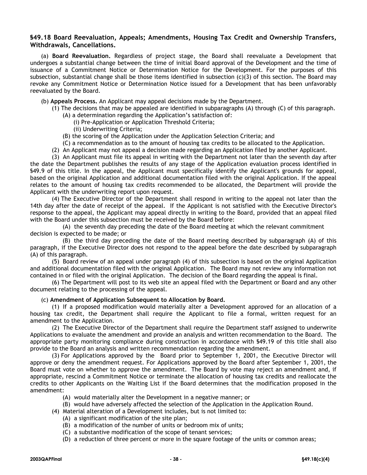#### **§49.18 Board Reevaluation, Appeals; Amendments, Housing Tax Credit and Ownership Transfers, Withdrawals, Cancellations.**

(a) **Board Reevaluation.** Regardless of project stage, the Board shall reevaluate a Development that undergoes a substantial change between the time of initial Board approval of the Development and the time of issuance of a Commitment Notice or Determination Notice for the Development. For the purposes of this subsection, substantial change shall be those items identified in subsection  $(c)(3)$  of this section. The Board may revoke any Commitment Notice or Determination Notice issued for a Development that has been unfavorably reevaluated by the Board.

- (b) **Appeals Process.** An Applicant may appeal decisions made by the Department.
	- (1) The decisions that may be appealed are identified in subparagraphs (A) through (C) of this paragraph.
		- (A) a determination regarding the Application's satisfaction of:
			- (i) Pre-Application or Application Threshold Criteria;
			- (ii) Underwriting Criteria;
		- (B) the scoring of the Application under the Application Selection Criteria; and
		- (C) a recommendation as to the amount of housing tax credits to be allocated to the Application.
	- (2) An Applicant may not appeal a decision made regarding an Application filed by another Applicant.

(3) An Applicant must file its appeal in writing with the Department not later than the seventh day after the date the Department publishes the results of any stage of the Application evaluation process identified in §49.9 of this title. In the appeal, the Applicant must specifically identify the Applicant's grounds for appeal, based on the original Application and additional documentation filed with the original Application. If the appeal relates to the amount of housing tax credits recommended to be allocated, the Department will provide the Applicant with the underwriting report upon request.

(4) The Executive Director of the Department shall respond in writing to the appeal not later than the 14th day after the date of receipt of the appeal. If the Applicant is not satisfied with the Executive Director's response to the appeal, the Applicant may appeal directly in writing to the Board, provided that an appeal filed with the Board under this subsection must be received by the Board before:

(A) the seventh day preceding the date of the Board meeting at which the relevant commitment decision is expected to be made; or

(B) the third day preceding the date of the Board meeting described by subparagraph (A) of this paragraph, if the Executive Director does not respond to the appeal before the date described by subparagraph (A) of this paragraph.

(5) Board review of an appeal under paragraph (4) of this subsection is based on the original Application and additional documentation filed with the original Application. The Board may not review any information not contained in or filed with the original Application. The decision of the Board regarding the appeal is final.

(6) The Department will post to its web site an appeal filed with the Department or Board and any other document relating to the processing of the appeal.

#### (c) **Amendment of Application Subsequent to Allocation by Board.**

(1) If a proposed modification would materially alter a Development approved for an allocation of a housing tax credit, the Department shall require the Applicant to file a formal, written request for an amendment to the Application.

(2) The Executive Director of the Department shall require the Department staff assigned to underwrite Applications to evaluate the amendment and provide an analysis and written recommendation to the Board. The appropriate party monitoring compliance during construction in accordance with §49.19 of this title shall also provide to the Board an analysis and written recommendation regarding the amendment.

(3) For Applications approved by the Board prior to September 1, 2001, the Executive Director will approve or deny the amendment request. For Applications approved by the Board after September 1, 2001, the Board must vote on whether to approve the amendment. The Board by vote may reject an amendment and, if appropriate, rescind a Commitment Notice or terminate the allocation of housing tax credits and reallocate the credits to other Applicants on the Waiting List if the Board determines that the modification proposed in the amendment:

- (A) would materially alter the Development in a negative manner; or
- (B) would have adversely affected the selection of the Application in the Application Round.
- (4) Material alteration of a Development includes, but is not limited to:
	- (A) a significant modification of the site plan;
	- (B) a modification of the number of units or bedroom mix of units;
	- (C) a substantive modification of the scope of tenant services;
	- (D) a reduction of three percent or more in the square footage of the units or common areas;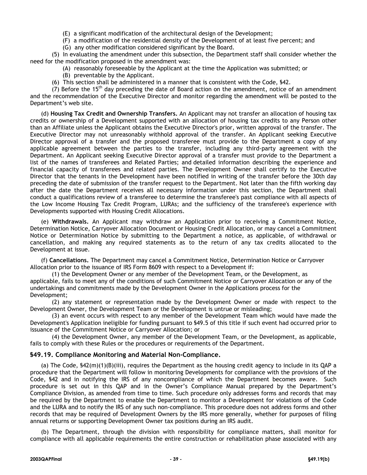(E) a significant modification of the architectural design of the Development;

(F) a modification of the residential density of the Development of at least five percent; and

(G) any other modification considered significant by the Board.

(5) In evaluating the amendment under this subsection, the Department staff shall consider whether the need for the modification proposed in the amendment was:

(A) reasonably foreseeable by the Applicant at the time the Application was submitted; or

(B) preventable by the Applicant.

(6) This section shall be administered in a manner that is consistent with the Code, §42.

(7) Before the 15<sup>th</sup> day preceding the date of Board action on the amendment, notice of an amendment and the recommendation of the Executive Director and monitor regarding the amendment will be posted to the Department's web site.

(d) **Housing Tax Credit and Ownership Transfers.** An Applicant may not transfer an allocation of housing tax credits or ownership of a Development supported with an allocation of housing tax credits to any Person other than an Affiliate unless the Applicant obtains the Executive Director's prior, written approval of the transfer. The Executive Director may not unreasonably withhold approval of the transfer. An Applicant seeking Executive Director approval of a transfer and the proposed transferee must provide to the Department a copy of any applicable agreement between the parties to the transfer, including any third-party agreement with the Department. An Applicant seeking Executive Director approval of a transfer must provide to the Department a list of the names of transferees and Related Parties; and detailed information describing the experience and financial capacity of transferees and related parties. The Development Owner shall certify to the Executive Director that the tenants in the Development have been notified in writing of the transfer before the 30th day preceding the date of submission of the transfer request to the Department. Not later than the fifth working day after the date the Department receives all necessary information under this section, the Department shall conduct a qualifications review of a transferee to determine the transferee's past compliance with all aspects of the Low Income Housing Tax Credit Program, LURAs; and the sufficiency of the transferee's experience with Developments supported with Housing Credit Allocations.

(e) **Withdrawals.** An Applicant may withdraw an Application prior to receiving a Commitment Notice, Determination Notice, Carryover Allocation Document or Housing Credit Allocation, or may cancel a Commitment Notice or Determination Notice by submitting to the Department a notice, as applicable, of withdrawal or cancellation, and making any required statements as to the return of any tax credits allocated to the Development at issue.

(f) **Cancellations.** The Department may cancel a Commitment Notice, Determination Notice or Carryover Allocation prior to the issuance of IRS Form 8609 with respect to a Development if:

(1) the Development Owner or any member of the Development Team, or the Development, as applicable, fails to meet any of the conditions of such Commitment Notice or Carryover Allocation or any of the undertakings and commitments made by the Development Owner in the Applications process for the Development;

(2) any statement or representation made by the Development Owner or made with respect to the Development Owner, the Development Team or the Development is untrue or misleading;

(3) an event occurs with respect to any member of the Development Team which would have made the Development's Application ineligible for funding pursuant to §49.5 of this title if such event had occurred prior to issuance of the Commitment Notice or Carryover Allocation; or

(4) the Development Owner, any member of the Development Team, or the Development, as applicable, fails to comply with these Rules or the procedures or requirements of the Department.

# **§49.19. Compliance Monitoring and Material Non-Compliance.**

(a) The Code, §42(m)(1)(B)(iii), requires the Department as the housing credit agency to include in its QAP a procedure that the Department will follow in monitoring Developments for compliance with the provisions of the Code, §42 and in notifying the IRS of any noncompliance of which the Department becomes aware. Such procedure is set out in this QAP and in the Owner's Compliance Manual prepared by the Department's Compliance Division, as amended from time to time. Such procedure only addresses forms and records that may be required by the Department to enable the Department to monitor a Development for violations of the Code and the LURA and to notify the IRS of any such non-compliance. This procedure does not address forms and other records that may be required of Development Owners by the IRS more generally, whether for purposes of filing annual returns or supporting Development Owner tax positions during an IRS audit.

(b) The Department, through the division with responsibility for compliance matters, shall monitor for compliance with all applicable requirements the entire construction or rehabilitation phase associated with any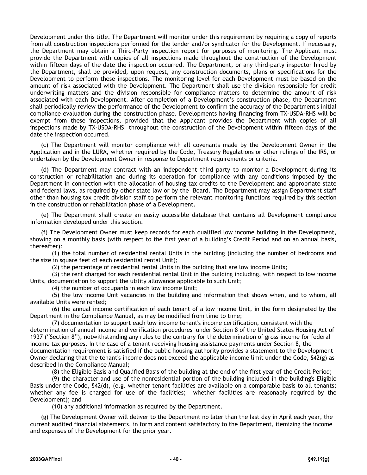Development under this title. The Department will monitor under this requirement by requiring a copy of reports from all construction inspections performed for the lender and/or syndicator for the Development. If necessary, the Department may obtain a Third-Party inspection report for purposes of monitoring. The Applicant must provide the Department with copies of all inspections made throughout the construction of the Development within fifteen days of the date the inspection occurred. The Department, or any third-party inspector hired by the Department, shall be provided, upon request, any construction documents, plans or specifications for the Development to perform these inspections. The monitoring level for each Development must be based on the amount of risk associated with the Development. The Department shall use the division responsible for credit underwriting matters and the division responsible for compliance matters to determine the amount of risk associated with each Development. After completion of a Development's construction phase, the Department shall periodically review the performance of the Development to confirm the accuracy of the Department's initial compliance evaluation during the construction phase. Developments having financing from TX-USDA-RHS will be exempt from these inspections, provided that the Applicant provides the Department with copies of all inspections made by TX-USDA-RHS throughout the construction of the Development within fifteen days of the date the inspection occurred.

(c) The Department will monitor compliance with all covenants made by the Development Owner in the Application and in the LURA, whether required by the Code, Treasury Regulations or other rulings of the IRS, or undertaken by the Development Owner in response to Department requirements or criteria.

(d) The Department may contract with an independent third party to monitor a Development during its construction or rehabilitation and during its operation for compliance with any conditions imposed by the Department in connection with the allocation of housing tax credits to the Development and appropriate state and federal laws, as required by other state law or by the Board. The Department may assign Department staff other than housing tax credit division staff to perform the relevant monitoring functions required by this section in the construction or rehabilitation phase of a Development.

(e) The Department shall create an easily accessible database that contains all Development compliance information developed under this section.

(f) The Development Owner must keep records for each qualified low income building in the Development, showing on a monthly basis (with respect to the first year of a building's Credit Period and on an annual basis, thereafter):

(1) the total number of residential rental Units in the building (including the number of bedrooms and the size in square feet of each residential rental Unit);

(2) the percentage of residential rental Units in the building that are low income Units;

(3) the rent charged for each residential rental Unit in the building including, with respect to low income Units, documentation to support the utility allowance applicable to such Unit;

(4) the number of occupants in each low income Unit;

(5) the low income Unit vacancies in the building and information that shows when, and to whom, all available Units were rented;

(6) the annual income certification of each tenant of a low income Unit, in the form designated by the Department in the Compliance Manual, as may be modified from time to time;

(7) documentation to support each low income tenant's income certification, consistent with the determination of annual income and verification procedures under Section 8 of the United States Housing Act of 1937 ("Section 8"), notwithstanding any rules to the contrary for the determination of gross income for federal income tax purposes. In the case of a tenant receiving housing assistance payments under Section 8, the documentation requirement is satisfied if the public housing authority provides a statement to the Development Owner declaring that the tenant's income does not exceed the applicable income limit under the Code, §42(g) as described in the Compliance Manual;

(8) the Eligible Basis and Qualified Basis of the building at the end of the first year of the Credit Period;

(9) the character and use of the nonresidential portion of the building included in the building's Eligible Basis under the Code, §42(d), (e.g. whether tenant facilities are available on a comparable basis to all tenants; whether any fee is charged for use of the facilities; whether facilities are reasonably required by the Development); and

(10) any additional information as required by the Department.

(g) The Development Owner will deliver to the Department no later than the last day in April each year, the current audited financial statements, in form and content satisfactory to the Department, itemizing the income and expenses of the Development for the prior year.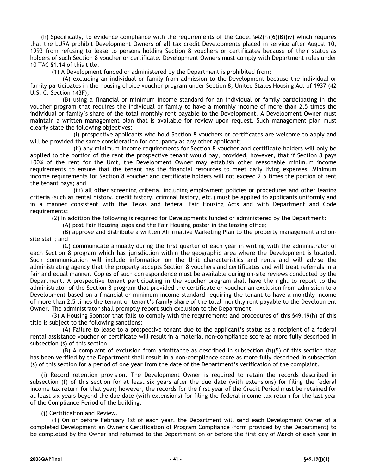(h) Specifically, to evidence compliance with the requirements of the Code,  $\frac{542(h)(6)(B)(iv)}{2}$  which requires that the LURA prohibit Development Owners of all tax credit Developments placed in service after August 10, 1993 from refusing to lease to persons holding Section 8 vouchers or certificates because of their status as holders of such Section 8 voucher or certificate. Development Owners must comply with Department rules under 10 TAC §1.14 of this title.

(1) A Development funded or administered by the Department is prohibited from:

(A) excluding an individual or family from admission to the Development because the individual or family participates in the housing choice voucher program under Section 8, United States Housing Act of 1937 (42 U.S. C. Section 143F);

(B) using a financial or minimum income standard for an individual or family participating in the voucher program that requires the individual or family to have a monthly income of more than 2.5 times the individual or family's share of the total monthly rent payable to the Development. A Development Owner must maintain a written management plan that is available for review upon request. Such management plan must clearly state the following objectives:

(i) prospective applicants who hold Section 8 vouchers or certificates are welcome to apply and will be provided the same consideration for occupancy as any other applicant;

(ii) any minimum income requirements for Section 8 voucher and certificate holders will only be applied to the portion of the rent the prospective tenant would pay, provided, however, that if Section 8 pays 100% of the rent for the Unit, the Development Owner may establish other reasonable minimum income requirements to ensure that the tenant has the financial resources to meet daily living expenses. Minimum income requirements for Section 8 voucher and certificate holders will not exceed 2.5 times the portion of rent the tenant pays; and

(iii) all other screening criteria, including employment policies or procedures and other leasing criteria (such as rental history, credit history, criminal history, etc.) must be applied to applicants uniformly and in a manner consistent with the Texas and federal Fair Housing Acts and with Department and Code requirements;

(2) In addition the following is required for Developments funded or administered by the Department:

(A) post Fair Housing logos and the Fair Housing poster in the leasing office;

(B) approve and distribute a written Affirmative Marketing Plan to the property management and onsite staff; and

(C) communicate annually during the first quarter of each year in writing with the administrator of each Section 8 program which has jurisdiction within the geographic area where the Development is located. Such communication will include information on the Unit characteristics and rents and will advise the administrating agency that the property accepts Section 8 vouchers and certificates and will treat referrals in a fair and equal manner. Copies of such correspondence must be available during on-site reviews conducted by the Department. A prospective tenant participating in the voucher program shall have the right to report to the administrator of the Section 8 program that provided the certificate or voucher an exclusion from admission to a Development based on a financial or minimum income standard requiring the tenant to have a monthly income of more than 2.5 times the tenant or tenant's family share of the total monthly rent payable to the Development Owner. The administrator shall promptly report such exclusion to the Department.

(3) A Housing Sponsor that fails to comply with the requirements and procedures of this §49.19(h) of this title is subject to the following sanctions:

(A) Failure to lease to a prospective tenant due to the applicant's status as a recipient of a federal rental assistance voucher or certificate will result in a material non-compliance score as more fully described in subsection (s) of this section.

 $(B)$  A complaint of exclusion from admittance as described in subsection  $(h)(5)$  of this section that has been verified by the Department shall result in a non-compliance score as more fully described in subsection (s) of this section for a period of one year from the date of the Department's verification of the complaint.

(i) Record retention provision. The Development Owner is required to retain the records described in subsection (f) of this section for at least six years after the due date (with extensions) for filing the federal income tax return for that year; however, the records for the first year of the Credit Period must be retained for at least six years beyond the due date (with extensions) for filing the federal income tax return for the last year of the Compliance Period of the building.

#### (j) Certification and Review.

(1) On or before February 1st of each year, the Department will send each Development Owner of a completed Development an Owner's Certification of Program Compliance (form provided by the Department) to be completed by the Owner and returned to the Department on or before the first day of March of each year in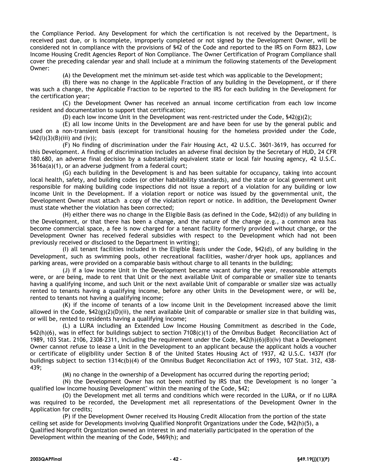the Compliance Period. Any Development for which the certification is not received by the Department, is received past due, or is incomplete, improperly completed or not signed by the Development Owner, will be considered not in compliance with the provisions of §42 of the Code and reported to the IRS on Form 8823, Low Income Housing Credit Agencies Report of Non Compliance. The Owner Certification of Program Compliance shall cover the preceding calendar year and shall include at a minimum the following statements of the Development Owner:

(A) the Development met the minimum set-aside test which was applicable to the Development;

(B) there was no change in the Applicable Fraction of any building in the Development, or if there was such a change, the Applicable Fraction to be reported to the IRS for each building in the Development for the certification year;

(C) the Development Owner has received an annual income certification from each low income resident and documentation to support that certification;

(D) each low income Unit in the Development was rent-restricted under the Code, §42(g)(2);

(E) all low income Units in the Development are and have been for use by the general public and used on a non-transient basis (except for transitional housing for the homeless provided under the Code,  $$42(I)(3)(B)(iii)$  and  $(iv)$ ;

(F) No finding of discrimination under the Fair Housing Act, 42 U.S.C. 3601-3619, has occurred for this Development. A finding of discrimination includes an adverse final decision by the Secretary of HUD, 24 CFR 180.680, an adverse final decision by a substantially equivalent state or local fair housing agency, 42 U.S.C. 3616a(a)(1), or an adverse judgment from a federal court;

(G) each building in the Development is and has been suitable for occupancy, taking into account local health, safety, and building codes (or other habitability standards), and the state or local government unit responsible for making building code inspections did not issue a report of a violation for any building or low income Unit in the Development. If a violation report or notice was issued by the governmental unit, the Development Owner must attach a copy of the violation report or notice. In addition, the Development Owner must state whether the violation has been corrected;

(H) either there was no change in the Eligible Basis (as defined in the Code, §42(d)) of any building in the Development, or that there has been a change, and the nature of the change (e.g., a common area has become commercial space, a fee is now charged for a tenant facility formerly provided without charge, or the Development Owner has received federal subsidies with respect to the Development which had not been previously received or disclosed to the Department in writing);

(I) all tenant facilities included in the Eligible Basis under the Code, §42(d), of any building in the Development, such as swimming pools, other recreational facilities, washer/dryer hook ups, appliances and parking areas, were provided on a comparable basis without charge to all tenants in the building;

(J) if a low income Unit in the Development became vacant during the year, reasonable attempts were, or are being, made to rent that Unit or the next available Unit of comparable or smaller size to tenants having a qualifying income, and such Unit or the next available Unit of comparable or smaller size was actually rented to tenants having a qualifying income, before any other Units in the Development were, or will be, rented to tenants not having a qualifying income;

(K) if the income of tenants of a low income Unit in the Development increased above the limit allowed in the Code,  $\frac{642(g)(2)(D)(ii)}{2}$ , the next available Unit of comparable or smaller size in that building was, or will be, rented to residents having a qualifying income;

(L) a LURA including an Extended Low Income Housing Commitment as described in the Code, §42(h)(6), was in effect for buildings subject to section 7108(c)(1) of the Omnibus Budget Reconciliation Act of 1989, 103 Stat. 2106, 2308-2311, including the requirement under the Code, §42(h)(6)(B)(iv) that a Development Owner cannot refuse to lease a Unit in the Development to an applicant because the applicant holds a voucher or certificate of eligibility under Section 8 of the United States Housing Act of 1937, 42 U.S.C. 1437f (for buildings subject to section 1314c(b)(4) of the Omnibus Budget Reconciliation Act of 1993, 107 Stat. 312, 438- 439;

(M) no change in the ownership of a Development has occurred during the reporting period;

(N) the Development Owner has not been notified by IRS that the Development is no longer "a qualified low income housing Development" within the meaning of the Code, §42;

(O) the Development met all terms and conditions which were recorded in the LURA, or if no LURA was required to be recorded, the Development met all representations of the Development Owner in the Application for credits;

(P) if the Development Owner received its Housing Credit Allocation from the portion of the state ceiling set aside for Developments involving Qualified Nonprofit Organizations under the Code, §42(h)(5), a Qualified Nonprofit Organization owned an interest in and materially participated in the operation of the Development within the meaning of the Code, §469(h); and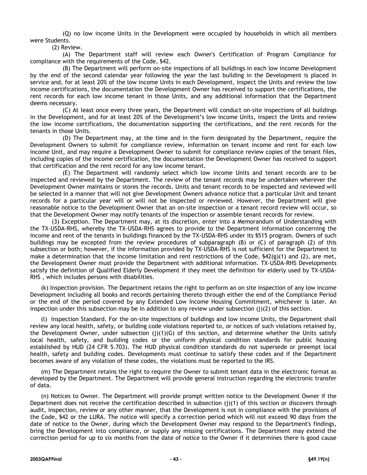(Q) no low income Units in the Development were occupied by households in which all members were Students.

(2) Review.

(A) The Department staff will review each Owner's Certification of Program Compliance for compliance with the requirements of the Code, §42.

(B) The Department will perform on-site inspections of all buildings in each low income Development by the end of the second calendar year following the year the last building in the Development is placed in service and, for at least 20% of the low income Units in each Development, inspect the Units and review the low income certifications, the documentation the Development Owner has received to support the certifications, the rent records for each low income tenant in those Units, and any additional information that the Department deems necessary.

(C) At least once every three years, the Department will conduct on-site inspections of all buildings in the Development, and for at least 20% of the Development's low income Units, inspect the Units and review the low income certifications, the documentation supporting the certifications, and the rent records for the tenants in those Units.

(D) The Department may, at the time and in the form designated by the Department, require the Development Owners to submit for compliance review, information on tenant income and rent for each low income Unit, and may require a Development Owner to submit for compliance review copies of the tenant files, including copies of the income certification, the documentation the Development Owner has received to support that certification and the rent record for any low income tenant.

(E) The Department will randomly select which low income Units and tenant records are to be inspected and reviewed by the Department. The review of the tenant records may be undertaken wherever the Development Owner maintains or stores the records. Units and tenant records to be inspected and reviewed will be selected in a manner that will not give Development Owners advance notice that a particular Unit and tenant records for a particular year will or will not be inspected or reviewed. However, the Department will give reasonable notice to the Development Owner that an on-site inspection or a tenant record review will occur, so that the Development Owner may notify tenants of the inspection or assemble tenant records for review.

(3) Exception. The Department may, at its discretion, enter into a Memorandum of Understanding with the TX-USDA-RHS, whereby the TX-USDA-RHS agrees to provide to the Department information concerning the income and rent of the tenants in buildings financed by the TX-USDA-RHS under its §515 program. Owners of such buildings may be excepted from the review procedures of subparagraph (B) or (C) of paragraph (2) of this subsection or both; however, if the information provided by TX-USDA-RHS is not sufficient for the Department to make a determination that the income limitation and rent restrictions of the Code,  $$42(g)(1)$  and (2), are met, the Development Owner must provide the Department with additional information. TX-USDA-RHS Developments satisfy the definition of Qualified Elderly Development if they meet the definition for elderly used by TX-USDA-RHS , which includes persons with disabilities.

(k) Inspection provision. The Department retains the right to perform an on site inspection of any low income Development including all books and records pertaining thereto through either the end of the Compliance Period or the end of the period covered by any Extended Low Income Housing Commitment, whichever is later. An inspection under this subsection may be in addition to any review under subsection (j)(2) of this section.

(l) Inspection Standard. For the on-site inspections of buildings and low income Units, the Department shall review any local health, safety, or building code violations reported to, or notices of such violations retained by, the Development Owner, under subsection  $(j)(1)(G)$  of this section, and determine whether the Units satisfy local health, safety, and building codes or the uniform physical condition standards for public housing established by HUD (24 CFR 5.703). The HUD physical condition standards do not supersede or preempt local health, safety and building codes. Developments must continue to satisfy these codes and if the Department becomes aware of any violation of these codes, the violations must be reported to the IRS.

(m) The Department retains the right to require the Owner to submit tenant data in the electronic format as developed by the Department. The Department will provide general instruction regarding the electronic transfer of data.

(n) Notices to Owner. The Department will provide prompt written notice to the Development Owner if the Department does not receive the certification described in subsection  $(j)(1)$  of this section or discovers through audit, inspection, review or any other manner, that the Development is not in compliance with the provisions of the Code, §42 or the LURA. The notice will specify a correction period which will not exceed 90 days from the date of notice to the Owner, during which the Development Owner may respond to the Department's findings, bring the Development into compliance, or supply any missing certifications. The Department may extend the correction period for up to six months from the date of notice to the Owner if it determines there is good cause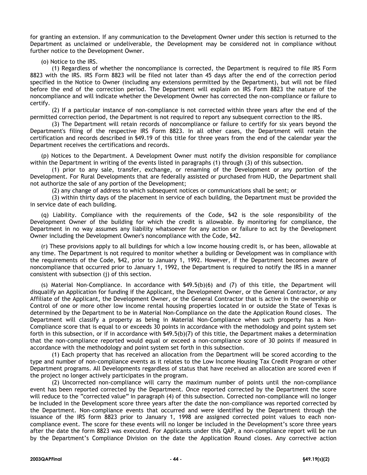for granting an extension. If any communication to the Development Owner under this section is returned to the Department as unclaimed or undeliverable, the Development may be considered not in compliance without further notice to the Development Owner.

#### (o) Notice to the IRS.

(1) Regardless of whether the noncompliance is corrected, the Department is required to file IRS Form 8823 with the IRS. IRS Form 8823 will be filed not later than 45 days after the end of the correction period specified in the Notice to Owner (including any extensions permitted by the Department), but will not be filed before the end of the correction period. The Department will explain on IRS Form 8823 the nature of the noncompliance and will indicate whether the Development Owner has corrected the non-compliance or failure to certify.

(2) If a particular instance of non-compliance is not corrected within three years after the end of the permitted correction period, the Department is not required to report any subsequent correction to the IRS.

(3) The Department will retain records of noncompliance or failure to certify for six years beyond the Department's filing of the respective IRS Form 8823. In all other cases, the Department will retain the certification and records described in §49.19 of this title for three years from the end of the calendar year the Department receives the certifications and records.

(p) Notices to the Department. A Development Owner must notify the division responsible for compliance within the Department in writing of the events listed in paragraphs (1) through (3) of this subsection.

(1) prior to any sale, transfer, exchange, or renaming of the Development or any portion of the Development. For Rural Developments that are federally assisted or purchased from HUD, the Department shall not authorize the sale of any portion of the Development;

(2) any change of address to which subsequent notices or communications shall be sent; or

(3) within thirty days of the placement in service of each building, the Department must be provided the in service date of each building.

(q) Liability. Compliance with the requirements of the Code, §42 is the sole responsibility of the Development Owner of the building for which the credit is allowable. By monitoring for compliance, the Department in no way assumes any liability whatsoever for any action or failure to act by the Development Owner including the Development Owner's noncompliance with the Code, §42.

(r) These provisions apply to all buildings for which a low income housing credit is, or has been, allowable at any time. The Department is not required to monitor whether a building or Development was in compliance with the requirements of the Code, §42, prior to January 1, 1992. However, if the Department becomes aware of noncompliance that occurred prior to January 1, 1992, the Department is required to notify the IRS in a manner consistent with subsection (j) of this section.

(s) Material Non-Compliance. In accordance with §49.5(b)(6) and (7) of this title, the Department will disqualify an Application for funding if the Applicant, the Development Owner, or the General Contractor, or any Affiliate of the Applicant, the Development Owner, or the General Contractor that is active in the ownership or Control of one or more other low income rental housing properties located in or outside the State of Texas is determined by the Department to be in Material Non-Compliance on the date the Application Round closes. The Department will classify a property as being in Material Non-Compliance when such property has a Non-Compliance score that is equal to or exceeds 30 points in accordance with the methodology and point system set forth in this subsection, or if in accordance with §49.5(b)(7) of this title, the Department makes a determination that the non-compliance reported would equal or exceed a non-compliance score of 30 points if measured in accordance with the methodology and point system set forth in this subsection.

(1) Each property that has received an allocation from the Department will be scored according to the type and number of non-compliance events as it relates to the Low Income Housing Tax Credit Program or other Department programs. All Developments regardless of status that have received an allocation are scored even if the project no longer actively participates in the program.

(2) Uncorrected non-compliance will carry the maximum number of points until the non-compliance event has been reported corrected by the Department. Once reported corrected by the Department the score will reduce to the "corrected value" in paragraph (4) of this subsection. Corrected non-compliance will no longer be included in the Development score three years after the date the non-compliance was reported corrected by the Department. Non-compliance events that occurred and were identified by the Department through the issuance of the IRS form 8823 prior to January 1, 1998 are assigned corrected point values to each noncompliance event. The score for these events will no longer be included in the Development's score three years after the date the form 8823 was executed. For Applicants under this QAP, a non-compliance report will be run by the Department's Compliance Division on the date the Application Round closes. Any corrective action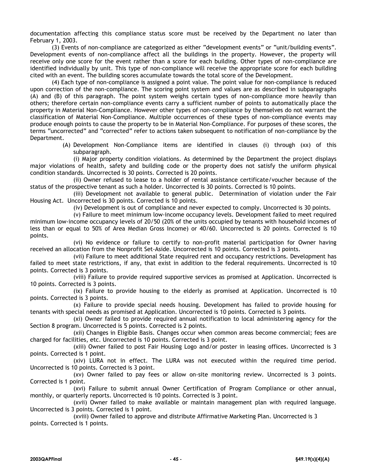documentation affecting this compliance status score must be received by the Department no later than February 1, 2003.

(3) Events of non-compliance are categorized as either "development events" or "unit/building events". Development events of non-compliance affect all the buildings in the property. However, the property will receive only one score for the event rather than a score for each building. Other types of non-compliance are identified individually by unit. This type of non-compliance will receive the appropriate score for each building cited with an event. The building scores accumulate towards the total score of the Development.

(4) Each type of non-compliance is assigned a point value. The point value for non-compliance is reduced upon correction of the non-compliance. The scoring point system and values are as described in subparagraphs (A) and (B) of this paragraph. The point system weighs certain types of non-compliance more heavily than others; therefore certain non-compliance events carry a sufficient number of points to automatically place the property in Material Non-Compliance. However other types of non-compliance by themselves do not warrant the classification of Material Non-Compliance. Multiple occurrences of these types of non-compliance events may produce enough points to cause the property to be in Material Non-Compliance. For purposes of these scores, the terms "uncorrected" and "corrected" refer to actions taken subsequent to notification of non-compliance by the Department.

> (A) Development Non-Compliance items are identified in clauses (i) through (xx) of this subparagraph.

(i) Major property condition violations. As determined by the Department the project displays major violations of health, safety and building code or the property does not satisfy the uniform physical condition standards. Uncorrected is 30 points. Corrected is 20 points.

(ii) Owner refused to lease to a holder of rental assistance certificate/voucher because of the status of the prospective tenant as such a holder. Uncorrected is 30 points. Corrected is 10 points.

(iii) Development not available to general public. Determination of violation under the Fair Housing Act. Uncorrected is 30 points. Corrected is 10 points.

(iv) Development is out of compliance and never expected to comply. Uncorrected is 30 points.

(v) Failure to meet minimum low-income occupancy levels. Development failed to meet required minimum low-income occupancy levels of 20/50 (20% of the units occupied by tenants with household incomes of less than or equal to 50% of Area Median Gross Income) or 40/60. Uncorrected is 20 points. Corrected is 10 points.

(vi) No evidence or failure to certify to non-profit material participation for Owner having received an allocation from the Nonprofit Set-Aside. Uncorrected is 10 points. Corrected is 3 points.

(vii) Failure to meet additional State required rent and occupancy restrictions. Development has failed to meet state restrictions, if any, that exist in addition to the federal requirements. Uncorrected is 10 points. Corrected is 3 points.

(viii) Failure to provide required supportive services as promised at Application. Uncorrected is 10 points. Corrected is 3 points.

(ix) Failure to provide housing to the elderly as promised at Application. Uncorrected is 10 points. Corrected is 3 points.

(x) Failure to provide special needs housing. Development has failed to provide housing for tenants with special needs as promised at Application. Uncorrected is 10 points. Corrected is 3 points.

(xi) Owner failed to provide required annual notification to local administering agency for the Section 8 program. Uncorrected is 5 points. Corrected is 2 points.

(xii) Changes in Eligible Basis. Changes occur when common areas become commercial; fees are charged for facilities, etc. Uncorrected is 10 points. Corrected is 3 point.

(xiii) Owner failed to post Fair Housing Logo and/or poster in leasing offices. Uncorrected is 3 points. Corrected is 1 point.

(xiv) LURA not in effect. The LURA was not executed within the required time period. Uncorrected is 10 points. Corrected is 3 point.

(xv) Owner failed to pay fees or allow on-site monitoring review. Uncorrected is 3 points. Corrected is 1 point.

(xvi) Failure to submit annual Owner Certification of Program Compliance or other annual, monthly, or quarterly reports. Uncorrected is 10 points. Corrected is 3 point.

(xvii) Owner failed to make available or maintain management plan with required language. Uncorrected is 3 points. Corrected is 1 point.

(xviii) Owner failed to approve and distribute Affirmative Marketing Plan. Uncorrected is 3 points. Corrected is 1 points.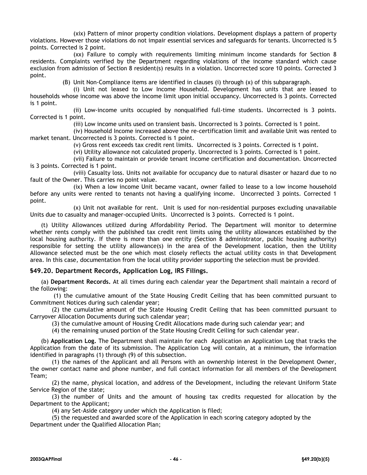(xix) Pattern of minor property condition violations. Development displays a pattern of property violations. However those violations do not impair essential services and safeguards for tenants. Uncorrected is 5 points. Corrected is 2 point.

(xx) Failure to comply with requirements limiting minimum income standards for Section 8 residents. Complaints verified by the Department regarding violations of the income standard which cause exclusion from admission of Section 8 resident(s) results in a violation. Uncorrected score 10 points. Corrected 3 point.

(B) Unit Non-Compliance items are identified in clauses (i) through (x) of this subparagraph.

(i) Unit not leased to Low Income Household. Development has units that are leased to households whose income was above the income limit upon initial occupancy. Uncorrected is 3 points. Corrected is 1 point.

(ii) Low-income units occupied by nonqualified full-time students. Uncorrected is 3 points. Corrected is 1 point.

(iii) Low income units used on transient basis. Uncorrected is 3 points. Corrected is 1 point.

(iv) Household Income increased above the re-certification limit and available Unit was rented to market tenant. Uncorrected is 3 points. Corrected is 1 point.

(v) Gross rent exceeds tax credit rent limits. Uncorrected is 3 points. Corrected is 1 point.

(vi) Utility allowance not calculated properly. Uncorrected is 3 points. Corrected is 1 point.

(vii) Failure to maintain or provide tenant income certification and documentation. Uncorrected is 3 points. Corrected is 1 point.

(viii) Casualty loss. Units not available for occupancy due to natural disaster or hazard due to no fault of the Owner. This carries no point value.

(ix) When a low income Unit became vacant, owner failed to lease to a low income household before any units were rented to tenants not having a qualifying income. Uncorrected 3 points. Corrected 1 point.

(x) Unit not available for rent. Unit is used for non-residential purposes excluding unavailable Units due to casualty and manager-occupied Units. Uncorrected is 3 points. Corrected is 1 point.

(t) Utility Allowances utilized during Affordability Period. The Department will monitor to determine whether rents comply with the published tax credit rent limits using the utility allowances established by the local housing authority. If there is more than one entity (Section 8 administrator, public housing authority) responsible for setting the utility allowance(s) in the area of the Development location, then the Utility Allowance selected must be the one which most closely reflects the actual utility costs in that Development area. In this case, documentation from the local utility provider supporting the selection must be provided.

# **§49.20. Department Records, Application Log, IRS Filings.**

(a) **Department Records.** At all times during each calendar year the Department shall maintain a record of the following:

(1) the cumulative amount of the State Housing Credit Ceiling that has been committed pursuant to Commitment Notices during such calendar year;

(2) the cumulative amount of the State Housing Credit Ceiling that has been committed pursuant to Carryover Allocation Documents during such calendar year;

(3) the cumulative amount of Housing Credit Allocations made during such calendar year; and

(4) the remaining unused portion of the State Housing Credit Ceiling for such calendar year.

(b) **Application Log.** The Department shall maintain for each Application an Application Log that tracks the Application from the date of its submission. The Application Log will contain, at a minimum, the information identified in paragraphs (1) through (9) of this subsection.

(1) the names of the Applicant and all Persons with an ownership interest in the Development Owner, the owner contact name and phone number, and full contact information for all members of the Development Team;

(2) the name, physical location, and address of the Development, including the relevant Uniform State Service Region of the state;

(3) the number of Units and the amount of housing tax credits requested for allocation by the Department to the Applicant;

(4) any Set-Aside category under which the Application is filed;

(5) the requested and awarded score of the Application in each scoring category adopted by the Department under the Qualified Allocation Plan;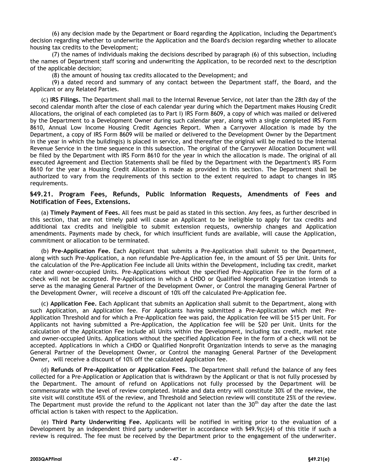(6) any decision made by the Department or Board regarding the Application, including the Department's decision regarding whether to underwrite the Application and the Board's decision regarding whether to allocate housing tax credits to the Development;

(7) the names of individuals making the decisions described by paragraph (6) of this subsection, including the names of Department staff scoring and underwriting the Application, to be recorded next to the description of the applicable decision;

(8) the amount of housing tax credits allocated to the Development; and

(9) a dated record and summary of any contact between the Department staff, the Board, and the Applicant or any Related Parties.

(c) **IRS Filings.** The Department shall mail to the Internal Revenue Service, not later than the 28th day of the second calendar month after the close of each calendar year during which the Department makes Housing Credit Allocations, the original of each completed (as to Part I) IRS Form 8609, a copy of which was mailed or delivered by the Department to a Development Owner during such calendar year, along with a single completed IRS Form 8610, Annual Low Income Housing Credit Agencies Report. When a Carryover Allocation is made by the Department, a copy of IRS Form 8609 will be mailed or delivered to the Development Owner by the Department in the year in which the building(s) is placed in service, and thereafter the original will be mailed to the Internal Revenue Service in the time sequence in this subsection. The original of the Carryover Allocation Document will be filed by the Department with IRS Form 8610 for the year in which the allocation is made. The original of all executed Agreement and Election Statements shall be filed by the Department with the Department's IRS Form 8610 for the year a Housing Credit Allocation is made as provided in this section. The Department shall be authorized to vary from the requirements of this section to the extent required to adapt to changes in IRS requirements.

# **§49.21. Program Fees, Refunds, Public Information Requests, Amendments of Fees and Notification of Fees, Extensions.**

(a) **Timely Payment of Fees.** All fees must be paid as stated in this section. Any fees, as further described in this section, that are not timely paid will cause an Applicant to be ineligible to apply for tax credits and additional tax credits and ineligible to submit extension requests, ownership changes and Application amendments. Payments made by check, for which insufficient funds are available, will cause the Application, commitment or allocation to be terminated.

(b) **Pre-Application Fee.** Each Applicant that submits a Pre-Application shall submit to the Department, along with such Pre-Application, a non refundable Pre-Application fee, in the amount of \$5 per Unit. Units for the calculation of the Pre-Application Fee include all Units within the Development, including tax credit, market rate and owner-occupied Units. Pre-Applications without the specified Pre-Application Fee in the form of a check will not be accepted. Pre-Applications in which a CHDO or Qualified Nonprofit Organization intends to serve as the managing General Partner of the Development Owner, or Control the managing General Partner of the Development Owner, will receive a discount of 10% off the calculated Pre-Application fee.

(c) **Application Fee.** Each Applicant that submits an Application shall submit to the Department, along with such Application, an Application fee. For Applicants having submitted a Pre-Application which met Pre-Application Threshold and for which a Pre-Application fee was paid, the Application fee will be \$15 per Unit. For Applicants not having submitted a Pre-Application, the Application fee will be \$20 per Unit. Units for the calculation of the Application Fee include all Units within the Development, including tax credit, market rate and owner-occupied Units. Applications without the specified Application Fee in the form of a check will not be accepted. Applications in which a CHDO or Qualified Nonprofit Organization intends to serve as the managing General Partner of the Development Owner, or Control the managing General Partner of the Development Owner, will receive a discount of 10% off the calculated Application fee.

(d) **Refunds of Pre-Application or Application Fees.** The Department shall refund the balance of any fees collected for a Pre-Application or Application that is withdrawn by the Applicant or that is not fully processed by the Department. The amount of refund on Applications not fully processed by the Department will be commensurate with the level of review completed. Intake and data entry will constitute 30% of the review, the site visit will constitute 45% of the review, and Threshold and Selection review will constitute 25% of the review. The Department must provide the refund to the Applicant not later than the  $30<sup>th</sup>$  day after the date the last official action is taken with respect to the Application.

(e) **Third Party Underwriting Fee.** Applicants will be notified in writing prior to the evaluation of a Development by an independent third party underwriter in accordance with  $$49.9(c)(4)$  of this title if such a review is required. The fee must be received by the Department prior to the engagement of the underwriter.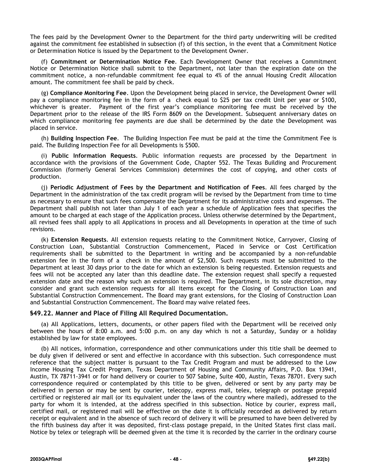The fees paid by the Development Owner to the Department for the third party underwriting will be credited against the commitment fee established in subsection (f) of this section, in the event that a Commitment Notice or Determination Notice is issued by the Department to the Development Owner.

(f) **Commitment or Determination Notice Fee**. Each Development Owner that receives a Commitment Notice or Determination Notice shall submit to the Department, not later than the expiration date on the commitment notice, a non-refundable commitment fee equal to 4% of the annual Housing Credit Allocation amount. The commitment fee shall be paid by check.

(g) **Compliance Monitoring Fee**. Upon the Development being placed in service, the Development Owner will pay a compliance monitoring fee in the form of a check equal to \$25 per tax credit Unit per year or \$100, whichever is greater. Payment of the first year's compliance monitoring fee must be received by the Department prior to the release of the IRS Form 8609 on the Development. Subsequent anniversary dates on which compliance monitoring fee payments are due shall be determined by the date the Development was placed in service.

(h) **Building Inspection Fee**. The Building Inspection Fee must be paid at the time the Commitment Fee is paid. The Building Inspection Fee for all Developments is \$500.

(i) **Public Information Requests**. Public information requests are processed by the Department in accordance with the provisions of the Government Code, Chapter 552. The Texas Building and Procurement Commission (formerly General Services Commission) determines the cost of copying, and other costs of production.

(j) **Periodic Adjustment of Fees by the Department and Notification of Fees**. All fees charged by the Department in the administration of the tax credit program will be revised by the Department from time to time as necessary to ensure that such fees compensate the Department for its administrative costs and expenses. The Department shall publish not later than July 1 of each year a schedule of Application fees that specifies the amount to be charged at each stage of the Application process. Unless otherwise determined by the Department, all revised fees shall apply to all Applications in process and all Developments in operation at the time of such revisions.

(k) **Extension Requests**. All extension requests relating to the Commitment Notice, Carryover, Closing of Construction Loan, Substantial Construction Commencement, Placed in Service or Cost Certification requirements shall be submitted to the Department in writing and be accompanied by a non-refundable extension fee in the form of a check in the amount of \$2,500. Such requests must be submitted to the Department at least 30 days prior to the date for which an extension is being requested. Extension requests and fees will not be accepted any later than this deadline date. The extension request shall specify a requested extension date and the reason why such an extension is required. The Department, in its sole discretion, may consider and grant such extension requests for all items except for the Closing of Construction Loan and Substantial Construction Commencement. The Board may grant extensions, for the Closing of Construction Loan and Substantial Construction Commencement. The Board may waive related fees.

#### **§49.22. Manner and Place of Filing All Required Documentation.**

(a) All Applications, letters, documents, or other papers filed with the Department will be received only between the hours of 8:00 a.m. and 5:00 p.m. on any day which is not a Saturday, Sunday or a holiday established by law for state employees.

(b) All notices, information, correspondence and other communications under this title shall be deemed to be duly given if delivered or sent and effective in accordance with this subsection. Such correspondence must reference that the subject matter is pursuant to the Tax Credit Program and must be addressed to the Low Income Housing Tax Credit Program, Texas Department of Housing and Community Affairs, P.O. Box 13941, Austin, TX 78711-3941 or for hand delivery or courier to 507 Sabine, Suite 400, Austin, Texas 78701. Every such correspondence required or contemplated by this title to be given, delivered or sent by any party may be delivered in person or may be sent by courier, telecopy, express mail, telex, telegraph or postage prepaid certified or registered air mail (or its equivalent under the laws of the country where mailed), addressed to the party for whom it is intended, at the address specified in this subsection. Notice by courier, express mail, certified mail, or registered mail will be effective on the date it is officially recorded as delivered by return receipt or equivalent and in the absence of such record of delivery it will be presumed to have been delivered by the fifth business day after it was deposited, first-class postage prepaid, in the United States first class mail. Notice by telex or telegraph will be deemed given at the time it is recorded by the carrier in the ordinary course